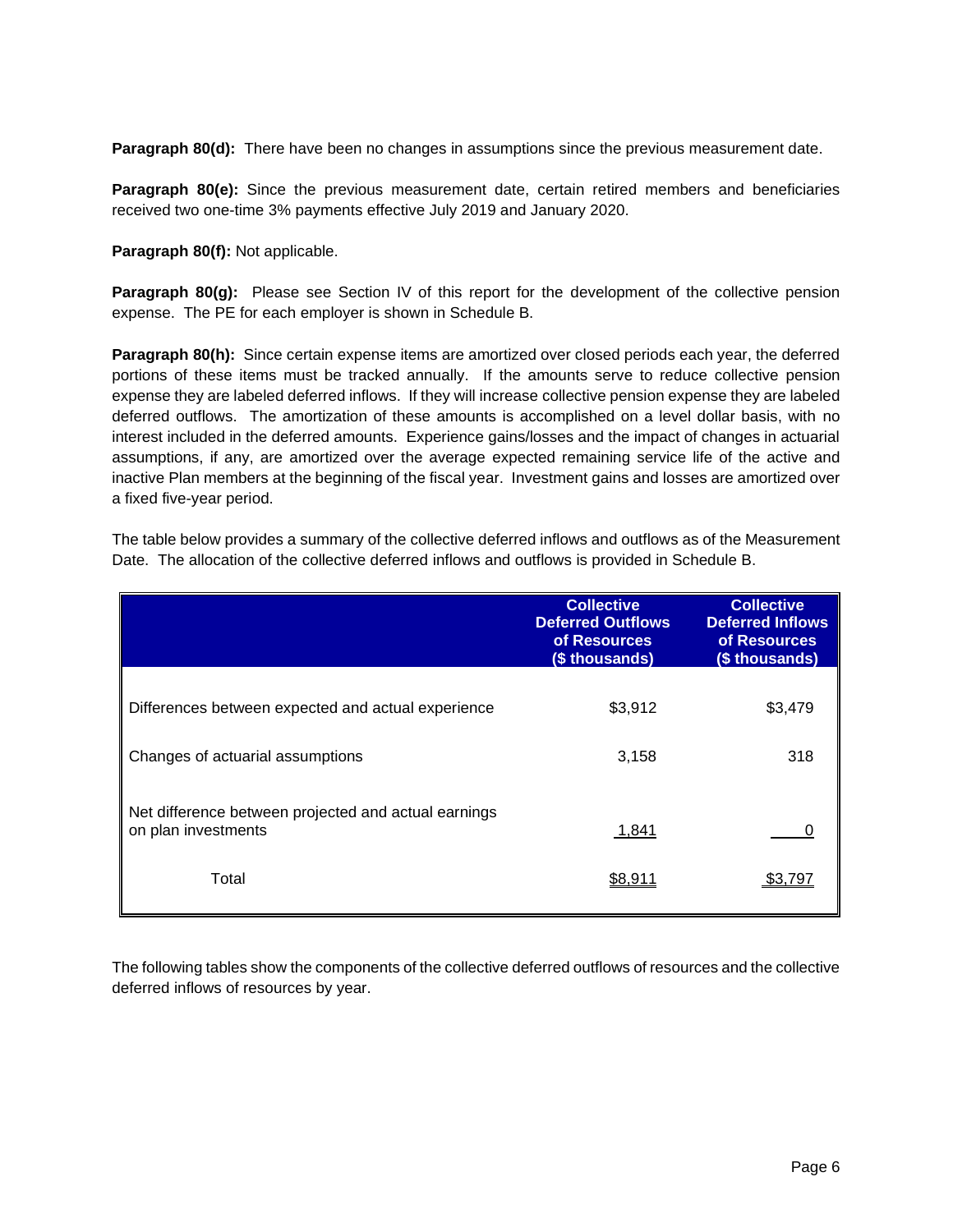**Paragraph 80(d):** There have been no changes in assumptions since the previous measurement date.

**Paragraph 80(e):** Since the previous measurement date, certain retired members and beneficiaries received two one-time 3% payments effective July 2019 and January 2020.

**Paragraph 80(f):** Not applicable.

**Paragraph 80(g):** Please see Section IV of this report for the development of the collective pension expense. The PE for each employer is shown in Schedule B.

**Paragraph 80(h):** Since certain expense items are amortized over closed periods each year, the deferred portions of these items must be tracked annually. If the amounts serve to reduce collective pension expense they are labeled deferred inflows. If they will increase collective pension expense they are labeled deferred outflows. The amortization of these amounts is accomplished on a level dollar basis, with no interest included in the deferred amounts. Experience gains/losses and the impact of changes in actuarial assumptions, if any, are amortized over the average expected remaining service life of the active and inactive Plan members at the beginning of the fiscal year. Investment gains and losses are amortized over a fixed five-year period.

The table below provides a summary of the collective deferred inflows and outflows as of the Measurement Date. The allocation of the collective deferred inflows and outflows is provided in Schedule B.

|                                                                             | <b>Collective</b><br><b>Deferred Outflows</b><br>of Resources<br>(\$ thousands) | <b>Collective</b><br><b>Deferred Inflows</b><br>of Resources<br>(\$ thousands) |
|-----------------------------------------------------------------------------|---------------------------------------------------------------------------------|--------------------------------------------------------------------------------|
| Differences between expected and actual experience                          | \$3,912                                                                         | \$3,479                                                                        |
| Changes of actuarial assumptions                                            | 3,158                                                                           | 318                                                                            |
| Net difference between projected and actual earnings<br>on plan investments | 1,841                                                                           |                                                                                |
| Total                                                                       | \$8,911                                                                         | \$3.797                                                                        |

The following tables show the components of the collective deferred outflows of resources and the collective deferred inflows of resources by year.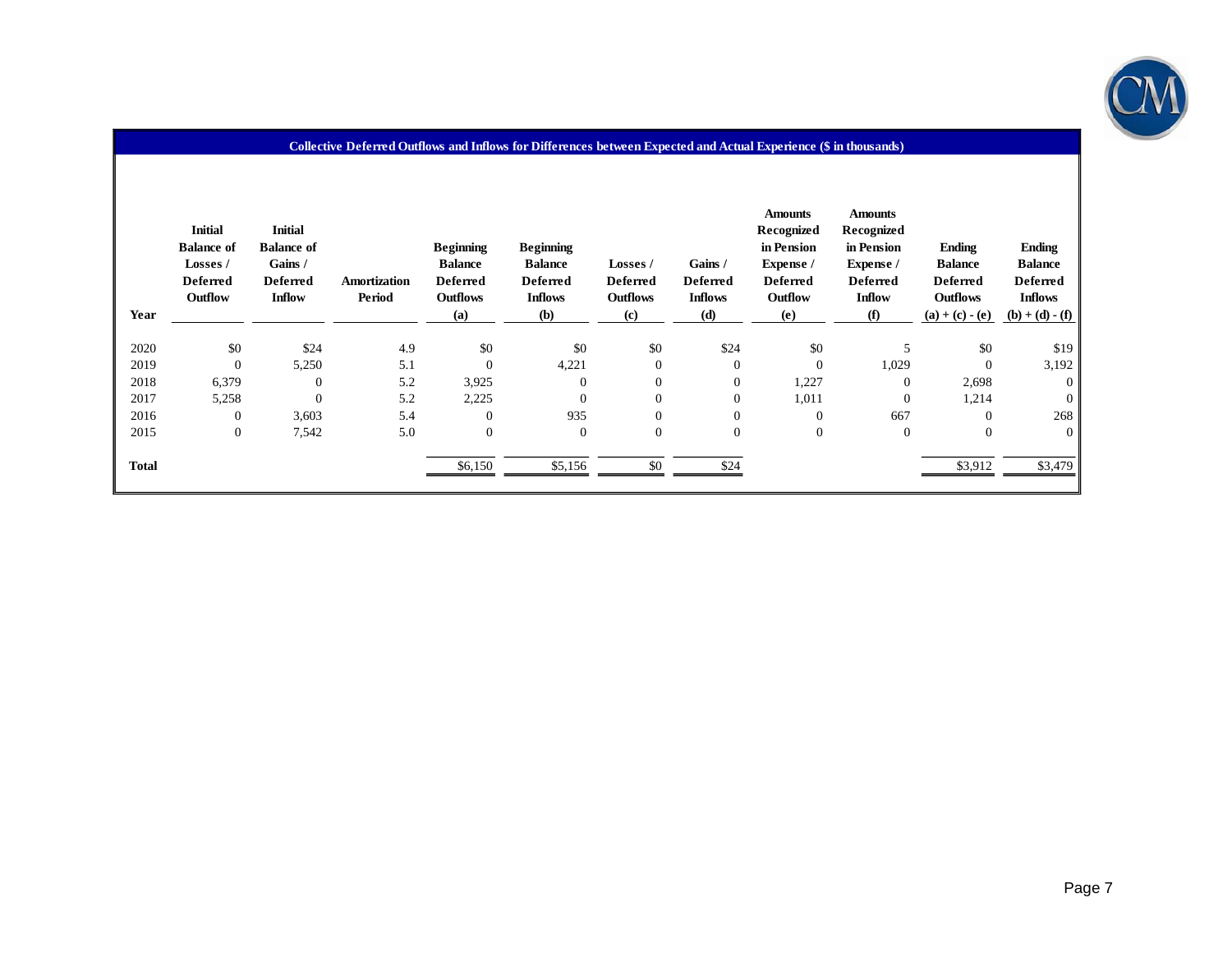

| Year         | <b>Initial</b><br><b>Balance of</b><br>Losses /<br><b>Deferred</b><br>Outflow | <b>Initial</b><br><b>Balance of</b><br>Gains /<br><b>Deferred</b><br><b>Inflow</b> | Amortization<br>Period | <b>Beginning</b><br><b>Balance</b><br><b>Deferred</b><br><b>Outflows</b><br>(a) | <b>Beginning</b><br><b>Balance</b><br><b>Deferred</b><br><b>Inflows</b><br><b>(b)</b> | Losses /<br><b>Deferred</b><br><b>Outflows</b><br>(c) | Gains /<br><b>Deferred</b><br><b>Inflows</b><br>(d) | <b>Amounts</b><br>Recognized<br>in Pension<br>Expense /<br><b>Deferred</b><br>Outflow<br>(e) | <b>Amounts</b><br>Recognized<br>in Pension<br>Expense /<br><b>Deferred</b><br><b>Inflow</b><br>(f) | <b>Ending</b><br><b>Balance</b><br><b>Deferred</b><br><b>Outflows</b><br>$(a) + (c) - (e)$ | Ending<br><b>Balance</b><br><b>Deferred</b><br><b>Inflows</b><br>$(b) + (d) - (f)$ |
|--------------|-------------------------------------------------------------------------------|------------------------------------------------------------------------------------|------------------------|---------------------------------------------------------------------------------|---------------------------------------------------------------------------------------|-------------------------------------------------------|-----------------------------------------------------|----------------------------------------------------------------------------------------------|----------------------------------------------------------------------------------------------------|--------------------------------------------------------------------------------------------|------------------------------------------------------------------------------------|
| 2020         | \$0                                                                           | \$24                                                                               | 4.9                    | \$0                                                                             | \$0                                                                                   | \$0                                                   | \$24                                                | \$0                                                                                          | 5                                                                                                  | \$0                                                                                        | \$19                                                                               |
| 2019         | $\mathbf{0}$                                                                  | 5,250                                                                              | 5.1                    | $\overline{0}$                                                                  | 4,221                                                                                 | $\boldsymbol{0}$                                      | $\overline{0}$                                      | $\mathbf{0}$                                                                                 | 1,029                                                                                              | $\overline{0}$                                                                             | 3,192                                                                              |
| 2018         | 6,379                                                                         | $\Omega$                                                                           | 5.2                    | 3.925                                                                           | $\mathbf{0}$                                                                          | $\overline{0}$                                        | $\mathbf{0}$                                        | 1,227                                                                                        | $\mathbf{0}$                                                                                       | 2,698                                                                                      | $\mathbf{0}$                                                                       |
| 2017         | 5,258                                                                         | $\Omega$                                                                           | 5.2                    | 2,225                                                                           | $\mathbf{0}$                                                                          | $\overline{0}$                                        | $\mathbf{0}$                                        | 1,011                                                                                        | $\mathbf{0}$                                                                                       | 1,214                                                                                      | $\Omega$                                                                           |
| 2016         | $\mathbf{0}$                                                                  | 3,603                                                                              | 5.4                    | $\Omega$                                                                        | 935                                                                                   | $\mathbf{0}$                                          | $\mathbf{0}$                                        | $\mathbf{0}$                                                                                 | 667                                                                                                | $\Omega$                                                                                   | 268                                                                                |
| 2015         | $\boldsymbol{0}$                                                              | 7,542                                                                              | 5.0                    | $\overline{0}$                                                                  | $\mathbf{0}$                                                                          | $\boldsymbol{0}$                                      | $\mathbf{0}$                                        | $\mathbf{0}$                                                                                 | $\overline{0}$                                                                                     | $\overline{0}$                                                                             | $\boldsymbol{0}$                                                                   |
| <b>Total</b> |                                                                               |                                                                                    |                        | \$6,150                                                                         | \$5,156                                                                               | \$0                                                   | \$24                                                |                                                                                              |                                                                                                    | \$3,912                                                                                    | \$3,479                                                                            |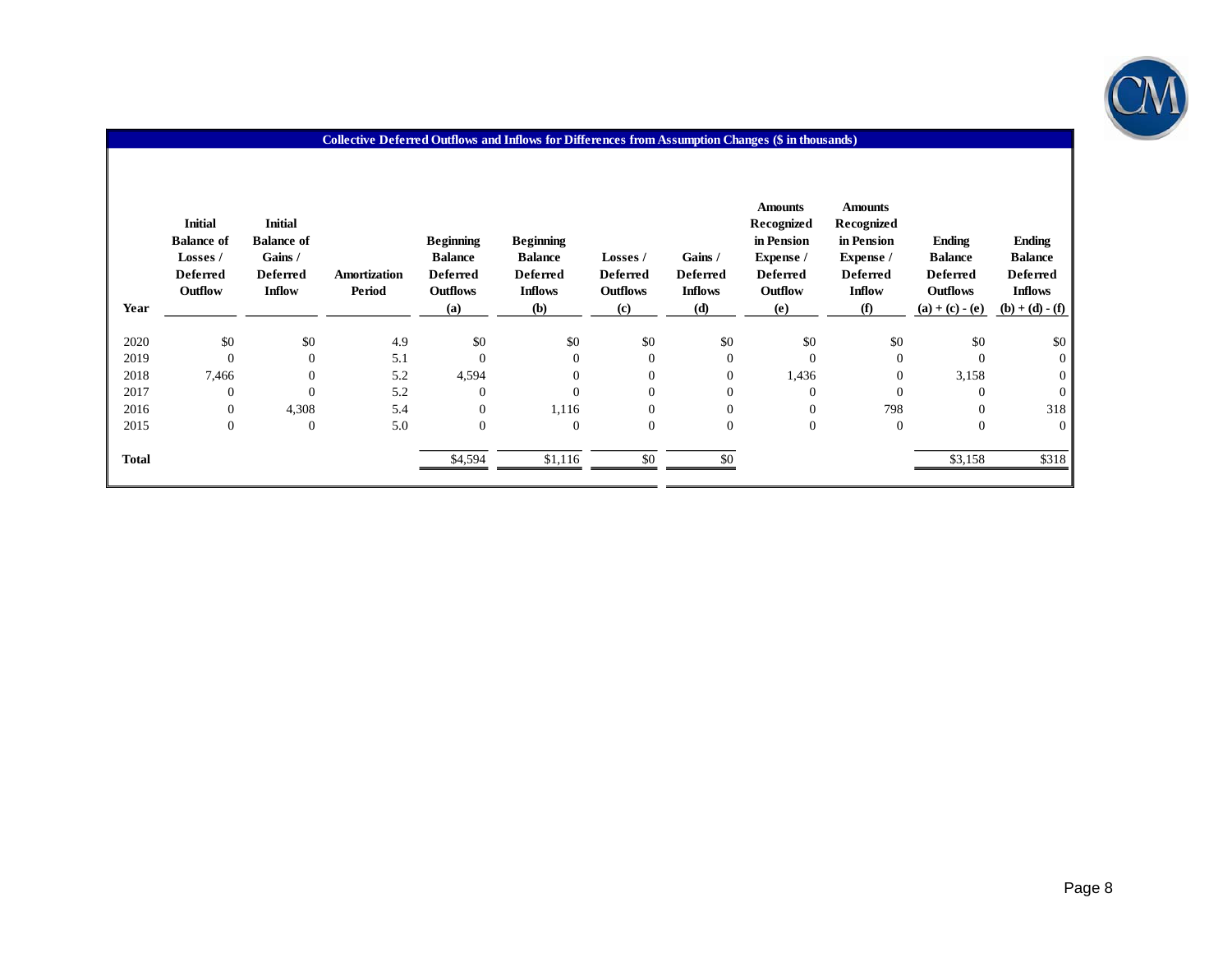

| Year         | <b>Initial</b><br><b>Balance of</b><br>Losses /<br><b>Deferred</b><br>Outflow | <b>Initial</b><br><b>Balance of</b><br>Gains /<br><b>Deferred</b><br><b>Inflow</b> | Amortization<br>Period | <b>Beginning</b><br><b>Balance</b><br><b>Deferred</b><br><b>Outflows</b><br>(a) | <b>Beginning</b><br><b>Balance</b><br><b>Deferred</b><br><b>Inflows</b><br><b>(b)</b> | <b>Losses /</b><br><b>Deferred</b><br><b>Outflows</b><br>(c) | Gains /<br><b>Deferred</b><br><b>Inflows</b><br>(d) | <b>Amounts</b><br>Recognized<br>in Pension<br>Expense /<br><b>Deferred</b><br>Outflow<br>(e) | <b>Amounts</b><br>Recognized<br>in Pension<br>Expense /<br><b>Deferred</b><br><b>Inflow</b><br>(f) | <b>Ending</b><br><b>Balance</b><br><b>Deferred</b><br><b>Outflows</b><br>$(a) + (c) - (e)$ | <b>Ending</b><br><b>Balance</b><br><b>Deferred</b><br><b>Inflows</b><br>$(b) + (d) - (f)$ |
|--------------|-------------------------------------------------------------------------------|------------------------------------------------------------------------------------|------------------------|---------------------------------------------------------------------------------|---------------------------------------------------------------------------------------|--------------------------------------------------------------|-----------------------------------------------------|----------------------------------------------------------------------------------------------|----------------------------------------------------------------------------------------------------|--------------------------------------------------------------------------------------------|-------------------------------------------------------------------------------------------|
| 2020         | \$0                                                                           | \$0                                                                                | 4.9                    | \$0                                                                             | \$0                                                                                   | \$0                                                          | \$0                                                 | \$0                                                                                          | \$0                                                                                                | \$0                                                                                        | \$0                                                                                       |
| 2019         | $\mathbf{0}$                                                                  | $\Omega$                                                                           | 5.1                    | $\Omega$                                                                        | $\overline{0}$                                                                        | $\overline{0}$                                               | $\mathbf{0}$                                        | $\overline{0}$                                                                               | $\Omega$                                                                                           | $\mathbf{0}$                                                                               | $\overline{0}$                                                                            |
| 2018         | 7,466                                                                         | $\Omega$                                                                           | 5.2                    | 4,594                                                                           | $\boldsymbol{0}$                                                                      | $\overline{0}$                                               | $\boldsymbol{0}$                                    | 1,436                                                                                        | $\mathbf{0}$                                                                                       | 3,158                                                                                      | $\overline{0}$                                                                            |
| 2017         | $\mathbf{0}$                                                                  | $\theta$                                                                           | 5.2                    | $\Omega$                                                                        | $\mathbf{0}$                                                                          | $\mathbf{0}$                                                 | $\boldsymbol{0}$                                    | $\mathbf{0}$                                                                                 | $\Omega$                                                                                           | $\Omega$                                                                                   | $\theta$                                                                                  |
| 2016         | $\mathbf{0}$                                                                  | 4,308                                                                              | 5.4                    | $\Omega$                                                                        | 1,116                                                                                 | $\mathbf{0}$                                                 | $\boldsymbol{0}$                                    | $\overline{0}$                                                                               | 798                                                                                                | $\Omega$                                                                                   | 318                                                                                       |
| 2015         | $\mathbf{0}$                                                                  | $\overline{0}$                                                                     | 5.0                    | $\mathbf{0}$                                                                    | $\mathbf{0}$                                                                          | $\boldsymbol{0}$                                             | $\boldsymbol{0}$                                    | $\boldsymbol{0}$                                                                             | $\mathbf{0}$                                                                                       | $\mathbf{0}$                                                                               | $\overline{0}$                                                                            |
| <b>Total</b> |                                                                               |                                                                                    |                        | \$4,594                                                                         | \$1,116                                                                               | \$0                                                          | \$0                                                 |                                                                                              |                                                                                                    | \$3,158                                                                                    | \$318                                                                                     |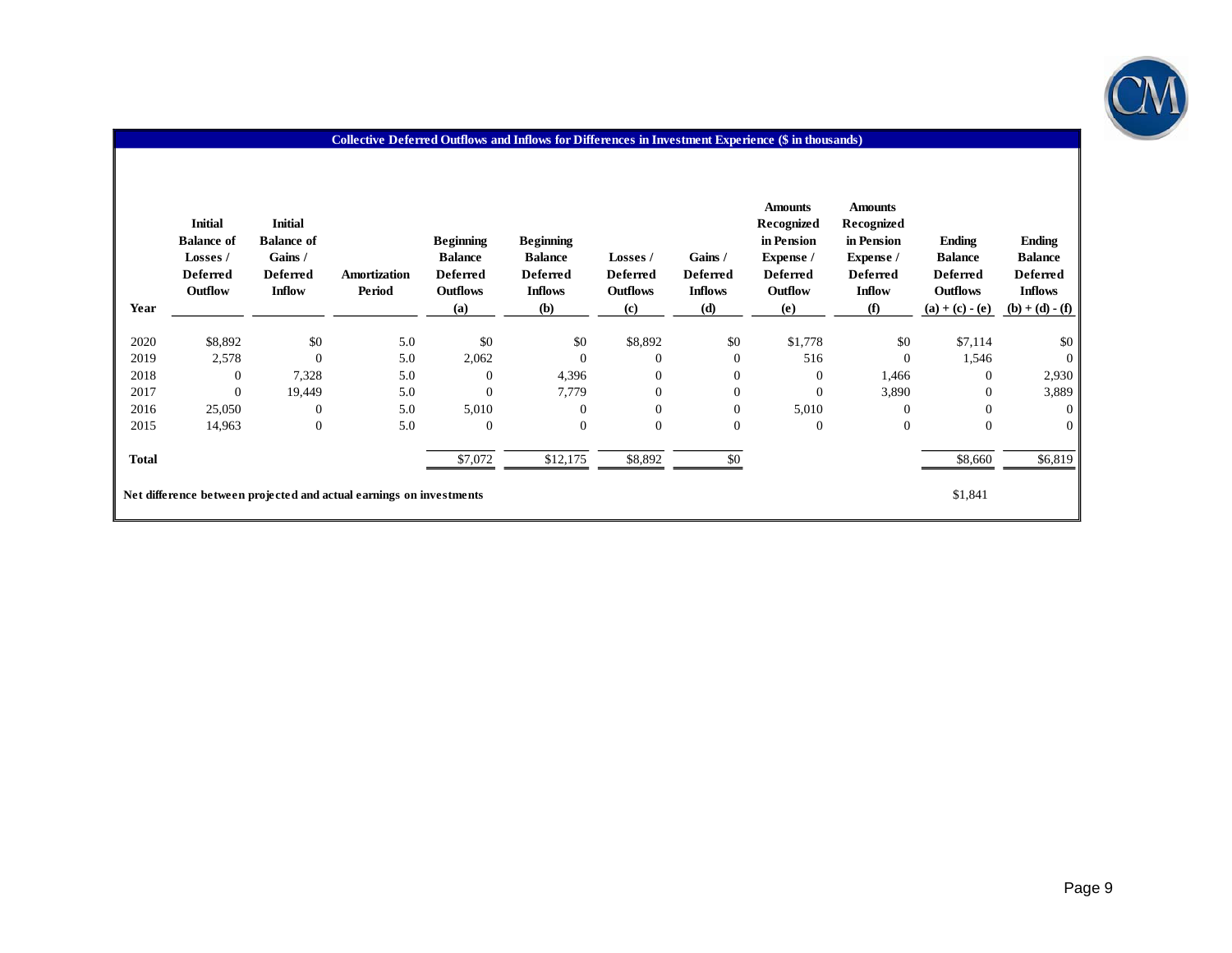

| Year                                                                           | <b>Initial</b><br><b>Balance of</b><br>Losses /<br><b>Deferred</b><br>Outflow | <b>Initial</b><br><b>Balance of</b><br>Gains /<br><b>Deferred</b><br><b>Inflow</b> | Amortization<br>Period | <b>Beginning</b><br><b>Balance</b><br><b>Deferred</b><br><b>Outflows</b><br>(a) | <b>Beginning</b><br><b>Balance</b><br><b>Deferred</b><br><b>Inflows</b><br>(b) | Losses /<br><b>Deferred</b><br><b>Outflows</b><br>(c) | Gains /<br><b>Deferred</b><br><b>Inflows</b><br>(d) | <b>Amounts</b><br>Recognized<br>in Pension<br>Expense /<br><b>Deferred</b><br>Outflow<br>(e) | <b>Amounts</b><br>Recognized<br>in Pension<br>Expense /<br><b>Deferred</b><br><b>Inflow</b><br>(f) | <b>Ending</b><br><b>Balance</b><br><b>Deferred</b><br><b>Outflows</b><br>$(a) + (c) - (e)$ | <b>Ending</b><br><b>Balance</b><br><b>Deferred</b><br><b>Inflows</b><br>$(b) + (d) - (f)$ |
|--------------------------------------------------------------------------------|-------------------------------------------------------------------------------|------------------------------------------------------------------------------------|------------------------|---------------------------------------------------------------------------------|--------------------------------------------------------------------------------|-------------------------------------------------------|-----------------------------------------------------|----------------------------------------------------------------------------------------------|----------------------------------------------------------------------------------------------------|--------------------------------------------------------------------------------------------|-------------------------------------------------------------------------------------------|
| 2020                                                                           | \$8,892                                                                       | \$0                                                                                | 5.0                    | \$0                                                                             | \$0                                                                            | \$8,892                                               | \$0                                                 | \$1,778                                                                                      | \$0                                                                                                | \$7,114                                                                                    | \$0                                                                                       |
| 2019                                                                           | 2,578                                                                         | $\mathbf{0}$                                                                       | 5.0                    | 2,062                                                                           | $\overline{0}$                                                                 | $\mathbf{0}$                                          | $\boldsymbol{0}$                                    | 516                                                                                          | $\overline{0}$                                                                                     | 1,546                                                                                      | $\overline{0}$                                                                            |
| 2018                                                                           | $\overline{0}$                                                                | 7,328                                                                              | 5.0                    | 0                                                                               | 4,396                                                                          | $\mathbf{0}$                                          | $\boldsymbol{0}$                                    | $\overline{0}$                                                                               | 1,466                                                                                              | $\overline{0}$                                                                             | 2,930                                                                                     |
| 2017                                                                           | $\mathbf{0}$                                                                  | 19,449                                                                             | 5.0                    |                                                                                 | 7,779                                                                          | $\boldsymbol{0}$                                      | $\boldsymbol{0}$                                    | $\mathbf{0}$                                                                                 | 3,890                                                                                              | $\boldsymbol{0}$                                                                           | 3,889                                                                                     |
| 2016                                                                           | 25,050                                                                        | $\mathbf{0}$                                                                       | 5.0                    | 5,010                                                                           | $\mathbf{0}$                                                                   | $\mathbf{0}$                                          | $\boldsymbol{0}$                                    | 5,010                                                                                        | $\Omega$                                                                                           | $\mathbf{0}$                                                                               | $\mathbf{0}$                                                                              |
| 2015                                                                           | 14,963                                                                        | $\boldsymbol{0}$                                                                   | 5.0                    | $\boldsymbol{0}$                                                                | $\boldsymbol{0}$                                                               | $\boldsymbol{0}$                                      | $\boldsymbol{0}$                                    | $\mathbf{0}$                                                                                 | $\mathbf{0}$                                                                                       | $\overline{0}$                                                                             | $\overline{0}$                                                                            |
| <b>Total</b>                                                                   |                                                                               |                                                                                    |                        | \$7,072                                                                         | \$12,175                                                                       | \$8,892                                               | \$0                                                 |                                                                                              |                                                                                                    | \$8,660                                                                                    | \$6,819                                                                                   |
| \$1,841<br>Net difference between projected and actual earnings on investments |                                                                               |                                                                                    |                        |                                                                                 |                                                                                |                                                       |                                                     |                                                                                              |                                                                                                    |                                                                                            |                                                                                           |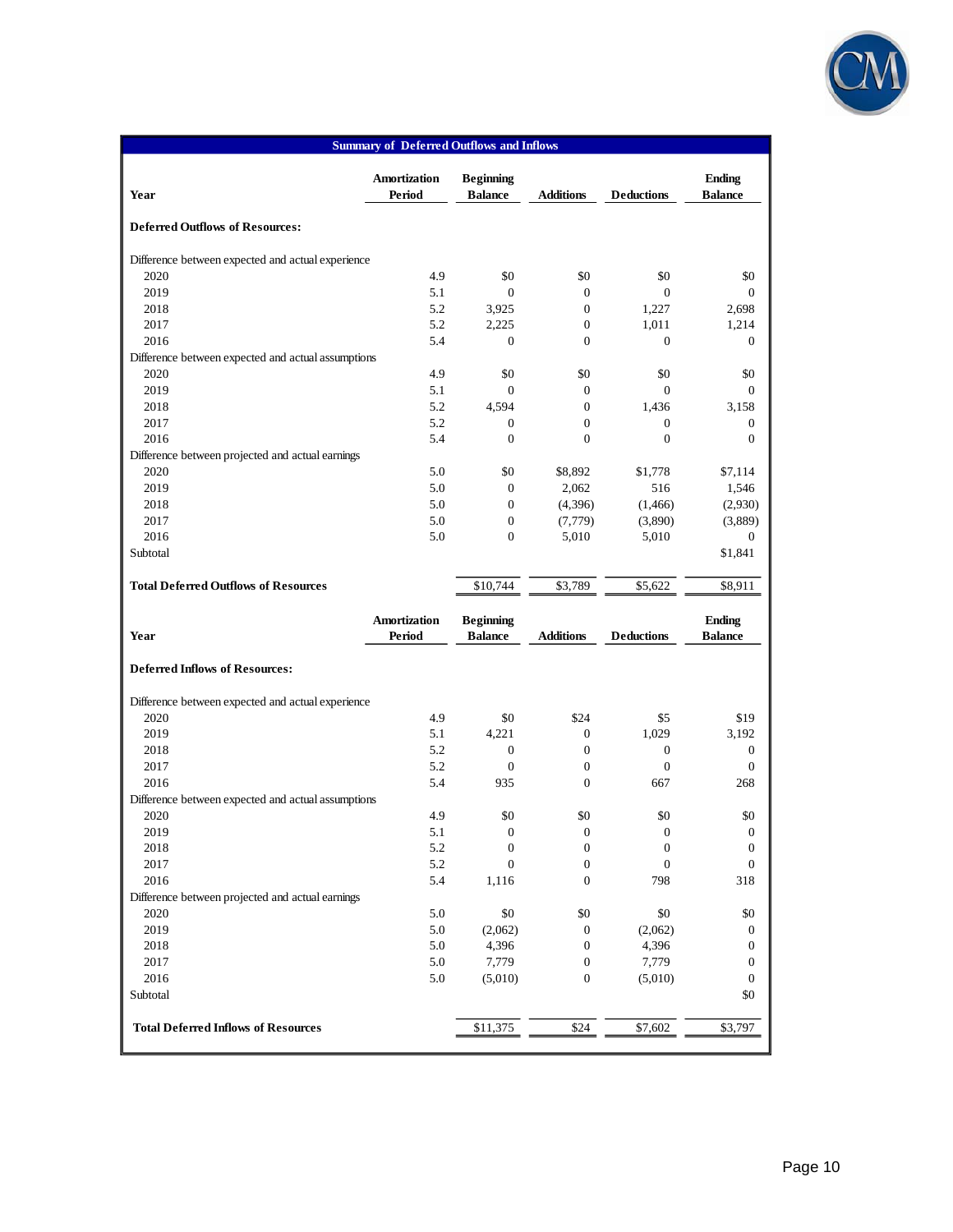

| <b>Summary of Deferred Outflows and Inflows</b>    |              |                  |                  |                   |                  |  |  |  |  |  |  |  |
|----------------------------------------------------|--------------|------------------|------------------|-------------------|------------------|--|--|--|--|--|--|--|
|                                                    | Amortization | <b>Beginning</b> |                  |                   | <b>Ending</b>    |  |  |  |  |  |  |  |
| Year                                               | Period       | <b>Balance</b>   | <b>Additions</b> | <b>Deductions</b> | <b>Balance</b>   |  |  |  |  |  |  |  |
| <b>Deferred Outflows of Resources:</b>             |              |                  |                  |                   |                  |  |  |  |  |  |  |  |
| Difference between expected and actual experience  |              |                  |                  |                   |                  |  |  |  |  |  |  |  |
| 2020                                               | 4.9          | \$0              | \$0              | \$0               | \$0              |  |  |  |  |  |  |  |
| 2019                                               | 5.1          | $\mathbf{0}$     | $\mathbf{0}$     | $\mathbf{0}$      | $\theta$         |  |  |  |  |  |  |  |
| 2018                                               | 5.2          | 3,925            | $\boldsymbol{0}$ | 1,227             | 2,698            |  |  |  |  |  |  |  |
| 2017                                               | 5.2          | 2,225            | $\boldsymbol{0}$ | 1,011             | 1,214            |  |  |  |  |  |  |  |
| 2016                                               | 5.4          | $\theta$         | $\boldsymbol{0}$ | $\mathbf{0}$      | $\theta$         |  |  |  |  |  |  |  |
| Difference between expected and actual assumptions |              |                  |                  |                   |                  |  |  |  |  |  |  |  |
| 2020                                               | 4.9          | \$0              | \$0              | \$0               | \$0              |  |  |  |  |  |  |  |
| 2019                                               | 5.1          | $\Omega$         | $\mathbf{0}$     | $\Omega$          | $\Omega$         |  |  |  |  |  |  |  |
| 2018                                               | 5.2          | 4,594            | $\boldsymbol{0}$ | 1,436             | 3,158            |  |  |  |  |  |  |  |
| 2017                                               | 5.2          | $\theta$         | $\boldsymbol{0}$ | $\mathbf{0}$      | $\mathbf{0}$     |  |  |  |  |  |  |  |
| 2016                                               | 5.4          | $\Omega$         | $\overline{0}$   | $\mathbf{0}$      | $\mathbf{0}$     |  |  |  |  |  |  |  |
| Difference between projected and actual earnings   |              |                  |                  |                   |                  |  |  |  |  |  |  |  |
| 2020                                               | 5.0          | \$0              | \$8,892          | \$1,778           | \$7,114          |  |  |  |  |  |  |  |
| 2019                                               | 5.0          | $\theta$         | 2,062            | 516               | 1,546            |  |  |  |  |  |  |  |
| 2018                                               | 5.0          | $\mathbf{0}$     | (4,396)          | (1, 466)          | (2,930)          |  |  |  |  |  |  |  |
| 2017                                               | 5.0          | $\mathbf{0}$     | (7, 779)         | (3,890)           | (3,889)          |  |  |  |  |  |  |  |
| 2016                                               | 5.0          | $\mathbf{0}$     | 5,010            | 5,010             | $\boldsymbol{0}$ |  |  |  |  |  |  |  |
| Subtotal                                           |              |                  |                  |                   | \$1,841          |  |  |  |  |  |  |  |
| <b>Total Deferred Outflows of Resources</b>        |              | \$10,744         | \$3,789          | \$5,622           | \$8,911          |  |  |  |  |  |  |  |
|                                                    | Amortization | <b>Beginning</b> |                  |                   | <b>Ending</b>    |  |  |  |  |  |  |  |
| Year                                               | Period       | <b>Balance</b>   | <b>Additions</b> | <b>Deductions</b> | <b>Balance</b>   |  |  |  |  |  |  |  |
|                                                    |              |                  |                  |                   |                  |  |  |  |  |  |  |  |
| <b>Deferred Inflows of Resources:</b>              |              |                  |                  |                   |                  |  |  |  |  |  |  |  |
| Difference between expected and actual experience  |              |                  |                  |                   |                  |  |  |  |  |  |  |  |
| 2020                                               | 4.9          | \$0              | \$24             | \$5               | \$19             |  |  |  |  |  |  |  |
| 2019                                               | 5.1          | 4,221            | $\boldsymbol{0}$ | 1,029             | 3,192            |  |  |  |  |  |  |  |
| 2018                                               | 5.2          | $\mathbf{0}$     | $\boldsymbol{0}$ | $\boldsymbol{0}$  | $\boldsymbol{0}$ |  |  |  |  |  |  |  |
| 2017                                               | 5.2          | $\mathbf{0}$     | $\boldsymbol{0}$ | $\mathbf{0}$      | $\mathbf{0}$     |  |  |  |  |  |  |  |
| 2016                                               | 5.4          | 935              | $\overline{0}$   | 667               | 268              |  |  |  |  |  |  |  |
| Difference between expected and actual assumptions |              |                  |                  |                   |                  |  |  |  |  |  |  |  |
| 2020                                               | 4.9          | \$0              | \$0              | \$0               | \$0              |  |  |  |  |  |  |  |
| 2019                                               | $5.1\,$      | $\boldsymbol{0}$ | $\boldsymbol{0}$ | $\boldsymbol{0}$  | $\mathbf{0}$     |  |  |  |  |  |  |  |
| 2018                                               | 5.2          | $\boldsymbol{0}$ | $\boldsymbol{0}$ | $\boldsymbol{0}$  | $\boldsymbol{0}$ |  |  |  |  |  |  |  |
| 2017                                               | 5.2          | $\mathbf{0}$     | $\boldsymbol{0}$ | $\boldsymbol{0}$  | $\boldsymbol{0}$ |  |  |  |  |  |  |  |
| 2016                                               | 5.4          | 1,116            | $\boldsymbol{0}$ | 798               | 318              |  |  |  |  |  |  |  |
| Difference between projected and actual earnings   |              |                  |                  |                   |                  |  |  |  |  |  |  |  |
| 2020                                               | $5.0\,$      | \$0              | \$0              | \$0               | \$0              |  |  |  |  |  |  |  |
| 2019                                               | $5.0\,$      | (2,062)          | $\boldsymbol{0}$ | (2,062)           | $\mathbf{0}$     |  |  |  |  |  |  |  |
| 2018                                               | $5.0\,$      | 4,396            | $\boldsymbol{0}$ | 4,396             | $\boldsymbol{0}$ |  |  |  |  |  |  |  |
| 2017                                               | 5.0          | 7,779            | $\boldsymbol{0}$ | 7,779             | $\boldsymbol{0}$ |  |  |  |  |  |  |  |
| 2016                                               | $5.0\,$      | (5,010)          | $\boldsymbol{0}$ | (5,010)           | $\boldsymbol{0}$ |  |  |  |  |  |  |  |
| Subtotal                                           |              |                  |                  |                   | \$0              |  |  |  |  |  |  |  |
| <b>Total Deferred Inflows of Resources</b>         |              | \$11,375         | \$24             | \$7,602           | \$3,797          |  |  |  |  |  |  |  |
|                                                    |              |                  |                  |                   |                  |  |  |  |  |  |  |  |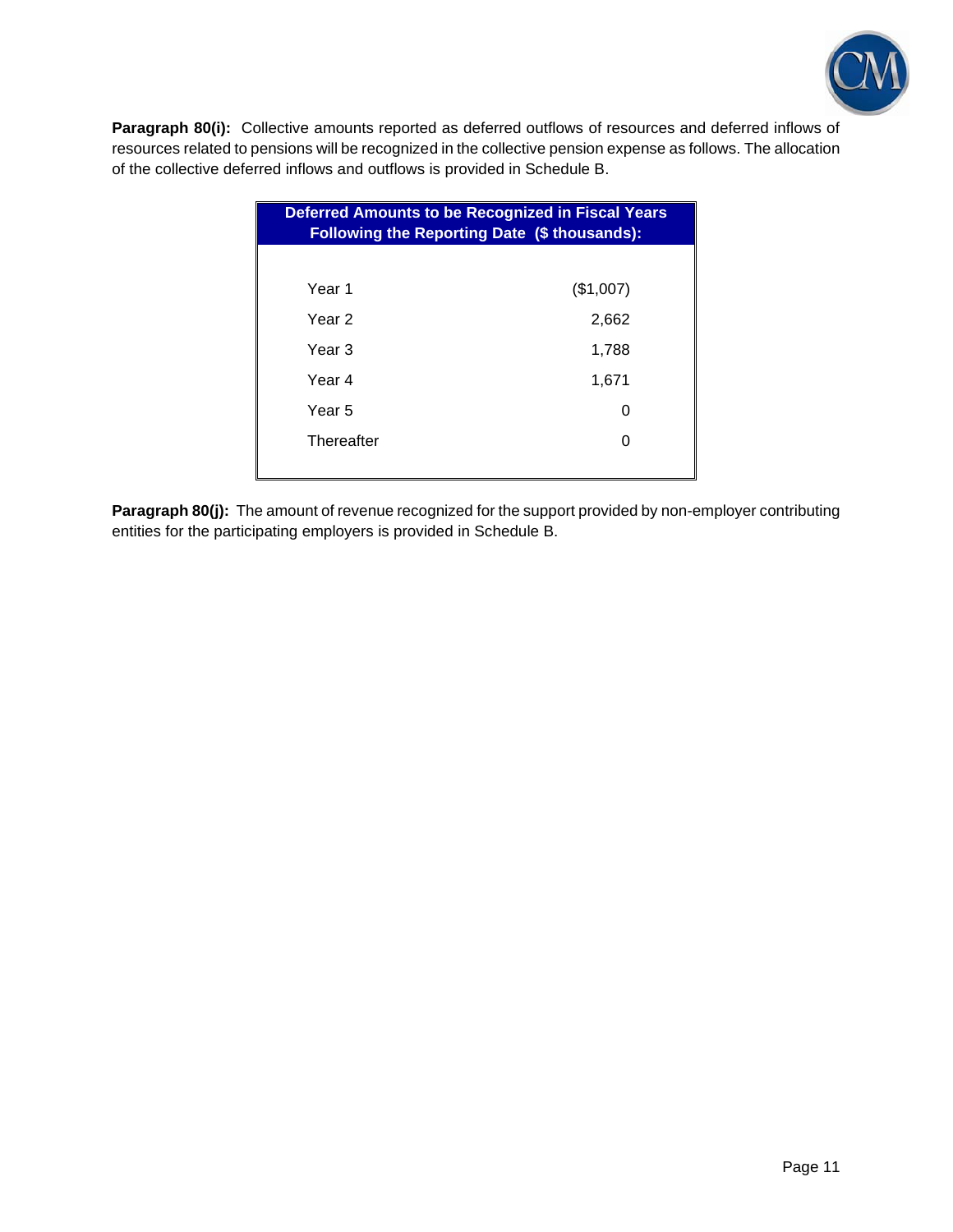

Paragraph 80(i): Collective amounts reported as deferred outflows of resources and deferred inflows of resources related to pensions will be recognized in the collective pension expense as follows. The allocation of the collective deferred inflows and outflows is provided in Schedule B.

| <b>Deferred Amounts to be Recognized in Fiscal Years</b><br>Following the Reporting Date (\$ thousands): |           |  |  |  |  |  |  |  |
|----------------------------------------------------------------------------------------------------------|-----------|--|--|--|--|--|--|--|
|                                                                                                          |           |  |  |  |  |  |  |  |
| Year 1                                                                                                   | (\$1,007) |  |  |  |  |  |  |  |
| Year 2                                                                                                   | 2,662     |  |  |  |  |  |  |  |
| Year 3                                                                                                   | 1,788     |  |  |  |  |  |  |  |
| Year 4                                                                                                   | 1,671     |  |  |  |  |  |  |  |
| Year 5                                                                                                   | 0         |  |  |  |  |  |  |  |
| Thereafter                                                                                               | O         |  |  |  |  |  |  |  |
|                                                                                                          |           |  |  |  |  |  |  |  |

Paragraph 80(j): The amount of revenue recognized for the support provided by non-employer contributing entities for the participating employers is provided in Schedule B.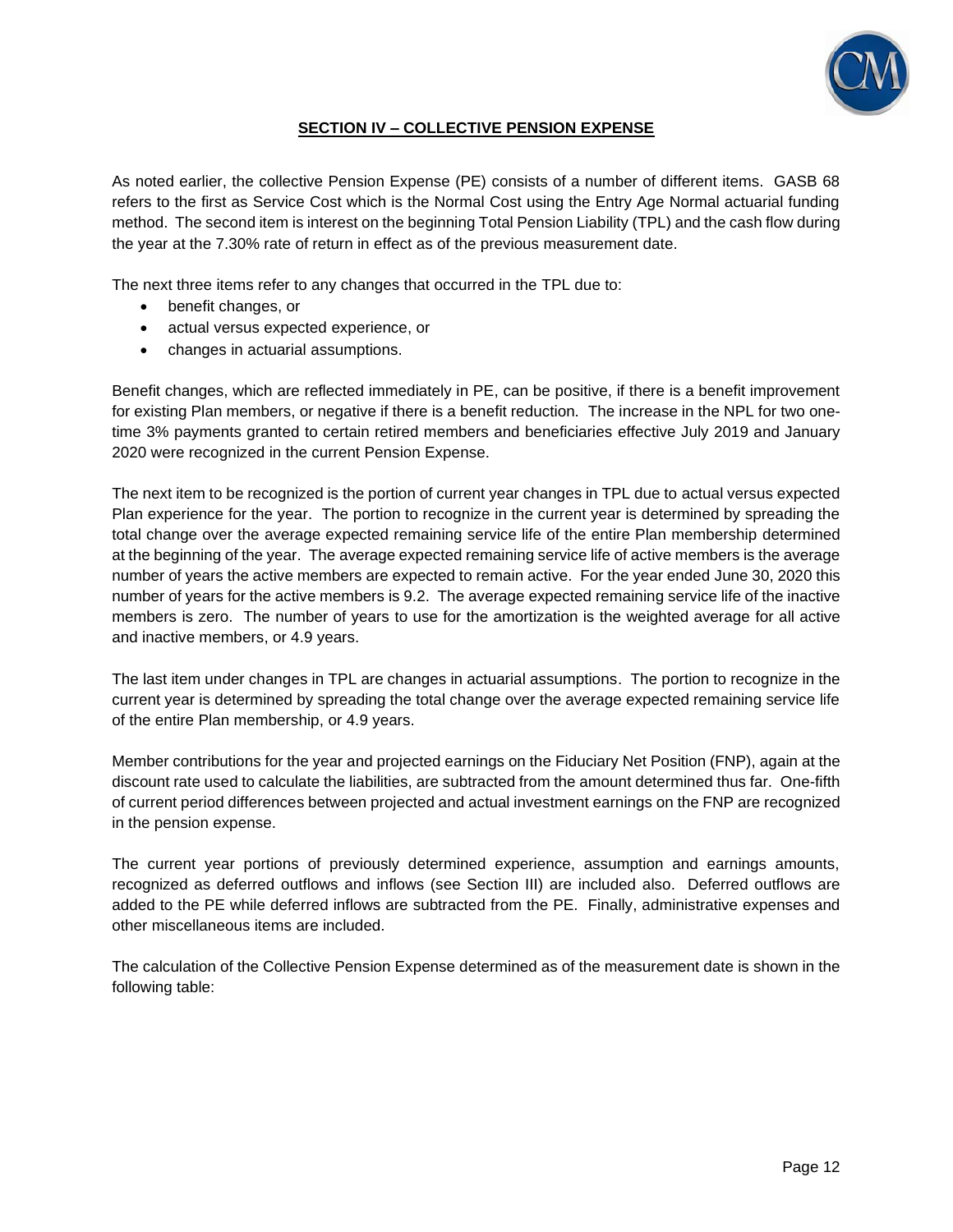

## **SECTION IV – COLLECTIVE PENSION EXPENSE**

As noted earlier, the collective Pension Expense (PE) consists of a number of different items. GASB 68 refers to the first as Service Cost which is the Normal Cost using the Entry Age Normal actuarial funding method. The second item is interest on the beginning Total Pension Liability (TPL) and the cash flow during the year at the 7.30% rate of return in effect as of the previous measurement date.

The next three items refer to any changes that occurred in the TPL due to:

- benefit changes, or
- actual versus expected experience, or
- changes in actuarial assumptions.

Benefit changes, which are reflected immediately in PE, can be positive, if there is a benefit improvement for existing Plan members, or negative if there is a benefit reduction. The increase in the NPL for two onetime 3% payments granted to certain retired members and beneficiaries effective July 2019 and January 2020 were recognized in the current Pension Expense.

The next item to be recognized is the portion of current year changes in TPL due to actual versus expected Plan experience for the year. The portion to recognize in the current year is determined by spreading the total change over the average expected remaining service life of the entire Plan membership determined at the beginning of the year. The average expected remaining service life of active members is the average number of years the active members are expected to remain active. For the year ended June 30, 2020 this number of years for the active members is 9.2. The average expected remaining service life of the inactive members is zero. The number of years to use for the amortization is the weighted average for all active and inactive members, or 4.9 years.

The last item under changes in TPL are changes in actuarial assumptions. The portion to recognize in the current year is determined by spreading the total change over the average expected remaining service life of the entire Plan membership, or 4.9 years.

Member contributions for the year and projected earnings on the Fiduciary Net Position (FNP), again at the discount rate used to calculate the liabilities, are subtracted from the amount determined thus far. One-fifth of current period differences between projected and actual investment earnings on the FNP are recognized in the pension expense.

The current year portions of previously determined experience, assumption and earnings amounts, recognized as deferred outflows and inflows (see Section III) are included also. Deferred outflows are added to the PE while deferred inflows are subtracted from the PE. Finally, administrative expenses and other miscellaneous items are included.

The calculation of the Collective Pension Expense determined as of the measurement date is shown in the following table: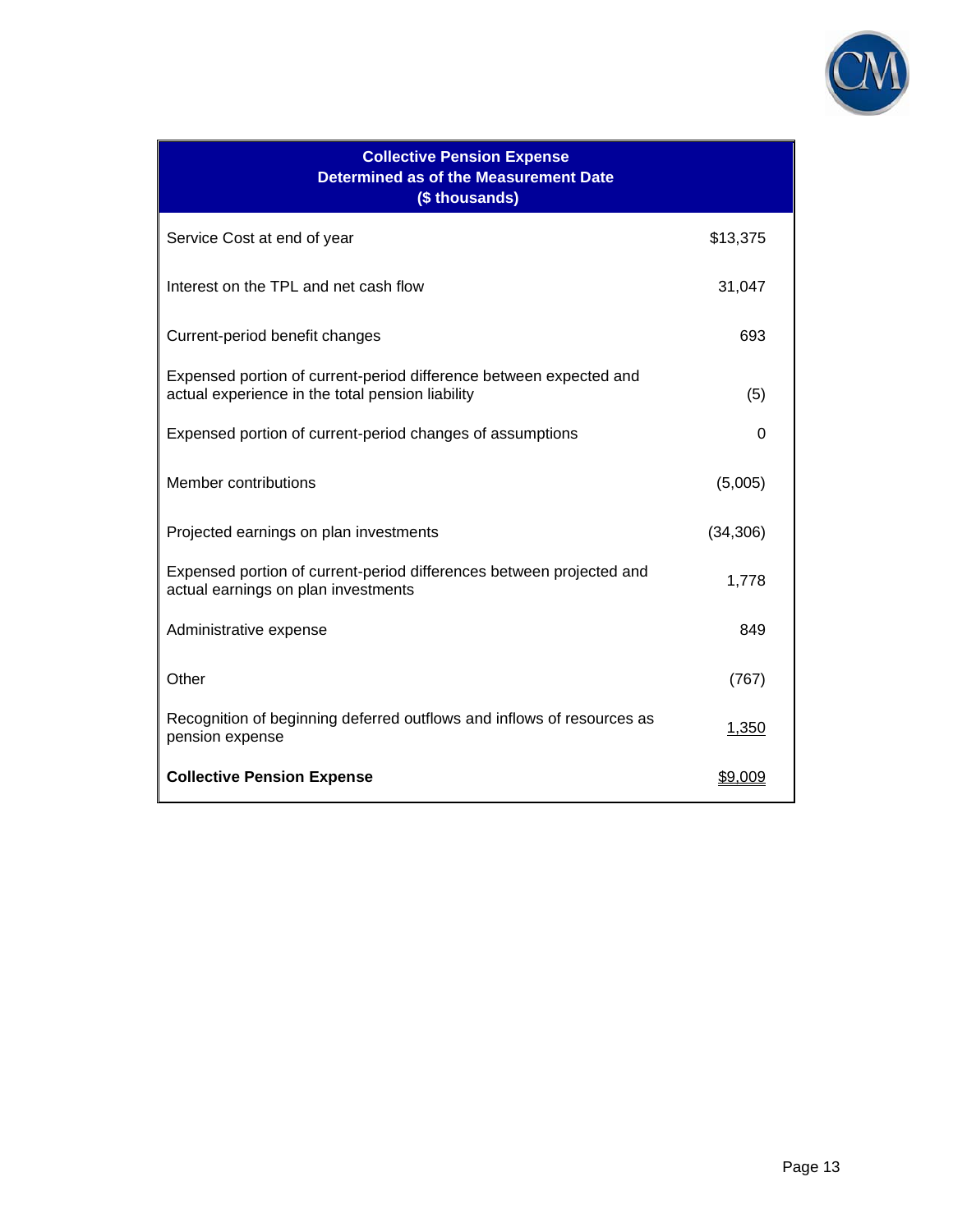

| <b>Collective Pension Expense</b><br><b>Determined as of the Measurement Date</b><br>(\$ thousands)                    |           |  |  |  |  |  |  |  |
|------------------------------------------------------------------------------------------------------------------------|-----------|--|--|--|--|--|--|--|
| Service Cost at end of year                                                                                            | \$13,375  |  |  |  |  |  |  |  |
| Interest on the TPL and net cash flow                                                                                  | 31,047    |  |  |  |  |  |  |  |
| Current-period benefit changes                                                                                         | 693       |  |  |  |  |  |  |  |
| Expensed portion of current-period difference between expected and<br>actual experience in the total pension liability | (5)       |  |  |  |  |  |  |  |
| Expensed portion of current-period changes of assumptions                                                              | 0         |  |  |  |  |  |  |  |
| Member contributions                                                                                                   | (5,005)   |  |  |  |  |  |  |  |
| Projected earnings on plan investments                                                                                 | (34, 306) |  |  |  |  |  |  |  |
| Expensed portion of current-period differences between projected and<br>actual earnings on plan investments            | 1,778     |  |  |  |  |  |  |  |
| Administrative expense                                                                                                 | 849       |  |  |  |  |  |  |  |
| Other                                                                                                                  | (767)     |  |  |  |  |  |  |  |
| Recognition of beginning deferred outflows and inflows of resources as<br>pension expense                              | 1,350     |  |  |  |  |  |  |  |
| <b>Collective Pension Expense</b>                                                                                      | \$9,009   |  |  |  |  |  |  |  |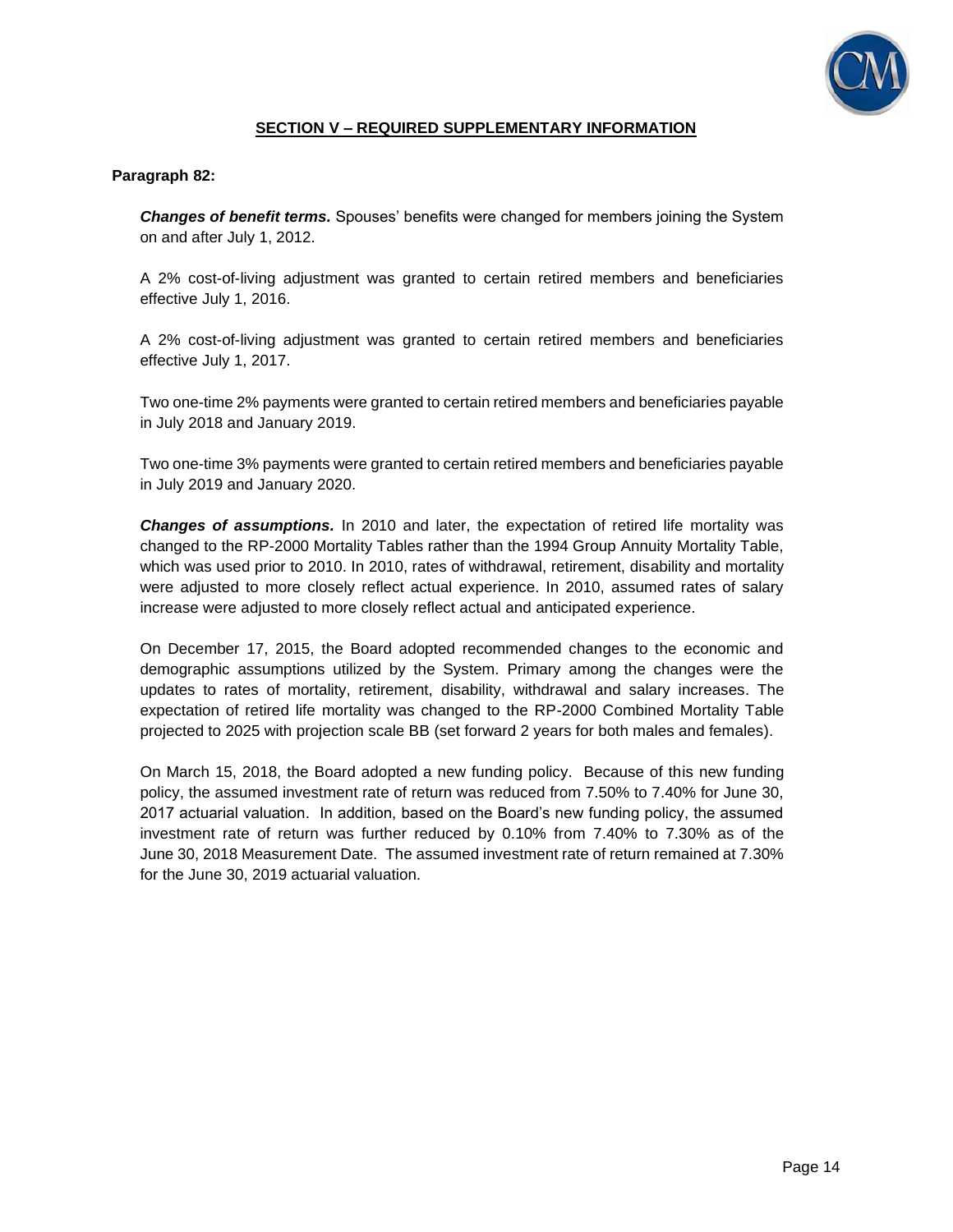

## **SECTION V – REQUIRED SUPPLEMENTARY INFORMATION**

### **Paragraph 82:**

*Changes of benefit terms.* Spouses' benefits were changed for members joining the System on and after July 1, 2012.

A 2% cost-of-living adjustment was granted to certain retired members and beneficiaries effective July 1, 2016.

A 2% cost-of-living adjustment was granted to certain retired members and beneficiaries effective July 1, 2017.

Two one-time 2% payments were granted to certain retired members and beneficiaries payable in July 2018 and January 2019.

Two one-time 3% payments were granted to certain retired members and beneficiaries payable in July 2019 and January 2020.

*Changes of assumptions.* In 2010 and later, the expectation of retired life mortality was changed to the RP-2000 Mortality Tables rather than the 1994 Group Annuity Mortality Table, which was used prior to 2010. In 2010, rates of withdrawal, retirement, disability and mortality were adjusted to more closely reflect actual experience. In 2010, assumed rates of salary increase were adjusted to more closely reflect actual and anticipated experience.

On December 17, 2015, the Board adopted recommended changes to the economic and demographic assumptions utilized by the System. Primary among the changes were the updates to rates of mortality, retirement, disability, withdrawal and salary increases. The expectation of retired life mortality was changed to the RP-2000 Combined Mortality Table projected to 2025 with projection scale BB (set forward 2 years for both males and females).

On March 15, 2018, the Board adopted a new funding policy. Because of this new funding policy, the assumed investment rate of return was reduced from 7.50% to 7.40% for June 30, 2017 actuarial valuation. In addition, based on the Board's new funding policy, the assumed investment rate of return was further reduced by 0.10% from 7.40% to 7.30% as of the June 30, 2018 Measurement Date. The assumed investment rate of return remained at 7.30% for the June 30, 2019 actuarial valuation.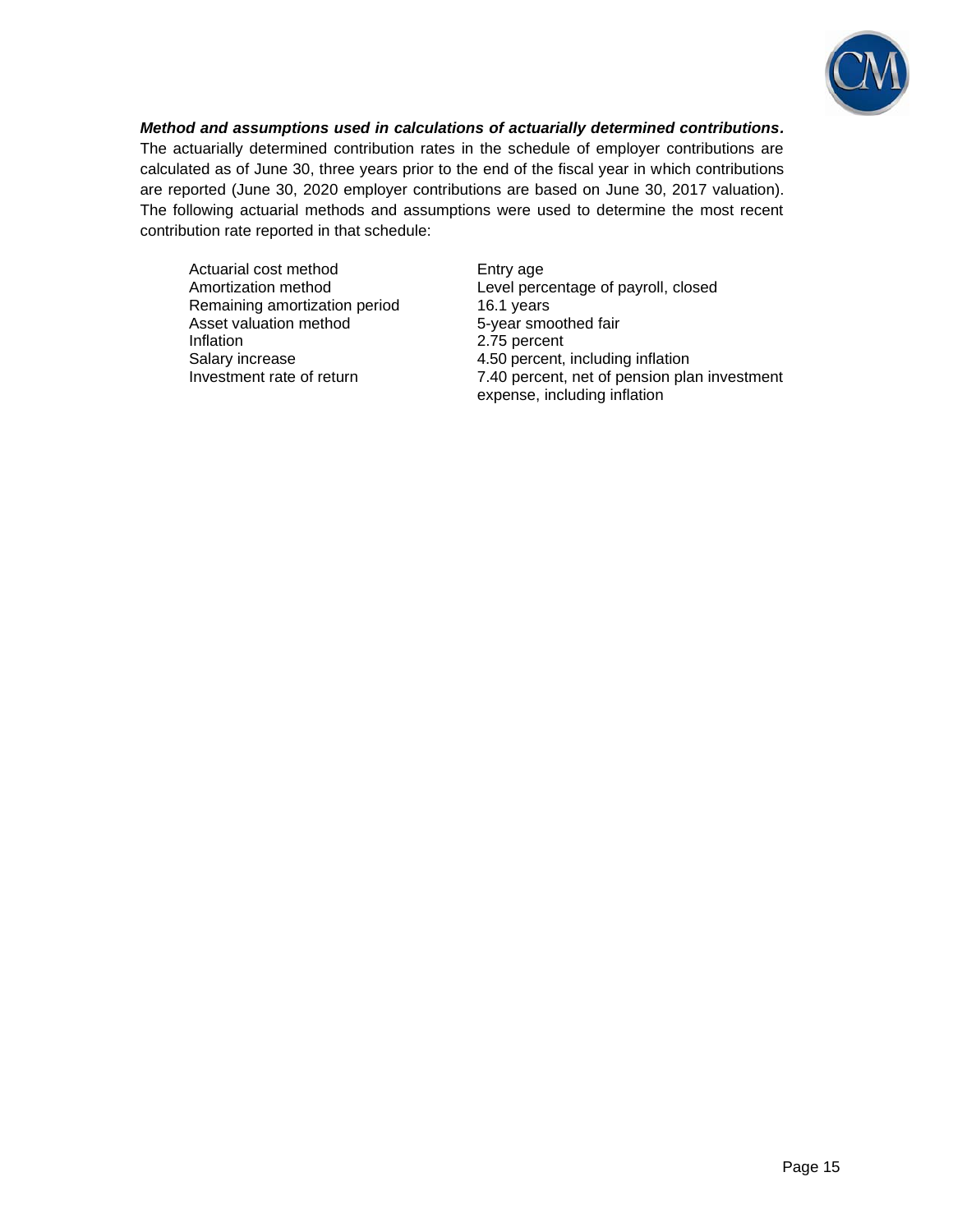

*Method and assumptions used in calculations of actuarially determined contributions.* The actuarially determined contribution rates in the schedule of employer contributions are calculated as of June 30, three years prior to the end of the fiscal year in which contributions are reported (June 30, 2020 employer contributions are based on June 30, 2017 valuation).

The following actuarial methods and assumptions were used to determine the most recent contribution rate reported in that schedule:

Actuarial cost method Entry age Remaining amortization period 16.1 years Asset valuation method 5-year smoothed fair Inflation 2.75 percent

Amortization method Level percentage of payroll, closed Salary increase 3.1 and 4.50 percent, including inflation Investment rate of return 7.40 percent, net of pension plan investment expense, including inflation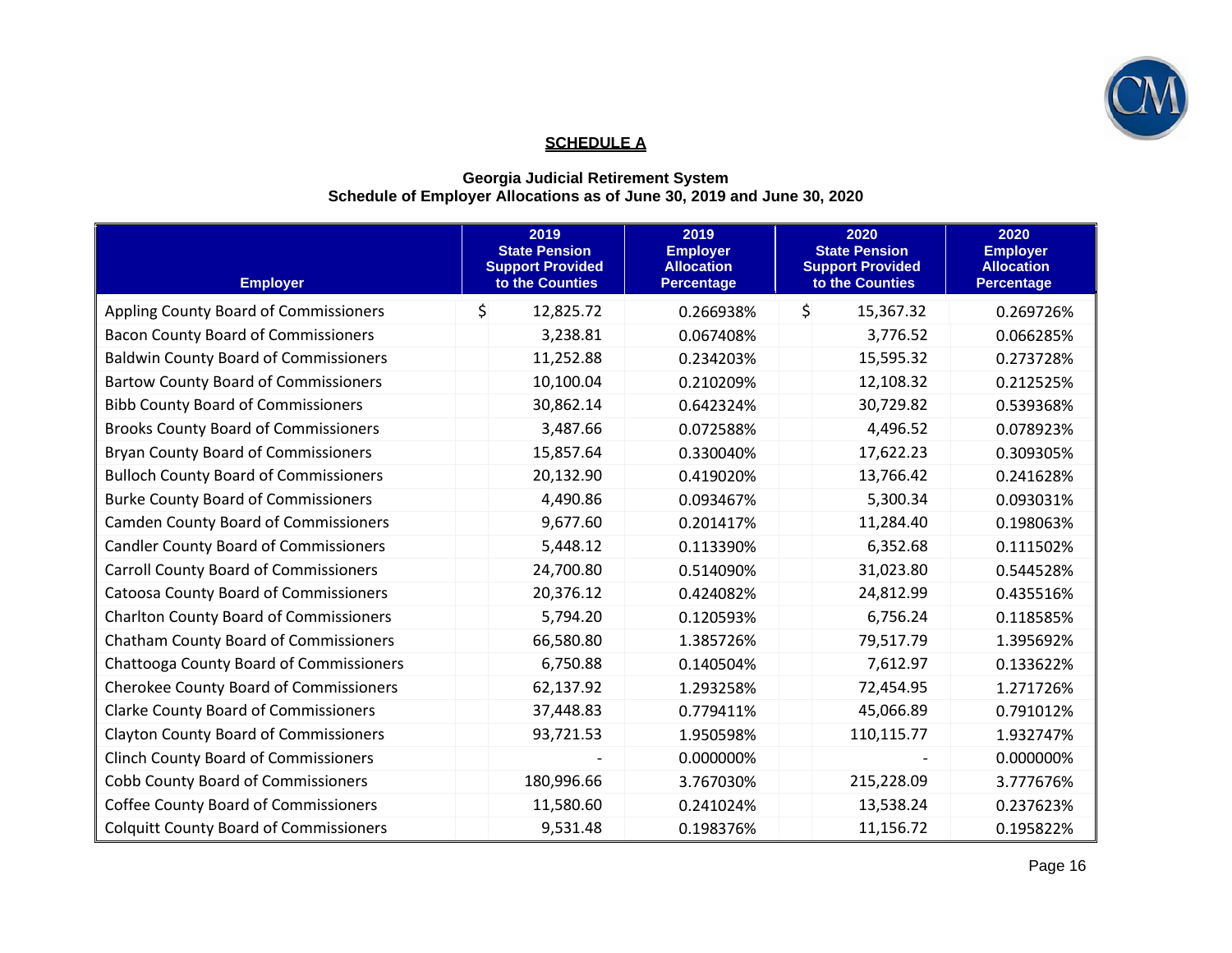

# **SCHEDULE A**

### **Georgia Judicial Retirement System Schedule of Employer Allocations as of June 30, 2019 and June 30, 2020**

| <b>Employer</b>                               | 2019<br><b>State Pension</b><br><b>Support Provided</b><br>to the Counties | 2019<br><b>Employer</b><br><b>Allocation</b><br><b>Percentage</b> | 2020<br><b>State Pension</b><br><b>Support Provided</b><br>to the Counties | 2020<br><b>Employer</b><br><b>Allocation</b><br><b>Percentage</b> |
|-----------------------------------------------|----------------------------------------------------------------------------|-------------------------------------------------------------------|----------------------------------------------------------------------------|-------------------------------------------------------------------|
| Appling County Board of Commissioners         | \$<br>12,825.72                                                            | 0.266938%                                                         | \$<br>15,367.32                                                            | 0.269726%                                                         |
| <b>Bacon County Board of Commissioners</b>    | 3,238.81                                                                   | 0.067408%                                                         | 3,776.52                                                                   | 0.066285%                                                         |
| <b>Baldwin County Board of Commissioners</b>  | 11,252.88                                                                  | 0.234203%                                                         | 15,595.32                                                                  | 0.273728%                                                         |
| <b>Bartow County Board of Commissioners</b>   | 10,100.04                                                                  | 0.210209%                                                         | 12,108.32                                                                  | 0.212525%                                                         |
| <b>Bibb County Board of Commissioners</b>     | 30,862.14                                                                  | 0.642324%                                                         | 30,729.82                                                                  | 0.539368%                                                         |
| <b>Brooks County Board of Commissioners</b>   | 3,487.66                                                                   | 0.072588%                                                         | 4,496.52                                                                   | 0.078923%                                                         |
| <b>Bryan County Board of Commissioners</b>    | 15,857.64                                                                  | 0.330040%                                                         | 17,622.23                                                                  | 0.309305%                                                         |
| <b>Bulloch County Board of Commissioners</b>  | 20,132.90                                                                  | 0.419020%                                                         | 13,766.42                                                                  | 0.241628%                                                         |
| <b>Burke County Board of Commissioners</b>    | 4,490.86                                                                   | 0.093467%                                                         | 5,300.34                                                                   | 0.093031%                                                         |
| <b>Camden County Board of Commissioners</b>   | 9,677.60                                                                   | 0.201417%                                                         | 11,284.40                                                                  | 0.198063%                                                         |
| <b>Candler County Board of Commissioners</b>  | 5,448.12                                                                   | 0.113390%                                                         | 6,352.68                                                                   | 0.111502%                                                         |
| <b>Carroll County Board of Commissioners</b>  | 24,700.80                                                                  | 0.514090%                                                         | 31,023.80                                                                  | 0.544528%                                                         |
| <b>Catoosa County Board of Commissioners</b>  | 20,376.12                                                                  | 0.424082%                                                         | 24,812.99                                                                  | 0.435516%                                                         |
| <b>Charlton County Board of Commissioners</b> | 5,794.20                                                                   | 0.120593%                                                         | 6,756.24                                                                   | 0.118585%                                                         |
| <b>Chatham County Board of Commissioners</b>  | 66,580.80                                                                  | 1.385726%                                                         | 79,517.79                                                                  | 1.395692%                                                         |
| Chattooga County Board of Commissioners       | 6,750.88                                                                   | 0.140504%                                                         | 7,612.97                                                                   | 0.133622%                                                         |
| <b>Cherokee County Board of Commissioners</b> | 62,137.92                                                                  | 1.293258%                                                         | 72,454.95                                                                  | 1.271726%                                                         |
| <b>Clarke County Board of Commissioners</b>   | 37,448.83                                                                  | 0.779411%                                                         | 45,066.89                                                                  | 0.791012%                                                         |
| <b>Clayton County Board of Commissioners</b>  | 93,721.53                                                                  | 1.950598%                                                         | 110,115.77                                                                 | 1.932747%                                                         |
| <b>Clinch County Board of Commissioners</b>   |                                                                            | 0.000000%                                                         |                                                                            | 0.000000%                                                         |
| <b>Cobb County Board of Commissioners</b>     | 180,996.66                                                                 | 3.767030%                                                         | 215,228.09                                                                 | 3.777676%                                                         |
| <b>Coffee County Board of Commissioners</b>   | 11,580.60                                                                  | 0.241024%                                                         | 13,538.24                                                                  | 0.237623%                                                         |
| <b>Colquitt County Board of Commissioners</b> | 9,531.48                                                                   | 0.198376%                                                         | 11,156.72                                                                  | 0.195822%                                                         |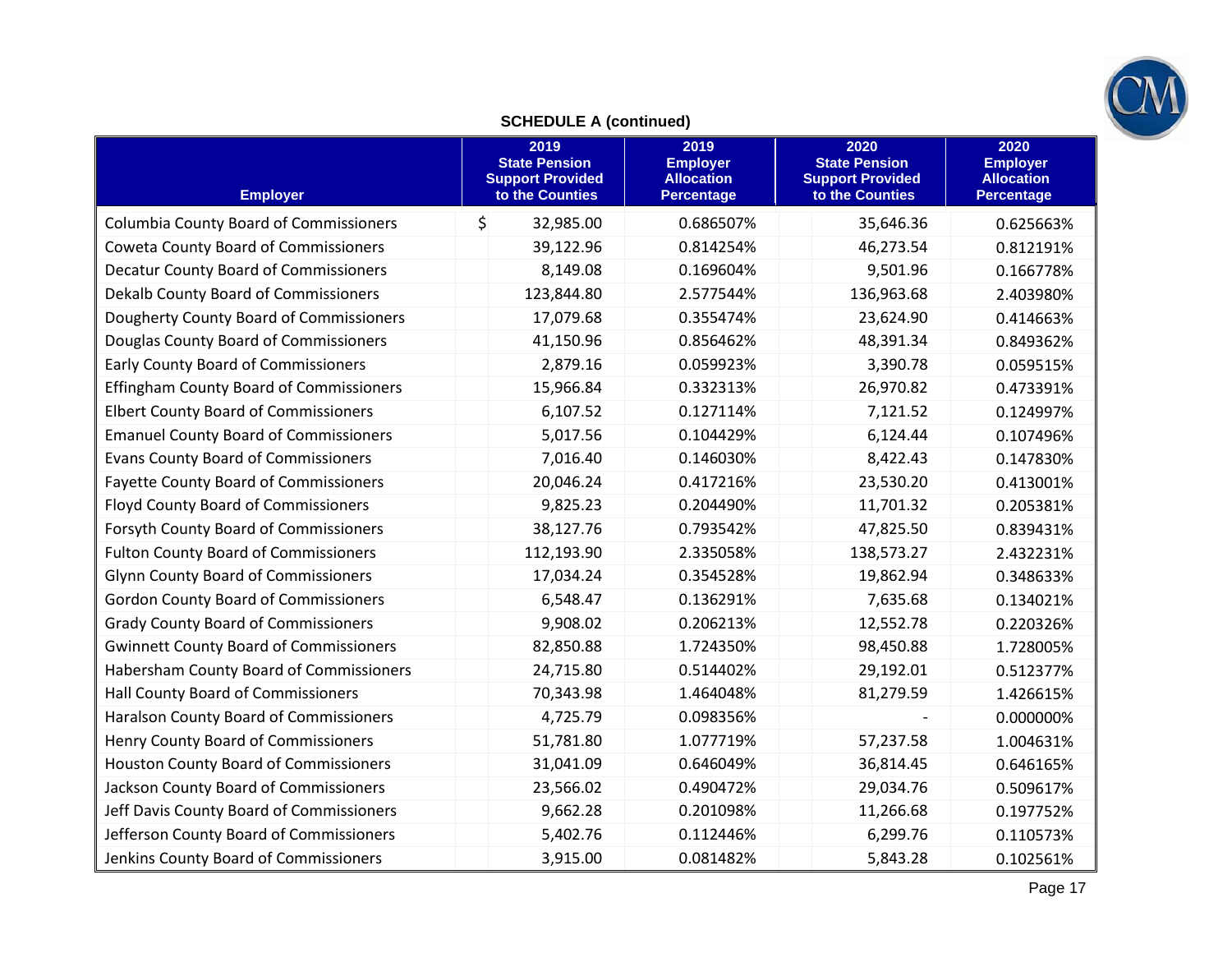

# **SCHEDULE A (continued)**

| <b>Employer</b>                                | 2019<br><b>State Pension</b><br><b>Support Provided</b><br>to the Counties | 2019<br><b>Employer</b><br><b>Allocation</b><br><b>Percentage</b> | 2020<br><b>State Pension</b><br><b>Support Provided</b><br>to the Counties | 2020<br><b>Employer</b><br><b>Allocation</b><br><b>Percentage</b> |
|------------------------------------------------|----------------------------------------------------------------------------|-------------------------------------------------------------------|----------------------------------------------------------------------------|-------------------------------------------------------------------|
| <b>Columbia County Board of Commissioners</b>  | \$<br>32,985.00                                                            | 0.686507%                                                         | 35,646.36                                                                  | 0.625663%                                                         |
| <b>Coweta County Board of Commissioners</b>    | 39,122.96                                                                  | 0.814254%                                                         | 46,273.54                                                                  | 0.812191%                                                         |
| <b>Decatur County Board of Commissioners</b>   | 8,149.08                                                                   | 0.169604%                                                         | 9,501.96                                                                   | 0.166778%                                                         |
| Dekalb County Board of Commissioners           | 123,844.80                                                                 | 2.577544%                                                         | 136,963.68                                                                 | 2.403980%                                                         |
| Dougherty County Board of Commissioners        | 17,079.68                                                                  | 0.355474%                                                         | 23,624.90                                                                  | 0.414663%                                                         |
| Douglas County Board of Commissioners          | 41,150.96                                                                  | 0.856462%                                                         | 48,391.34                                                                  | 0.849362%                                                         |
| <b>Early County Board of Commissioners</b>     | 2,879.16                                                                   | 0.059923%                                                         | 3,390.78                                                                   | 0.059515%                                                         |
| <b>Effingham County Board of Commissioners</b> | 15,966.84                                                                  | 0.332313%                                                         | 26,970.82                                                                  | 0.473391%                                                         |
| <b>Elbert County Board of Commissioners</b>    | 6,107.52                                                                   | 0.127114%                                                         | 7,121.52                                                                   | 0.124997%                                                         |
| <b>Emanuel County Board of Commissioners</b>   | 5,017.56                                                                   | 0.104429%                                                         | 6,124.44                                                                   | 0.107496%                                                         |
| <b>Evans County Board of Commissioners</b>     | 7,016.40                                                                   | 0.146030%                                                         | 8,422.43                                                                   | 0.147830%                                                         |
| <b>Fayette County Board of Commissioners</b>   | 20,046.24                                                                  | 0.417216%                                                         | 23,530.20                                                                  | 0.413001%                                                         |
| <b>Floyd County Board of Commissioners</b>     | 9,825.23                                                                   | 0.204490%                                                         | 11,701.32                                                                  | 0.205381%                                                         |
| Forsyth County Board of Commissioners          | 38,127.76                                                                  | 0.793542%                                                         | 47,825.50                                                                  | 0.839431%                                                         |
| <b>Fulton County Board of Commissioners</b>    | 112,193.90                                                                 | 2.335058%                                                         | 138,573.27                                                                 | 2.432231%                                                         |
| <b>Glynn County Board of Commissioners</b>     | 17,034.24                                                                  | 0.354528%                                                         | 19,862.94                                                                  | 0.348633%                                                         |
| <b>Gordon County Board of Commissioners</b>    | 6,548.47                                                                   | 0.136291%                                                         | 7,635.68                                                                   | 0.134021%                                                         |
| <b>Grady County Board of Commissioners</b>     | 9,908.02                                                                   | 0.206213%                                                         | 12,552.78                                                                  | 0.220326%                                                         |
| <b>Gwinnett County Board of Commissioners</b>  | 82,850.88                                                                  | 1.724350%                                                         | 98,450.88                                                                  | 1.728005%                                                         |
| Habersham County Board of Commissioners        | 24,715.80                                                                  | 0.514402%                                                         | 29,192.01                                                                  | 0.512377%                                                         |
| Hall County Board of Commissioners             | 70,343.98                                                                  | 1.464048%                                                         | 81,279.59                                                                  | 1.426615%                                                         |
| Haralson County Board of Commissioners         | 4,725.79                                                                   | 0.098356%                                                         |                                                                            | 0.000000%                                                         |
| Henry County Board of Commissioners            | 51,781.80                                                                  | 1.077719%                                                         | 57,237.58                                                                  | 1.004631%                                                         |
| <b>Houston County Board of Commissioners</b>   | 31,041.09                                                                  | 0.646049%                                                         | 36,814.45                                                                  | 0.646165%                                                         |
| Jackson County Board of Commissioners          | 23,566.02                                                                  | 0.490472%                                                         | 29,034.76                                                                  | 0.509617%                                                         |
| Jeff Davis County Board of Commissioners       | 9,662.28                                                                   | 0.201098%                                                         | 11,266.68                                                                  | 0.197752%                                                         |
| Jefferson County Board of Commissioners        | 5,402.76                                                                   | 0.112446%                                                         | 6,299.76                                                                   | 0.110573%                                                         |
| Jenkins County Board of Commissioners          | 3,915.00                                                                   | 0.081482%                                                         | 5,843.28                                                                   | 0.102561%                                                         |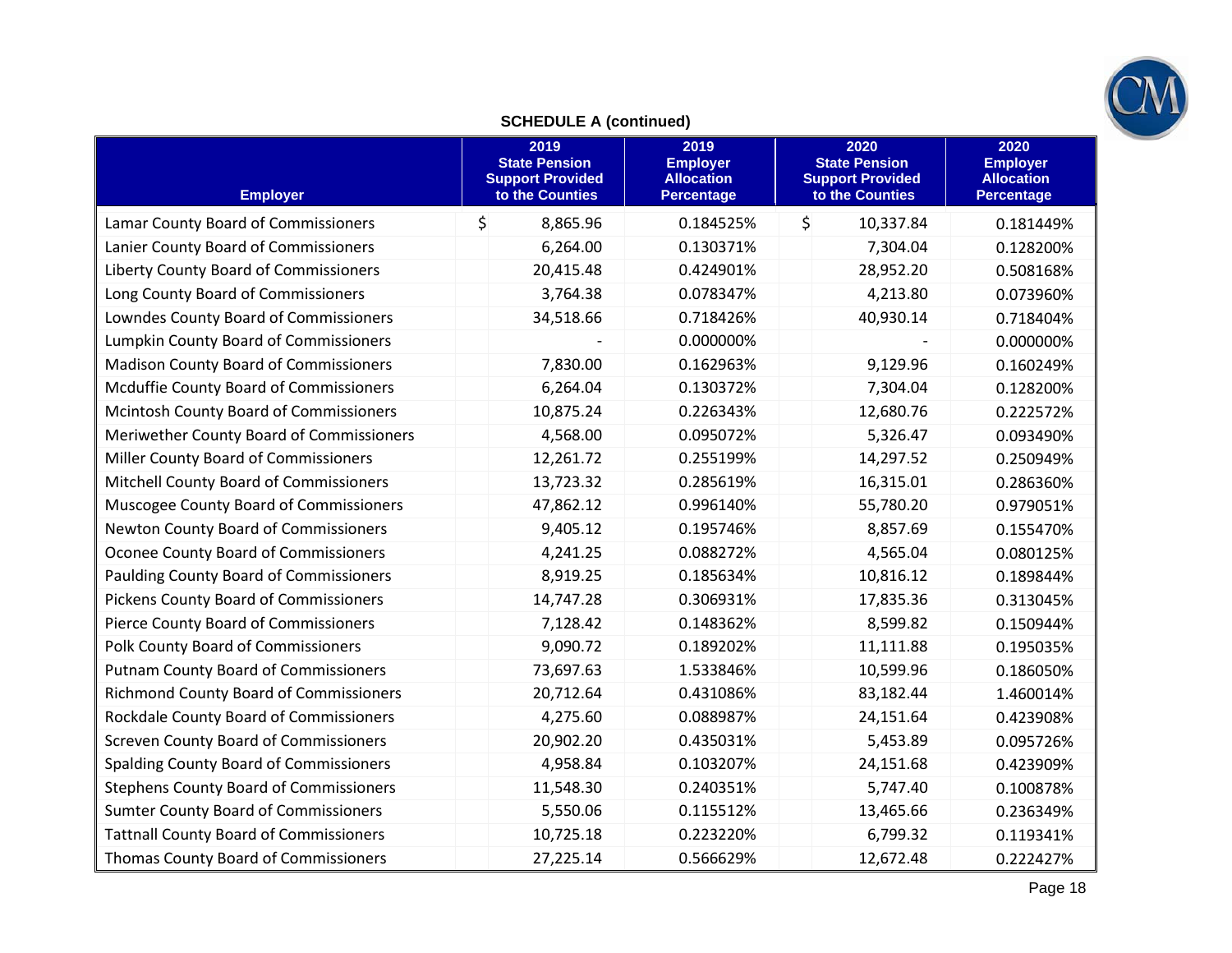

# **SCHEDULE A (continued)**

| <b>Employer</b>                               | 2019<br><b>State Pension</b><br><b>Support Provided</b><br>to the Counties | 2019<br><b>Employer</b><br><b>Allocation</b><br><b>Percentage</b> | 2020<br><b>State Pension</b><br><b>Support Provided</b><br>to the Counties | 2020<br><b>Employer</b><br><b>Allocation</b><br><b>Percentage</b> |
|-----------------------------------------------|----------------------------------------------------------------------------|-------------------------------------------------------------------|----------------------------------------------------------------------------|-------------------------------------------------------------------|
| Lamar County Board of Commissioners           | $\zeta$<br>8,865.96                                                        | 0.184525%                                                         | $\zeta$<br>10,337.84                                                       | 0.181449%                                                         |
| Lanier County Board of Commissioners          | 6,264.00                                                                   | 0.130371%                                                         | 7,304.04                                                                   | 0.128200%                                                         |
| Liberty County Board of Commissioners         | 20,415.48                                                                  | 0.424901%                                                         | 28,952.20                                                                  | 0.508168%                                                         |
| Long County Board of Commissioners            | 3,764.38                                                                   | 0.078347%                                                         | 4,213.80                                                                   | 0.073960%                                                         |
| Lowndes County Board of Commissioners         | 34,518.66                                                                  | 0.718426%                                                         | 40,930.14                                                                  | 0.718404%                                                         |
| <b>Lumpkin County Board of Commissioners</b>  |                                                                            | 0.000000%                                                         |                                                                            | 0.000000%                                                         |
| <b>Madison County Board of Commissioners</b>  | 7,830.00                                                                   | 0.162963%                                                         | 9,129.96                                                                   | 0.160249%                                                         |
| Mcduffie County Board of Commissioners        | 6,264.04                                                                   | 0.130372%                                                         | 7,304.04                                                                   | 0.128200%                                                         |
| <b>Mcintosh County Board of Commissioners</b> | 10,875.24                                                                  | 0.226343%                                                         | 12,680.76                                                                  | 0.222572%                                                         |
| Meriwether County Board of Commissioners      | 4,568.00                                                                   | 0.095072%                                                         | 5,326.47                                                                   | 0.093490%                                                         |
| Miller County Board of Commissioners          | 12,261.72                                                                  | 0.255199%                                                         | 14,297.52                                                                  | 0.250949%                                                         |
| Mitchell County Board of Commissioners        | 13,723.32                                                                  | 0.285619%                                                         | 16,315.01                                                                  | 0.286360%                                                         |
| Muscogee County Board of Commissioners        | 47,862.12                                                                  | 0.996140%                                                         | 55,780.20                                                                  | 0.979051%                                                         |
| <b>Newton County Board of Commissioners</b>   | 9,405.12                                                                   | 0.195746%                                                         | 8,857.69                                                                   | 0.155470%                                                         |
| Oconee County Board of Commissioners          | 4,241.25                                                                   | 0.088272%                                                         | 4,565.04                                                                   | 0.080125%                                                         |
| <b>Paulding County Board of Commissioners</b> | 8,919.25                                                                   | 0.185634%                                                         | 10,816.12                                                                  | 0.189844%                                                         |
| <b>Pickens County Board of Commissioners</b>  | 14,747.28                                                                  | 0.306931%                                                         | 17,835.36                                                                  | 0.313045%                                                         |
| Pierce County Board of Commissioners          | 7,128.42                                                                   | 0.148362%                                                         | 8,599.82                                                                   | 0.150944%                                                         |
| <b>Polk County Board of Commissioners</b>     | 9,090.72                                                                   | 0.189202%                                                         | 11,111.88                                                                  | 0.195035%                                                         |
| <b>Putnam County Board of Commissioners</b>   | 73,697.63                                                                  | 1.533846%                                                         | 10,599.96                                                                  | 0.186050%                                                         |
| <b>Richmond County Board of Commissioners</b> | 20,712.64                                                                  | 0.431086%                                                         | 83,182.44                                                                  | 1.460014%                                                         |
| Rockdale County Board of Commissioners        | 4,275.60                                                                   | 0.088987%                                                         | 24,151.64                                                                  | 0.423908%                                                         |
| <b>Screven County Board of Commissioners</b>  | 20,902.20                                                                  | 0.435031%                                                         | 5,453.89                                                                   | 0.095726%                                                         |
| Spalding County Board of Commissioners        | 4,958.84                                                                   | 0.103207%                                                         | 24,151.68                                                                  | 0.423909%                                                         |
| <b>Stephens County Board of Commissioners</b> | 11,548.30                                                                  | 0.240351%                                                         | 5,747.40                                                                   | 0.100878%                                                         |
| <b>Sumter County Board of Commissioners</b>   | 5,550.06                                                                   | 0.115512%                                                         | 13,465.66                                                                  | 0.236349%                                                         |
| <b>Tattnall County Board of Commissioners</b> | 10,725.18                                                                  | 0.223220%                                                         | 6,799.32                                                                   | 0.119341%                                                         |
| Thomas County Board of Commissioners          | 27,225.14                                                                  | 0.566629%                                                         | 12,672.48                                                                  | 0.222427%                                                         |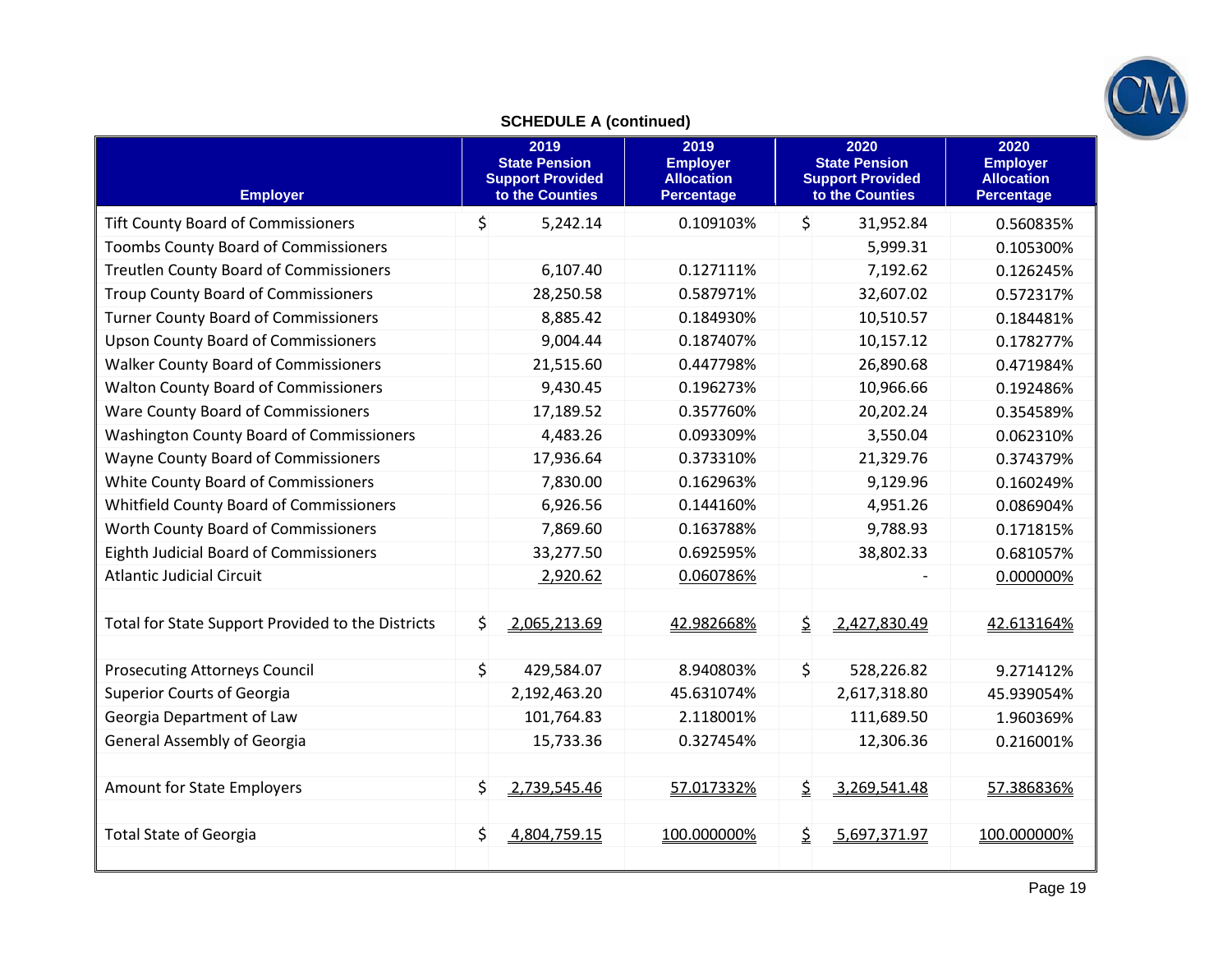

# **SCHEDULE A (continued)**

| <b>Employer</b>                                   | 2019<br><b>State Pension</b><br><b>Support Provided</b><br>to the Counties |              | 2019<br><b>Employer</b><br><b>Allocation</b><br><b>Percentage</b> | 2020<br><b>State Pension</b><br><b>Support Provided</b><br>to the Counties |              | 2020<br><b>Employer</b><br><b>Allocation</b><br><b>Percentage</b> |  |
|---------------------------------------------------|----------------------------------------------------------------------------|--------------|-------------------------------------------------------------------|----------------------------------------------------------------------------|--------------|-------------------------------------------------------------------|--|
| <b>Tift County Board of Commissioners</b>         | \$                                                                         | 5,242.14     | 0.109103%                                                         | \$                                                                         | 31,952.84    | 0.560835%                                                         |  |
| <b>Toombs County Board of Commissioners</b>       |                                                                            |              |                                                                   |                                                                            | 5,999.31     | 0.105300%                                                         |  |
| <b>Treutlen County Board of Commissioners</b>     |                                                                            | 6,107.40     | 0.127111%                                                         |                                                                            | 7,192.62     | 0.126245%                                                         |  |
| <b>Troup County Board of Commissioners</b>        |                                                                            | 28,250.58    | 0.587971%                                                         |                                                                            | 32,607.02    | 0.572317%                                                         |  |
| <b>Turner County Board of Commissioners</b>       |                                                                            | 8,885.42     | 0.184930%                                                         |                                                                            | 10,510.57    | 0.184481%                                                         |  |
| <b>Upson County Board of Commissioners</b>        |                                                                            | 9,004.44     | 0.187407%                                                         |                                                                            | 10,157.12    | 0.178277%                                                         |  |
| <b>Walker County Board of Commissioners</b>       |                                                                            | 21,515.60    | 0.447798%                                                         |                                                                            | 26,890.68    | 0.471984%                                                         |  |
| <b>Walton County Board of Commissioners</b>       |                                                                            | 9,430.45     | 0.196273%                                                         |                                                                            | 10,966.66    | 0.192486%                                                         |  |
| Ware County Board of Commissioners                |                                                                            | 17,189.52    | 0.357760%                                                         |                                                                            | 20,202.24    | 0.354589%                                                         |  |
| <b>Washington County Board of Commissioners</b>   |                                                                            | 4,483.26     | 0.093309%                                                         |                                                                            | 3,550.04     | 0.062310%                                                         |  |
| <b>Wayne County Board of Commissioners</b>        |                                                                            | 17,936.64    | 0.373310%                                                         |                                                                            | 21,329.76    | 0.374379%                                                         |  |
| White County Board of Commissioners               |                                                                            | 7,830.00     | 0.162963%                                                         |                                                                            | 9,129.96     | 0.160249%                                                         |  |
| Whitfield County Board of Commissioners           |                                                                            | 6,926.56     | 0.144160%                                                         |                                                                            | 4,951.26     | 0.086904%                                                         |  |
| Worth County Board of Commissioners               |                                                                            | 7,869.60     | 0.163788%                                                         |                                                                            | 9,788.93     | 0.171815%                                                         |  |
| Eighth Judicial Board of Commissioners            |                                                                            | 33,277.50    | 0.692595%                                                         |                                                                            | 38,802.33    | 0.681057%                                                         |  |
| <b>Atlantic Judicial Circuit</b>                  |                                                                            | 2,920.62     | 0.060786%                                                         |                                                                            |              | 0.000000%                                                         |  |
|                                                   |                                                                            |              |                                                                   |                                                                            |              |                                                                   |  |
| Total for State Support Provided to the Districts | \$                                                                         | 2,065,213.69 | 42.982668%                                                        | $\mathsf{S}$                                                               | 2,427,830.49 | 42.613164%                                                        |  |
|                                                   |                                                                            |              |                                                                   |                                                                            |              |                                                                   |  |
| <b>Prosecuting Attorneys Council</b>              | \$                                                                         | 429,584.07   | 8.940803%                                                         | $\mathsf{S}$                                                               | 528,226.82   | 9.271412%                                                         |  |
| <b>Superior Courts of Georgia</b>                 |                                                                            | 2,192,463.20 | 45.631074%                                                        |                                                                            | 2,617,318.80 | 45.939054%                                                        |  |
| Georgia Department of Law                         |                                                                            | 101,764.83   | 2.118001%                                                         |                                                                            | 111,689.50   | 1.960369%                                                         |  |
| <b>General Assembly of Georgia</b>                |                                                                            | 15,733.36    | 0.327454%                                                         |                                                                            | 12,306.36    | 0.216001%                                                         |  |
|                                                   |                                                                            |              |                                                                   |                                                                            |              |                                                                   |  |
| Amount for State Employers                        | \$                                                                         | 2,739,545.46 | 57.017332%                                                        | $\mathsf{S}$                                                               | 3,269,541.48 | 57.386836%                                                        |  |
|                                                   |                                                                            |              |                                                                   |                                                                            |              |                                                                   |  |
| <b>Total State of Georgia</b>                     | \$                                                                         | 4,804,759.15 | 100.000000%                                                       | \$                                                                         | 5,697,371.97 | 100.000000%                                                       |  |
|                                                   |                                                                            |              |                                                                   |                                                                            |              |                                                                   |  |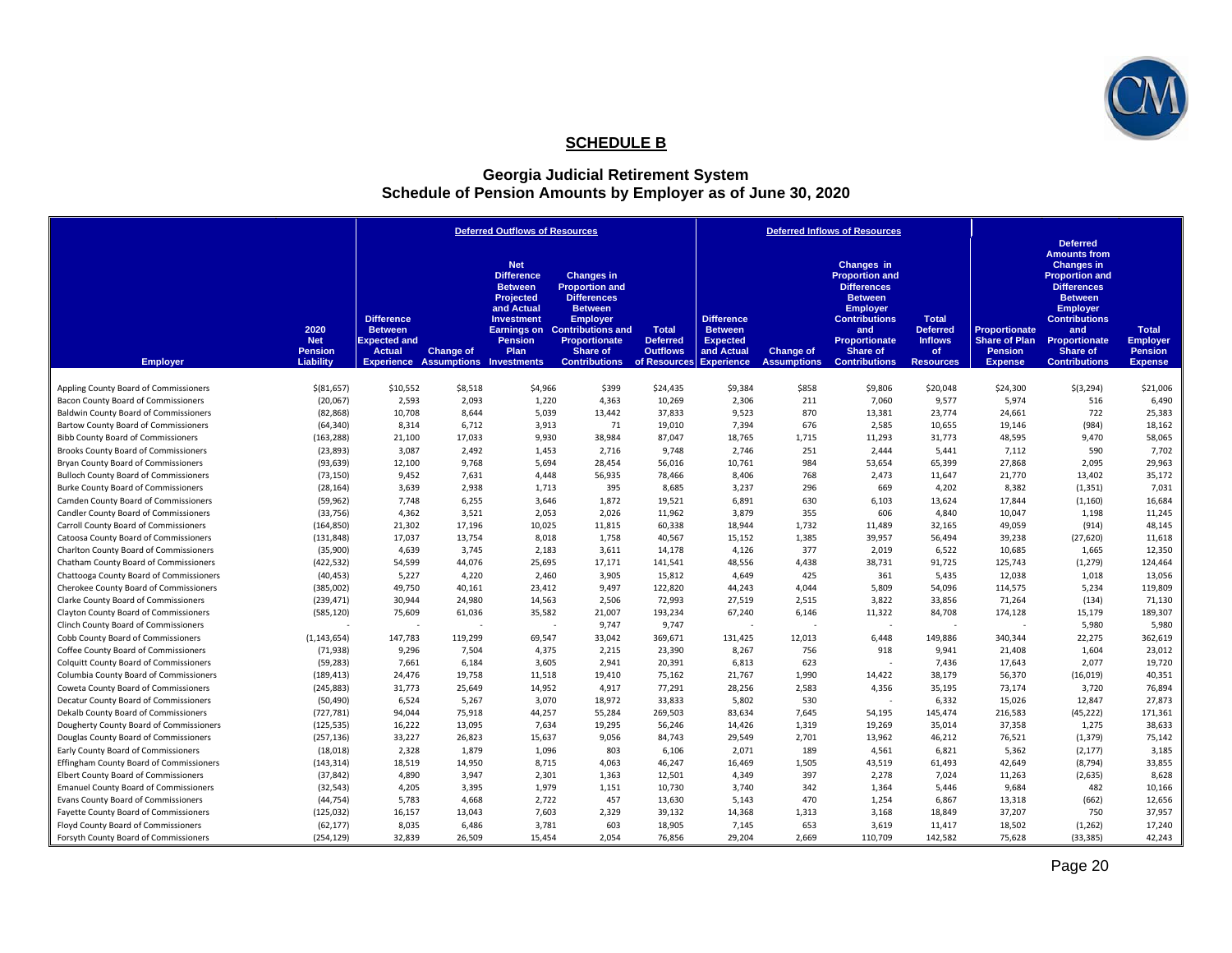

## **SCHEDULE B**

#### **Georgia Judicial Retirement System Schedule of Pension Amounts by Employer as of June 30, 2020**

|                                               |                                                   |                                                                      |                                                               | <b>Deferred Outflows of Resources</b>                                                                                       |                                                                                                                                                                                                           |                                                                    | <b>Deferred Inflows of Resources</b>                                                      |                                        |                                                                                                                                                                                           |                                                                              |                                                                                  |                                                                                                                                                                                                                                     |                                                                     |
|-----------------------------------------------|---------------------------------------------------|----------------------------------------------------------------------|---------------------------------------------------------------|-----------------------------------------------------------------------------------------------------------------------------|-----------------------------------------------------------------------------------------------------------------------------------------------------------------------------------------------------------|--------------------------------------------------------------------|-------------------------------------------------------------------------------------------|----------------------------------------|-------------------------------------------------------------------------------------------------------------------------------------------------------------------------------------------|------------------------------------------------------------------------------|----------------------------------------------------------------------------------|-------------------------------------------------------------------------------------------------------------------------------------------------------------------------------------------------------------------------------------|---------------------------------------------------------------------|
| <b>Employer</b>                               | 2020<br><b>Net</b><br><b>Pension</b><br>Liability | <b>Difference</b><br><b>Between</b><br><b>Expected and</b><br>Actual | <b>Change of</b><br><b>Experience Assumptions Investments</b> | <b>Net</b><br><b>Difference</b><br><b>Between</b><br>Projected<br>and Actual<br><b>Investment</b><br><b>Pension</b><br>Plan | <b>Changes in</b><br><b>Proportion and</b><br><b>Differences</b><br><b>Between</b><br><b>Employer</b><br><b>Earnings on</b> Contributions and<br><b>Proportionate</b><br>Share of<br><b>Contributions</b> | <b>Total</b><br><b>Deferred</b><br><b>Outflows</b><br>of Resources | <b>Difference</b><br><b>Between</b><br><b>Expected</b><br>and Actual<br><b>Experience</b> | <b>Change of</b><br><b>Assumptions</b> | Changes in<br><b>Proportion and</b><br><b>Differences</b><br><b>Between</b><br><b>Employer</b><br><b>Contributions</b><br>and<br><b>Proportionate</b><br>Share of<br><b>Contributions</b> | <b>Total</b><br><b>Deferred</b><br><b>Inflows</b><br>of.<br><b>Resources</b> | <b>Proportionate</b><br><b>Share of Plan</b><br><b>Pension</b><br><b>Expense</b> | <b>Deferred</b><br><b>Amounts from</b><br><b>Changes in</b><br><b>Proportion and</b><br><b>Differences</b><br><b>Between</b><br><b>Employer</b><br><b>Contributions</b><br>and<br>Proportionate<br>Share of<br><b>Contributions</b> | <b>Total</b><br><b>Employer</b><br><b>Pension</b><br><b>Expense</b> |
| Appling County Board of Commissioners         | $$$ (81,657)                                      | \$10,552                                                             | \$8,518                                                       | \$4,966                                                                                                                     | \$399                                                                                                                                                                                                     | \$24,435                                                           | \$9,384                                                                                   | \$858                                  | \$9,806                                                                                                                                                                                   | \$20,048                                                                     | \$24,300                                                                         | \$(3,294)                                                                                                                                                                                                                           | \$21,006                                                            |
| Bacon County Board of Commissioners           | (20,067)                                          | 2,593                                                                | 2,093                                                         | 1,220                                                                                                                       | 4,363                                                                                                                                                                                                     | 10,269                                                             | 2,306                                                                                     | 211                                    | 7,060                                                                                                                                                                                     | 9,577                                                                        | 5,974                                                                            | 516                                                                                                                                                                                                                                 | 6,490                                                               |
| <b>Baldwin County Board of Commissioners</b>  | (82, 868)                                         | 10,708                                                               | 8,644                                                         | 5,039                                                                                                                       | 13,442                                                                                                                                                                                                    | 37,833                                                             | 9,523                                                                                     | 870                                    | 13,381                                                                                                                                                                                    | 23,774                                                                       | 24,661                                                                           | 722                                                                                                                                                                                                                                 | 25,383                                                              |
| Bartow County Board of Commissioners          | (64, 340)                                         | 8,314                                                                | 6,712                                                         | 3,913                                                                                                                       | 71                                                                                                                                                                                                        | 19,010                                                             | 7,394                                                                                     | 676                                    | 2,585                                                                                                                                                                                     | 10,655                                                                       | 19,146                                                                           | (984)                                                                                                                                                                                                                               | 18,162                                                              |
| <b>Bibb County Board of Commissioners</b>     | (163, 288)                                        | 21,100                                                               | 17,033                                                        | 9,930                                                                                                                       | 38,984                                                                                                                                                                                                    | 87,047                                                             | 18,765                                                                                    | 1,715                                  | 11,293                                                                                                                                                                                    | 31,773                                                                       | 48,595                                                                           | 9,470                                                                                                                                                                                                                               | 58,065                                                              |
| <b>Brooks County Board of Commissioners</b>   | (23, 893)                                         | 3,087                                                                | 2,492                                                         | 1,453                                                                                                                       | 2,716                                                                                                                                                                                                     | 9.748                                                              | 2,746                                                                                     | 251                                    | 2.444                                                                                                                                                                                     | 5,441                                                                        | 7,112                                                                            | 590                                                                                                                                                                                                                                 | 7,702                                                               |
| Bryan County Board of Commissioners           | (93, 639)                                         | 12,100                                                               | 9,768                                                         | 5,694                                                                                                                       | 28,454                                                                                                                                                                                                    | 56,016                                                             | 10,761                                                                                    | 984                                    | 53,654                                                                                                                                                                                    | 65,399                                                                       | 27,868                                                                           | 2,095                                                                                                                                                                                                                               | 29,963                                                              |
| <b>Bulloch County Board of Commissioners</b>  | (73, 150)                                         | 9,452                                                                | 7,631                                                         | 4,448                                                                                                                       | 56,935                                                                                                                                                                                                    | 78,466                                                             | 8,406                                                                                     | 768                                    | 2,473                                                                                                                                                                                     | 11,647                                                                       | 21,770                                                                           | 13,402                                                                                                                                                                                                                              | 35,172                                                              |
| Burke County Board of Commissioners           | (28, 164)                                         | 3,639                                                                | 2,938                                                         | 1,713                                                                                                                       | 395                                                                                                                                                                                                       | 8,685                                                              | 3,237                                                                                     | 296                                    | 669                                                                                                                                                                                       | 4,202                                                                        | 8,382                                                                            | (1, 351)                                                                                                                                                                                                                            | 7,031                                                               |
| Camden County Board of Commissioners          | (59, 962)                                         | 7,748                                                                | 6,255                                                         | 3,646                                                                                                                       | 1,872                                                                                                                                                                                                     | 19,521                                                             | 6,891                                                                                     | 630                                    | 6,103                                                                                                                                                                                     | 13,624                                                                       | 17,844                                                                           | (1, 160)                                                                                                                                                                                                                            | 16,684                                                              |
| Candler County Board of Commissioners         | (33, 756)                                         | 4,362                                                                | 3,521                                                         | 2,053                                                                                                                       | 2,026                                                                                                                                                                                                     | 11,962                                                             | 3,879                                                                                     | 355                                    | 606                                                                                                                                                                                       | 4,840                                                                        | 10,047                                                                           | 1,198                                                                                                                                                                                                                               | 11,245                                                              |
| Carroll County Board of Commissioners         | (164, 850)                                        | 21,302                                                               | 17,196                                                        | 10,025                                                                                                                      | 11,815                                                                                                                                                                                                    | 60,338                                                             | 18,944                                                                                    | 1,732                                  | 11,489                                                                                                                                                                                    | 32,165                                                                       | 49,059                                                                           | (914)                                                                                                                                                                                                                               | 48,145                                                              |
| Catoosa County Board of Commissioners         | (131, 848)                                        | 17,037                                                               | 13,754                                                        | 8,018                                                                                                                       | 1,758                                                                                                                                                                                                     | 40,567                                                             | 15,152                                                                                    | 1,385                                  | 39,957                                                                                                                                                                                    | 56,494                                                                       | 39,238                                                                           | (27, 620)                                                                                                                                                                                                                           | 11,618                                                              |
| Charlton County Board of Commissioners        | (35,900)                                          | 4,639                                                                | 3,745                                                         | 2,183                                                                                                                       | 3.611                                                                                                                                                                                                     | 14,178                                                             | 4,126                                                                                     | 377                                    | 2.019                                                                                                                                                                                     | 6.522                                                                        | 10,685                                                                           | 1.665                                                                                                                                                                                                                               | 12,350                                                              |
| Chatham County Board of Commissioners         | (422, 532)                                        | 54,599                                                               | 44,076                                                        | 25,695                                                                                                                      | 17,171                                                                                                                                                                                                    | 141,541                                                            | 48,556                                                                                    | 4,438                                  | 38,731                                                                                                                                                                                    | 91,725                                                                       | 125,743                                                                          | (1, 279)                                                                                                                                                                                                                            | 124,464                                                             |
| Chattooga County Board of Commissioners       | (40, 453)                                         | 5,227                                                                | 4,220                                                         | 2,460                                                                                                                       | 3,905                                                                                                                                                                                                     | 15,812                                                             | 4,649                                                                                     | 425                                    | 361                                                                                                                                                                                       | 5,435                                                                        | 12,038                                                                           | 1,018                                                                                                                                                                                                                               | 13,056                                                              |
| Cherokee County Board of Commissioners        | (385,002)                                         | 49,750                                                               | 40,161                                                        | 23,412                                                                                                                      | 9,497                                                                                                                                                                                                     | 122,820                                                            | 44,243                                                                                    | 4,044                                  | 5,809                                                                                                                                                                                     | 54,096                                                                       | 114,575                                                                          | 5,234                                                                                                                                                                                                                               | 119,809                                                             |
| Clarke County Board of Commissioners          | (239, 471)                                        | 30,944                                                               | 24,980                                                        | 14,563                                                                                                                      | 2,506                                                                                                                                                                                                     | 72,993                                                             | 27,519                                                                                    | 2,515                                  | 3,822                                                                                                                                                                                     | 33,856                                                                       | 71,264                                                                           | (134)                                                                                                                                                                                                                               | 71,130                                                              |
| Clayton County Board of Commissioners         | (585, 120)                                        | 75,609                                                               | 61,036                                                        | 35,582                                                                                                                      | 21,007                                                                                                                                                                                                    | 193,234                                                            | 67,240                                                                                    | 6,146                                  | 11,322                                                                                                                                                                                    | 84,708                                                                       | 174,128                                                                          | 15,179                                                                                                                                                                                                                              | 189,307                                                             |
| Clinch County Board of Commissioners          |                                                   |                                                                      |                                                               |                                                                                                                             | 9,747<br>۰.                                                                                                                                                                                               | 9,747                                                              |                                                                                           |                                        | ٠.                                                                                                                                                                                        | $\sim$                                                                       |                                                                                  | 5,980                                                                                                                                                                                                                               | 5,980                                                               |
| Cobb County Board of Commissioners            | (1, 143, 654)                                     | 147,783                                                              | 119,299                                                       | 69,547                                                                                                                      | 33,042                                                                                                                                                                                                    | 369,671                                                            | 131,425                                                                                   | 12,013                                 | 6,448                                                                                                                                                                                     | 149,886                                                                      | 340,344                                                                          | 22,275                                                                                                                                                                                                                              | 362,619                                                             |
| Coffee County Board of Commissioners          | (71, 938)                                         | 9,296                                                                | 7,504                                                         | 4,375                                                                                                                       | 2,215                                                                                                                                                                                                     | 23,390                                                             | 8,267                                                                                     | 756                                    | 918                                                                                                                                                                                       | 9,941                                                                        | 21,408                                                                           | 1,604                                                                                                                                                                                                                               | 23,012                                                              |
| <b>Colquitt County Board of Commissioners</b> | (59, 283)                                         | 7,661                                                                | 6,184                                                         | 3,605                                                                                                                       | 2,941                                                                                                                                                                                                     | 20,391                                                             | 6,813                                                                                     | 623                                    |                                                                                                                                                                                           | 7,436                                                                        | 17,643                                                                           | 2,077                                                                                                                                                                                                                               | 19,720                                                              |
| Columbia County Board of Commissioners        | (189, 413)                                        | 24,476                                                               | 19,758                                                        | 11,518                                                                                                                      | 19,410                                                                                                                                                                                                    | 75,162                                                             | 21,767                                                                                    | 1,990                                  | 14,422                                                                                                                                                                                    | 38,179                                                                       | 56,370                                                                           | (16, 019)                                                                                                                                                                                                                           | 40,351                                                              |
| Coweta County Board of Commissioners          | (245, 883)                                        | 31,773                                                               | 25,649                                                        | 14,952                                                                                                                      | 4,917                                                                                                                                                                                                     | 77,291                                                             | 28,256                                                                                    | 2,583                                  | 4,356                                                                                                                                                                                     | 35,195                                                                       | 73,174                                                                           | 3,720                                                                                                                                                                                                                               | 76,894                                                              |
| Decatur County Board of Commissioners         | (50, 490)                                         | 6,524                                                                | 5,267                                                         | 3,070                                                                                                                       | 18,972                                                                                                                                                                                                    | 33,833                                                             | 5,802                                                                                     | 530                                    | $\sim$                                                                                                                                                                                    | 6,332                                                                        | 15,026                                                                           | 12,847                                                                                                                                                                                                                              | 27,873                                                              |
| Dekalb County Board of Commissioners          | (727, 781)                                        | 94,044                                                               | 75,918                                                        | 44,257                                                                                                                      | 55,284                                                                                                                                                                                                    | 269,503                                                            | 83,634                                                                                    | 7,645                                  | 54,195                                                                                                                                                                                    | 145,474                                                                      | 216,583                                                                          | (45, 222)                                                                                                                                                                                                                           | 171,361                                                             |
| Dougherty County Board of Commissioners       | (125, 535)                                        | 16,222                                                               | 13,095                                                        | 7,634                                                                                                                       | 19,295                                                                                                                                                                                                    | 56,246                                                             | 14,426                                                                                    | 1,319                                  | 19,269                                                                                                                                                                                    | 35,014                                                                       | 37,358                                                                           | 1,275                                                                                                                                                                                                                               | 38,633                                                              |
| Douglas County Board of Commissioners         | (257, 136)                                        | 33,227                                                               | 26,823                                                        | 15,637                                                                                                                      | 9,056                                                                                                                                                                                                     | 84,743                                                             | 29,549                                                                                    | 2,701                                  | 13,962                                                                                                                                                                                    | 46,212                                                                       | 76,521                                                                           | (1, 379)                                                                                                                                                                                                                            | 75,142                                                              |
| Early County Board of Commissioners           | (18,018)                                          | 2,328                                                                | 1,879                                                         | 1,096                                                                                                                       | 803                                                                                                                                                                                                       | 6,106                                                              | 2,071                                                                                     | 189                                    | 4,561                                                                                                                                                                                     | 6,821                                                                        | 5,362                                                                            | (2, 177)                                                                                                                                                                                                                            | 3,185                                                               |
| Effingham County Board of Commissioners       | (143, 314)                                        | 18,519                                                               | 14,950                                                        | 8,715                                                                                                                       | 4,063                                                                                                                                                                                                     | 46,247                                                             | 16,469                                                                                    | 1,505                                  | 43,519                                                                                                                                                                                    | 61,493                                                                       | 42,649                                                                           | (8,794)                                                                                                                                                                                                                             | 33,855                                                              |
| <b>Elbert County Board of Commissioners</b>   | (37, 842)                                         | 4,890                                                                | 3,947                                                         | 2,301                                                                                                                       | 1,363                                                                                                                                                                                                     | 12,501                                                             | 4,349                                                                                     | 397                                    | 2,278                                                                                                                                                                                     | 7,024                                                                        | 11,263                                                                           | (2,635)                                                                                                                                                                                                                             | 8,628                                                               |
| <b>Emanuel County Board of Commissioners</b>  | (32, 543)                                         | 4,205                                                                | 3,395                                                         | 1,979                                                                                                                       | 1,151                                                                                                                                                                                                     | 10,730                                                             | 3,740                                                                                     | 342                                    | 1,364                                                                                                                                                                                     | 5,446                                                                        | 9,684                                                                            | 482                                                                                                                                                                                                                                 | 10,166                                                              |
| Evans County Board of Commissioners           | (44, 754)                                         | 5,783                                                                | 4,668                                                         | 2,722                                                                                                                       | 457                                                                                                                                                                                                       | 13,630                                                             | 5,143                                                                                     | 470                                    | 1,254                                                                                                                                                                                     | 6,867                                                                        | 13,318                                                                           | (662)                                                                                                                                                                                                                               | 12,656                                                              |
| Fayette County Board of Commissioners         | (125, 032)                                        | 16,157                                                               | 13,043                                                        | 7,603                                                                                                                       | 2,329                                                                                                                                                                                                     | 39,132                                                             | 14,368                                                                                    | 1,313                                  | 3,168                                                                                                                                                                                     | 18,849                                                                       | 37,207                                                                           | 750                                                                                                                                                                                                                                 | 37,957                                                              |
| Floyd County Board of Commissioners           | (62, 177)                                         | 8,035                                                                | 6,486                                                         | 3,781                                                                                                                       | 603                                                                                                                                                                                                       | 18,905                                                             | 7,145                                                                                     | 653                                    | 3,619                                                                                                                                                                                     | 11,417                                                                       | 18,502                                                                           | (1, 262)                                                                                                                                                                                                                            | 17,240                                                              |
| Forsyth County Board of Commissioners         | (254, 129)                                        | 32,839                                                               | 26,509                                                        | 15,454                                                                                                                      | 2.054                                                                                                                                                                                                     | 76,856                                                             | 29,204                                                                                    | 2.669                                  | 110,709                                                                                                                                                                                   | 142,582                                                                      | 75,628                                                                           | (33, 385)                                                                                                                                                                                                                           | 42,243                                                              |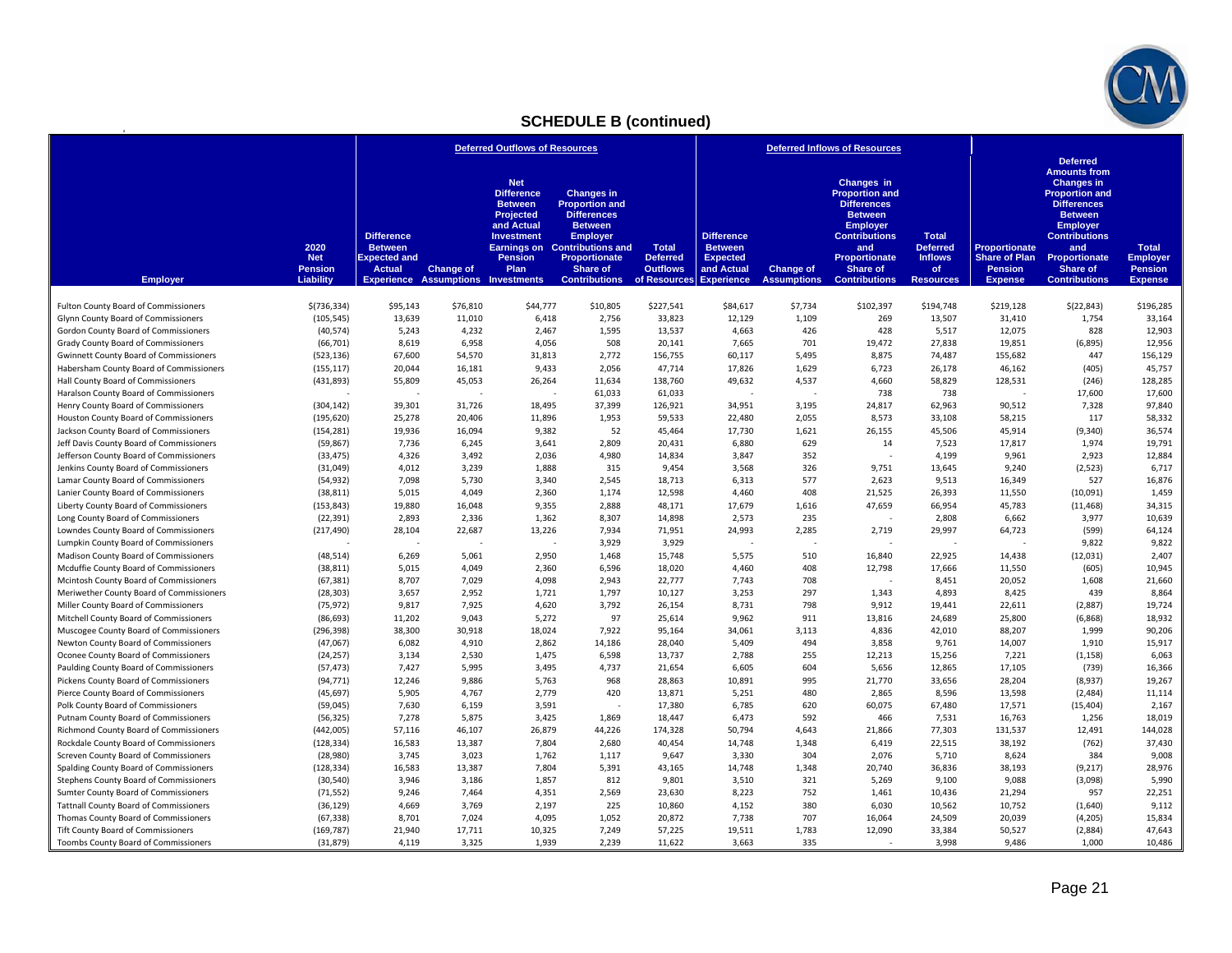

# **SCHEDULE B (continued)**

**2**

|                                                                                   |                                                   | <b>Deferred Outflows of Resources</b>                                       |                  |                                                                                                                                                                                                | <b>Deferred Inflows of Resources</b>                                                                                                                                                          |                                                    |                                                                                                 |                                 |                                                                                                                                                                                           |                                                                             |                                                                           |                                                                                                                                                                                                                                            |                                                                     |
|-----------------------------------------------------------------------------------|---------------------------------------------------|-----------------------------------------------------------------------------|------------------|------------------------------------------------------------------------------------------------------------------------------------------------------------------------------------------------|-----------------------------------------------------------------------------------------------------------------------------------------------------------------------------------------------|----------------------------------------------------|-------------------------------------------------------------------------------------------------|---------------------------------|-------------------------------------------------------------------------------------------------------------------------------------------------------------------------------------------|-----------------------------------------------------------------------------|---------------------------------------------------------------------------|--------------------------------------------------------------------------------------------------------------------------------------------------------------------------------------------------------------------------------------------|---------------------------------------------------------------------|
| <b>Employer</b>                                                                   | 2020<br><b>Net</b><br><b>Pension</b><br>Liability | <b>Difference</b><br><b>Between</b><br><b>Expected and</b><br><b>Actual</b> | <b>Change of</b> | <b>Net</b><br><b>Difference</b><br><b>Between</b><br>Projected<br>and Actual<br><b>Investment</b><br><b>Earnings on</b><br><b>Pension</b><br>Plan<br><b>Experience Assumptions Investments</b> | <b>Changes in</b><br><b>Proportion and</b><br><b>Differences</b><br><b>Between</b><br><b>Employer</b><br><b>Contributions and</b><br><b>Proportionate</b><br>Share of<br><b>Contributions</b> | <b>Total</b><br><b>Deferred</b><br><b>Outflows</b> | <b>Difference</b><br><b>Between</b><br><b>Expected</b><br>and Actual<br>of Resources Experience | Change of<br><b>Assumptions</b> | Changes in<br><b>Proportion and</b><br><b>Differences</b><br><b>Between</b><br><b>Employer</b><br><b>Contributions</b><br>and<br><b>Proportionate</b><br>Share of<br><b>Contributions</b> | <b>Total</b><br><b>Deferred</b><br><b>Inflows</b><br>of<br><b>Resources</b> | Proportionate<br><b>Share of Plan</b><br><b>Pension</b><br><b>Expense</b> | <b>Deferred</b><br><b>Amounts from</b><br><b>Changes in</b><br><b>Proportion and</b><br><b>Differences</b><br><b>Between</b><br><b>Employer</b><br><b>Contributions</b><br>and<br><b>Proportionate</b><br>Share of<br><b>Contributions</b> | <b>Total</b><br><b>Employer</b><br><b>Pension</b><br><b>Expense</b> |
| <b>Fulton County Board of Commissioners</b>                                       | \$(736, 334)                                      | \$95,143                                                                    | \$76,810         | \$44,777                                                                                                                                                                                       | \$10,805                                                                                                                                                                                      | \$227,541                                          | \$84,617                                                                                        | \$7,734                         | \$102,397                                                                                                                                                                                 | \$194,748                                                                   | \$219,128                                                                 | \$(22, 843)                                                                                                                                                                                                                                | \$196,285                                                           |
| Glynn County Board of Commissioners                                               | (105, 545)                                        | 13,639                                                                      | 11,010           | 6,418                                                                                                                                                                                          | 2,756                                                                                                                                                                                         | 33,823                                             | 12,129                                                                                          | 1,109                           | 269                                                                                                                                                                                       | 13,507                                                                      | 31,410                                                                    | 1,754                                                                                                                                                                                                                                      | 33,164                                                              |
| Gordon County Board of Commissioners                                              | (40, 574)                                         | 5,243                                                                       | 4,232            | 2,467                                                                                                                                                                                          | 1,595                                                                                                                                                                                         | 13,537                                             | 4,663                                                                                           | 426                             | 428                                                                                                                                                                                       | 5,517                                                                       | 12,075                                                                    | 828                                                                                                                                                                                                                                        | 12,903                                                              |
| Grady County Board of Commissioners                                               | (66, 701)                                         | 8,619                                                                       | 6,958            | 4,056                                                                                                                                                                                          | 508                                                                                                                                                                                           | 20,141                                             | 7,665                                                                                           | 701                             | 19,472                                                                                                                                                                                    | 27,838                                                                      | 19,851                                                                    | (6, 895)                                                                                                                                                                                                                                   | 12,956                                                              |
| <b>Gwinnett County Board of Commissioners</b>                                     | (523, 136)                                        | 67,600                                                                      | 54,570           | 31,813                                                                                                                                                                                         | 2,772                                                                                                                                                                                         | 156,755                                            | 60,117                                                                                          | 5,495                           | 8,875                                                                                                                                                                                     | 74,487                                                                      | 155,682                                                                   | 447                                                                                                                                                                                                                                        | 156,129                                                             |
| Habersham County Board of Commissioners                                           | (155, 117)                                        | 20,044                                                                      | 16,181           | 9,433                                                                                                                                                                                          | 2,056                                                                                                                                                                                         | 47,714                                             | 17,826                                                                                          | 1,629                           | 6,723                                                                                                                                                                                     | 26,178                                                                      | 46,162                                                                    | (405)                                                                                                                                                                                                                                      | 45,757                                                              |
| Hall County Board of Commissioners                                                |                                                   | 55,809                                                                      | 45,053           | 26,264                                                                                                                                                                                         | 11,634                                                                                                                                                                                        | 138,760                                            | 49,632                                                                                          | 4,537                           | 4,660                                                                                                                                                                                     | 58,829                                                                      | 128,531                                                                   | (246)                                                                                                                                                                                                                                      | 128,285                                                             |
| Haralson County Board of Commissioners                                            | (431, 893)                                        |                                                                             |                  |                                                                                                                                                                                                | 61,033                                                                                                                                                                                        | 61,033                                             |                                                                                                 |                                 | 738                                                                                                                                                                                       | 738                                                                         |                                                                           | 17,600                                                                                                                                                                                                                                     | 17,600                                                              |
|                                                                                   |                                                   | 39,301                                                                      | 31,726           | 18,495                                                                                                                                                                                         | 37,399                                                                                                                                                                                        | 126,921                                            | 34,951                                                                                          | 3,195                           | 24,817                                                                                                                                                                                    | 62,963                                                                      | 90,512                                                                    | 7,328                                                                                                                                                                                                                                      | 97,840                                                              |
| Henry County Board of Commissioners                                               | (304, 142)                                        | 25,278                                                                      | 20,406           | 11,896                                                                                                                                                                                         | 1,953                                                                                                                                                                                         | 59,533                                             | 22,480                                                                                          | 2,055                           | 8,573                                                                                                                                                                                     | 33,108                                                                      | 58,215                                                                    | 117                                                                                                                                                                                                                                        | 58,332                                                              |
| <b>Houston County Board of Commissioners</b>                                      | (195, 620)                                        |                                                                             |                  | 9,382                                                                                                                                                                                          |                                                                                                                                                                                               | 45,464                                             |                                                                                                 |                                 | 26,155                                                                                                                                                                                    | 45,506                                                                      |                                                                           |                                                                                                                                                                                                                                            | 36,574                                                              |
| Jackson County Board of Commissioners<br>Jeff Davis County Board of Commissioners | (154, 281)                                        | 19,936<br>7,736                                                             | 16,094<br>6,245  | 3,641                                                                                                                                                                                          | 52<br>2,809                                                                                                                                                                                   | 20.431                                             | 17,730<br>6,880                                                                                 | 1,621<br>629                    | 14                                                                                                                                                                                        | 7,523                                                                       | 45,914<br>17,817                                                          | (9, 340)<br>1,974                                                                                                                                                                                                                          | 19,791                                                              |
|                                                                                   | (59, 867)                                         | 4,326                                                                       | 3,492            |                                                                                                                                                                                                | 4,980                                                                                                                                                                                         | 14,834                                             | 3,847                                                                                           | 352                             | $\overline{\phantom{a}}$                                                                                                                                                                  | 4,199                                                                       | 9,961                                                                     | 2,923                                                                                                                                                                                                                                      |                                                                     |
| Jefferson County Board of Commissioners                                           | (33, 475)                                         |                                                                             |                  | 2,036                                                                                                                                                                                          | 315                                                                                                                                                                                           |                                                    |                                                                                                 |                                 |                                                                                                                                                                                           |                                                                             |                                                                           |                                                                                                                                                                                                                                            | 12,884                                                              |
| Jenkins County Board of Commissioners                                             | (31,049)                                          | 4,012                                                                       | 3,239            | 1,888                                                                                                                                                                                          |                                                                                                                                                                                               | 9,454                                              | 3,568                                                                                           | 326<br>577                      | 9,751                                                                                                                                                                                     | 13,645                                                                      | 9,240                                                                     | (2, 523)                                                                                                                                                                                                                                   | 6,717                                                               |
| Lamar County Board of Commissioners                                               | (54, 932)                                         | 7,098<br>5,015                                                              | 5,730<br>4,049   | 3,340<br>2,360                                                                                                                                                                                 | 2,545                                                                                                                                                                                         | 18,713<br>12,598                                   | 6,313                                                                                           | 408                             | 2,623<br>21,525                                                                                                                                                                           | 9,513<br>26,393                                                             | 16,349                                                                    | 527                                                                                                                                                                                                                                        | 16,876<br>1,459                                                     |
| Lanier County Board of Commissioners                                              | (38, 811)                                         | 19,880                                                                      | 16,048           | 9,355                                                                                                                                                                                          | 1,174<br>2,888                                                                                                                                                                                | 48,171                                             | 4,460<br>17,679                                                                                 |                                 | 47,659                                                                                                                                                                                    | 66,954                                                                      | 11,550<br>45,783                                                          | (10,091)<br>(11, 468)                                                                                                                                                                                                                      |                                                                     |
| Liberty County Board of Commissioners                                             | (153, 843)<br>(22, 391)                           | 2,893                                                                       | 2,336            | 1,362                                                                                                                                                                                          | 8,307                                                                                                                                                                                         | 14,898                                             | 2,573                                                                                           | 1,616<br>235                    |                                                                                                                                                                                           | 2,808                                                                       | 6,662                                                                     | 3,977                                                                                                                                                                                                                                      | 34,315<br>10,639                                                    |
| Long County Board of Commissioners                                                |                                                   |                                                                             |                  |                                                                                                                                                                                                |                                                                                                                                                                                               |                                                    |                                                                                                 |                                 |                                                                                                                                                                                           |                                                                             |                                                                           |                                                                                                                                                                                                                                            |                                                                     |
| Lowndes County Board of Commissioners                                             | (217, 490)                                        | 28,104                                                                      | 22,687           | 13,226                                                                                                                                                                                         | 7,934<br>$\overline{\phantom{a}}$                                                                                                                                                             | 71,951                                             | 24,993                                                                                          | 2,285                           | 2,719                                                                                                                                                                                     | 29,997                                                                      | 64,723                                                                    | (599)                                                                                                                                                                                                                                      | 64,124                                                              |
| Lumpkin County Board of Commissioners                                             |                                                   |                                                                             |                  |                                                                                                                                                                                                | 3,929                                                                                                                                                                                         | 3,929                                              |                                                                                                 |                                 |                                                                                                                                                                                           |                                                                             |                                                                           | 9,822                                                                                                                                                                                                                                      | 9,822                                                               |
| Madison County Board of Commissioners                                             | (48, 514)                                         | 6,269                                                                       | 5,061            | 2,950                                                                                                                                                                                          | 1,468                                                                                                                                                                                         | 15,748                                             | 5,575                                                                                           | 510                             | 16,840                                                                                                                                                                                    | 22,925                                                                      | 14,438                                                                    | (12, 031)                                                                                                                                                                                                                                  | 2,407                                                               |
| Mcduffie County Board of Commissioners                                            | (38, 811)                                         | 5,015                                                                       | 4,049            | 2,360                                                                                                                                                                                          | 6,596                                                                                                                                                                                         | 18,020                                             | 4,460                                                                                           | 408                             | 12,798                                                                                                                                                                                    | 17,666                                                                      | 11,550                                                                    | (605)                                                                                                                                                                                                                                      | 10,945                                                              |
| Mcintosh County Board of Commissioners                                            | (67, 381)                                         | 8,707                                                                       | 7,029            | 4,098                                                                                                                                                                                          | 2,943                                                                                                                                                                                         | 22,777                                             | 7,743                                                                                           | 708                             |                                                                                                                                                                                           | 8,451                                                                       | 20,052                                                                    | 1,608                                                                                                                                                                                                                                      | 21,660                                                              |
| Meriwether County Board of Commissioners                                          | (28, 303)                                         | 3,657                                                                       | 2,952            | 1,721                                                                                                                                                                                          | 1,797                                                                                                                                                                                         | 10,127                                             | 3,253                                                                                           | 297                             | 1,343                                                                                                                                                                                     | 4,893                                                                       | 8,425                                                                     | 439                                                                                                                                                                                                                                        | 8,864                                                               |
| Miller County Board of Commissioners                                              | (75, 972)                                         | 9,817                                                                       | 7,925            | 4,620                                                                                                                                                                                          | 3,792                                                                                                                                                                                         | 26,154                                             | 8,731                                                                                           | 798                             | 9,912                                                                                                                                                                                     | 19,441                                                                      | 22,611                                                                    | (2,887)                                                                                                                                                                                                                                    | 19,724                                                              |
| Mitchell County Board of Commissioners                                            | (86, 693)                                         | 11,202                                                                      | 9,043            | 5,272                                                                                                                                                                                          | 97                                                                                                                                                                                            | 25,614                                             | 9,962                                                                                           | 911                             | 13,816                                                                                                                                                                                    | 24,689                                                                      | 25,800                                                                    | (6,868)                                                                                                                                                                                                                                    | 18,932                                                              |
| Muscogee County Board of Commissioners                                            | (296, 398)                                        | 38,300                                                                      | 30,918           | 18,024                                                                                                                                                                                         | 7,922                                                                                                                                                                                         | 95,164                                             | 34,061                                                                                          | 3,113                           | 4,836                                                                                                                                                                                     | 42,010                                                                      | 88,207                                                                    | 1,999                                                                                                                                                                                                                                      | 90,206                                                              |
| Newton County Board of Commissioners                                              | (47,067)                                          | 6,082                                                                       | 4,910            | 2,862                                                                                                                                                                                          | 14,186                                                                                                                                                                                        | 28,040                                             | 5,409                                                                                           | 494                             | 3,858                                                                                                                                                                                     | 9,761                                                                       | 14,007                                                                    | 1,910                                                                                                                                                                                                                                      | 15,917                                                              |
| Oconee County Board of Commissioners                                              | (24, 257)                                         | 3,134                                                                       | 2,530<br>5.995   | 1,475                                                                                                                                                                                          | 6,598                                                                                                                                                                                         | 13,737                                             | 2,788                                                                                           | 255<br>604                      | 12,213                                                                                                                                                                                    | 15,256                                                                      | 7,221                                                                     | (1, 158)                                                                                                                                                                                                                                   | 6,063                                                               |
| Paulding County Board of Commissioners<br>Pickens County Board of Commissioners   | (57, 473)                                         | 7.427<br>12,246                                                             | 9,886            | 3.495<br>5,763                                                                                                                                                                                 | 4.737<br>968                                                                                                                                                                                  | 21.654<br>28,863                                   | 6.605<br>10,891                                                                                 | 995                             | 5.656<br>21,770                                                                                                                                                                           | 12.865<br>33,656                                                            | 17.105<br>28,204                                                          | (739)                                                                                                                                                                                                                                      | 16,366<br>19,267                                                    |
|                                                                                   | (94, 771)                                         |                                                                             |                  |                                                                                                                                                                                                |                                                                                                                                                                                               |                                                    |                                                                                                 |                                 |                                                                                                                                                                                           |                                                                             |                                                                           | (8,937)                                                                                                                                                                                                                                    |                                                                     |
| Pierce County Board of Commissioners                                              | (45, 697)                                         | 5,905                                                                       | 4,767            | 2,779                                                                                                                                                                                          | 420                                                                                                                                                                                           | 13,871                                             | 5,251                                                                                           | 480                             | 2,865                                                                                                                                                                                     | 8,596                                                                       | 13,598                                                                    | (2,484)                                                                                                                                                                                                                                    | 11,114                                                              |
| Polk County Board of Commissioners                                                | (59,045)                                          | 7,630                                                                       | 6,159            | 3,591                                                                                                                                                                                          |                                                                                                                                                                                               | 17,380                                             | 6,785                                                                                           | 620                             | 60,075                                                                                                                                                                                    | 67,480                                                                      | 17,571                                                                    | (15, 404)                                                                                                                                                                                                                                  | 2,167                                                               |
| Putnam County Board of Commissioners                                              | (56, 325)                                         | 7,278                                                                       | 5,875            | 3,425                                                                                                                                                                                          | 1,869                                                                                                                                                                                         | 18,447                                             | 6,473                                                                                           | 592                             | 466                                                                                                                                                                                       | 7,531                                                                       | 16,763                                                                    | 1,256                                                                                                                                                                                                                                      | 18,019                                                              |
| Richmond County Board of Commissioners                                            | (442,005)                                         | 57,116                                                                      | 46,107           | 26,879                                                                                                                                                                                         | 44,226                                                                                                                                                                                        | 174,328                                            | 50,794                                                                                          | 4,643                           | 21,866                                                                                                                                                                                    | 77,303                                                                      | 131,537                                                                   | 12,491                                                                                                                                                                                                                                     | 144,028                                                             |
| Rockdale County Board of Commissioners                                            | (128, 334)                                        | 16,583<br>3,745                                                             | 13,387<br>3,023  | 7,804                                                                                                                                                                                          | 2,680                                                                                                                                                                                         | 40,454                                             | 14,748                                                                                          | 1,348<br>304                    | 6,419<br>2,076                                                                                                                                                                            | 22,515<br>5,710                                                             | 38,192                                                                    | (762)<br>384                                                                                                                                                                                                                               | 37,430<br>9,008                                                     |
| Screven County Board of Commissioners                                             | (28,980)                                          |                                                                             |                  | 1,762                                                                                                                                                                                          | 1,117                                                                                                                                                                                         | 9,647                                              | 3,330                                                                                           |                                 |                                                                                                                                                                                           |                                                                             | 8,624                                                                     |                                                                                                                                                                                                                                            |                                                                     |
| Spalding County Board of Commissioners                                            | (128, 334)                                        | 16,583                                                                      | 13,387           | 7,804                                                                                                                                                                                          | 5,391<br>812                                                                                                                                                                                  | 43,165                                             | 14,748                                                                                          | 1,348                           | 20,740                                                                                                                                                                                    | 36,836                                                                      | 38,193                                                                    | (9, 217)                                                                                                                                                                                                                                   | 28,976                                                              |
| Stephens County Board of Commissioners                                            | (30, 540)                                         | 3.946                                                                       | 3.186            | 1,857                                                                                                                                                                                          |                                                                                                                                                                                               | 9.801                                              | 3,510                                                                                           | 321                             | 5,269                                                                                                                                                                                     | 9,100                                                                       | 9.088                                                                     | (3,098)                                                                                                                                                                                                                                    | 5,990                                                               |
| Sumter County Board of Commissioners                                              | (71, 552)                                         | 9,246                                                                       | 7,464            | 4,351                                                                                                                                                                                          | 2,569                                                                                                                                                                                         | 23,630                                             | 8,223                                                                                           | 752                             | 1,461                                                                                                                                                                                     | 10,436                                                                      | 21,294                                                                    | 957                                                                                                                                                                                                                                        | 22,251                                                              |
| <b>Tattnall County Board of Commissioners</b>                                     | (36, 129)                                         | 4,669                                                                       | 3,769            | 2,197                                                                                                                                                                                          | 225                                                                                                                                                                                           | 10,860                                             | 4,152                                                                                           | 380                             | 6,030                                                                                                                                                                                     | 10,562                                                                      | 10,752                                                                    | (1,640)                                                                                                                                                                                                                                    | 9,112                                                               |
| Thomas County Board of Commissioners                                              | (67, 338)                                         | 8,701                                                                       | 7,024            | 4,095                                                                                                                                                                                          | 1,052                                                                                                                                                                                         | 20,872                                             | 7,738                                                                                           | 707                             | 16,064                                                                                                                                                                                    | 24,509                                                                      | 20,039                                                                    | (4, 205)                                                                                                                                                                                                                                   | 15,834                                                              |
| Tift County Board of Commissioners                                                | (169, 787)                                        | 21,940                                                                      | 17,711           | 10,325                                                                                                                                                                                         | 7,249                                                                                                                                                                                         | 57,225                                             | 19,511                                                                                          | 1,783                           | 12,090                                                                                                                                                                                    | 33,384                                                                      | 50,527                                                                    | (2,884)                                                                                                                                                                                                                                    | 47,643                                                              |
| Toombs County Board of Commissioners                                              | (31, 879)                                         | 4.119                                                                       | 3.325            | 1.939                                                                                                                                                                                          | 2.239                                                                                                                                                                                         | 11.622                                             | 3.663                                                                                           | 335                             |                                                                                                                                                                                           | 3.998                                                                       | 9.486                                                                     | 1.000                                                                                                                                                                                                                                      | 10,486                                                              |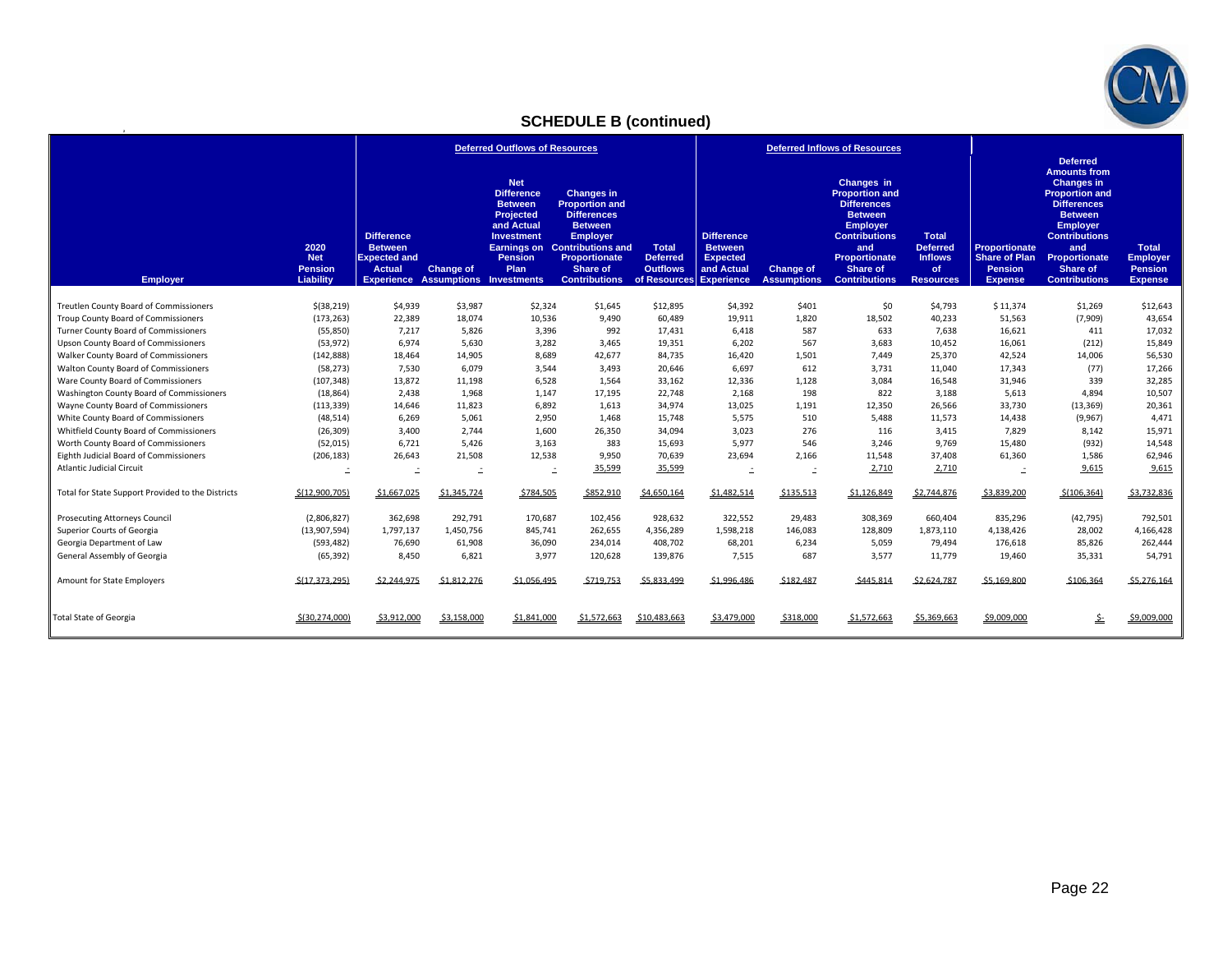

# **SCHEDULE B (continued)**

|                                                   |                                                   | <b>Deferred Outflows of Resources</b>                                                                                    |                  |                                                                                                                                            |                                                                                                                                                                                               | <b>Deferred Inflows of Resources</b>                                          |                                                                      |                                        |                                                                                                                                                                                           |                                                                             |                                                                                  |                                                                                                                                                                                                                                            |                                                                     |
|---------------------------------------------------|---------------------------------------------------|--------------------------------------------------------------------------------------------------------------------------|------------------|--------------------------------------------------------------------------------------------------------------------------------------------|-----------------------------------------------------------------------------------------------------------------------------------------------------------------------------------------------|-------------------------------------------------------------------------------|----------------------------------------------------------------------|----------------------------------------|-------------------------------------------------------------------------------------------------------------------------------------------------------------------------------------------|-----------------------------------------------------------------------------|----------------------------------------------------------------------------------|--------------------------------------------------------------------------------------------------------------------------------------------------------------------------------------------------------------------------------------------|---------------------------------------------------------------------|
| <b>Employer</b>                                   | 2020<br><b>Net</b><br><b>Pension</b><br>Liability | <b>Difference</b><br><b>Between</b><br><b>Expected and</b><br><b>Actual</b><br><b>Experience Assumptions Investments</b> | <b>Change of</b> | <b>Net</b><br><b>Difference</b><br><b>Between</b><br>Projected<br>and Actual<br><b>Investment</b><br>Earnings on<br><b>Pension</b><br>Plan | <b>Changes in</b><br><b>Proportion and</b><br><b>Differences</b><br><b>Between</b><br><b>Employer</b><br><b>Contributions and</b><br><b>Proportionate</b><br>Share of<br><b>Contributions</b> | <b>Total</b><br><b>Deferred</b><br><b>Outflows</b><br>of Resources Experience | <b>Difference</b><br><b>Between</b><br><b>Expected</b><br>and Actual | <b>Change of</b><br><b>Assumptions</b> | Changes in<br><b>Proportion and</b><br><b>Differences</b><br><b>Between</b><br><b>Employer</b><br><b>Contributions</b><br>and<br><b>Proportionate</b><br>Share of<br><b>Contributions</b> | <b>Total</b><br><b>Deferred</b><br><b>Inflows</b><br>of<br><b>Resources</b> | <b>Proportionate</b><br><b>Share of Plan</b><br><b>Pension</b><br><b>Expense</b> | <b>Deferred</b><br><b>Amounts from</b><br><b>Changes in</b><br><b>Proportion and</b><br><b>Differences</b><br><b>Between</b><br><b>Employer</b><br><b>Contributions</b><br>and<br><b>Proportionate</b><br>Share of<br><b>Contributions</b> | <b>Total</b><br><b>Employer</b><br><b>Pension</b><br><b>Expense</b> |
| Treutlen County Board of Commissioners            | \$ (38, 219)                                      | \$4,939                                                                                                                  | \$3,987          | \$2,324                                                                                                                                    | \$1,645                                                                                                                                                                                       | \$12,895                                                                      | \$4,392                                                              | \$401                                  | \$0                                                                                                                                                                                       | \$4,793                                                                     | \$11,374                                                                         | \$1,269                                                                                                                                                                                                                                    | \$12,643                                                            |
| Troup County Board of Commissioners               | (173, 263)                                        | 22,389                                                                                                                   | 18,074           | 10,536                                                                                                                                     | 9,490                                                                                                                                                                                         | 60,489                                                                        | 19,911                                                               | 1,820                                  | 18,502                                                                                                                                                                                    | 40,233                                                                      | 51,563                                                                           | (7,909)                                                                                                                                                                                                                                    | 43,654                                                              |
| Turner County Board of Commissioners              | (55,850)                                          | 7,217                                                                                                                    | 5,826            | 3,396                                                                                                                                      | 992                                                                                                                                                                                           | 17,431                                                                        | 6,418                                                                | 587                                    | 633                                                                                                                                                                                       | 7,638                                                                       | 16,621                                                                           | 411                                                                                                                                                                                                                                        | 17,032                                                              |
| <b>Upson County Board of Commissioners</b>        | (53, 972)                                         | 6.974                                                                                                                    | 5,630            | 3,282                                                                                                                                      | 3,465                                                                                                                                                                                         | 19,351                                                                        | 6.202                                                                | 567                                    | 3,683                                                                                                                                                                                     | 10,452                                                                      | 16,061                                                                           | (212)                                                                                                                                                                                                                                      | 15,849                                                              |
| Walker County Board of Commissioners              | (142, 888)                                        | 18,464                                                                                                                   | 14,905           | 8,689                                                                                                                                      | 42,677                                                                                                                                                                                        | 84,735                                                                        | 16,420                                                               | 1,501                                  | 7,449                                                                                                                                                                                     | 25,370                                                                      | 42,524                                                                           | 14,006                                                                                                                                                                                                                                     | 56,530                                                              |
| Walton County Board of Commissioners              | (58, 273)                                         | 7,530                                                                                                                    | 6.079            | 3,544                                                                                                                                      | 3,493                                                                                                                                                                                         | 20,646                                                                        | 6,697                                                                | 612                                    | 3,731                                                                                                                                                                                     | 11,040                                                                      | 17,343                                                                           | (77)                                                                                                                                                                                                                                       | 17,266                                                              |
| Ware County Board of Commissioners                | (107, 348)                                        | 13,872                                                                                                                   | 11,198           | 6,528                                                                                                                                      | 1,564                                                                                                                                                                                         | 33,162                                                                        | 12,336                                                               | 1,128                                  | 3,084                                                                                                                                                                                     | 16,548                                                                      | 31,946                                                                           | 339                                                                                                                                                                                                                                        | 32,285                                                              |
| Washington County Board of Commissioners          | (18, 864)                                         | 2,438                                                                                                                    | 1,968            | 1,147                                                                                                                                      | 17,195                                                                                                                                                                                        | 22,748                                                                        | 2,168                                                                | 198                                    | 822                                                                                                                                                                                       | 3,188                                                                       | 5,613                                                                            | 4,894                                                                                                                                                                                                                                      | 10,507                                                              |
| Wayne County Board of Commissioners               | (113, 339)                                        | 14,646                                                                                                                   | 11,823           | 6,892                                                                                                                                      | 1.613                                                                                                                                                                                         | 34,974                                                                        | 13,025                                                               | 1,191                                  | 12,350                                                                                                                                                                                    | 26,566                                                                      | 33,730                                                                           | (13, 369)                                                                                                                                                                                                                                  | 20,361                                                              |
| White County Board of Commissioners               | (48, 514)                                         | 6,269                                                                                                                    | 5,061            | 2,950                                                                                                                                      | 1,468                                                                                                                                                                                         | 15,748                                                                        | 5,575                                                                | 510                                    | 5,488                                                                                                                                                                                     | 11,573                                                                      | 14,438                                                                           | (9,967)                                                                                                                                                                                                                                    | 4,471                                                               |
| Whitfield County Board of Commissioners           | (26, 309)                                         | 3,400                                                                                                                    | 2,744            | 1,600                                                                                                                                      | 26,350                                                                                                                                                                                        | 34,094                                                                        | 3,023                                                                | 276                                    | 116                                                                                                                                                                                       | 3,415                                                                       | 7,829                                                                            | 8,142                                                                                                                                                                                                                                      | 15,971                                                              |
| Worth County Board of Commissioners               | (52, 015)                                         | 6,721                                                                                                                    | 5,426            | 3,163                                                                                                                                      | 383                                                                                                                                                                                           | 15,693                                                                        | 5,977                                                                | 546                                    | 3,246                                                                                                                                                                                     | 9,769                                                                       | 15,480                                                                           | (932)                                                                                                                                                                                                                                      | 14,548                                                              |
| Eighth Judicial Board of Commissioners            | (206, 183)                                        | 26,643                                                                                                                   | 21,508           | 12,538                                                                                                                                     | 9,950                                                                                                                                                                                         | 70,639                                                                        | 23,694                                                               | 2,166                                  | 11,548                                                                                                                                                                                    | 37.408                                                                      | 61,360                                                                           | 1,586                                                                                                                                                                                                                                      | 62,946                                                              |
| <b>Atlantic Judicial Circuit</b>                  | Ŀ,                                                | $\equiv$                                                                                                                 | Ľ,               | $\mathbf{r}$                                                                                                                               | 35,599                                                                                                                                                                                        | 35,599                                                                        | Ŀ.                                                                   | $\equiv$                               | 2,710                                                                                                                                                                                     | 2,710                                                                       | $\mathbf{r}$                                                                     | 9,615                                                                                                                                                                                                                                      | 9,615                                                               |
| Total for State Support Provided to the Districts | \$(12,900,705)                                    | \$1,667,025                                                                                                              | \$1,345,724      | \$784,505                                                                                                                                  | \$852,910                                                                                                                                                                                     | \$4,650,164                                                                   | \$1,482,514                                                          | \$135,513                              | \$1,126,849                                                                                                                                                                               | \$2,744,876                                                                 | \$3,839,200                                                                      | \$(106, 364)                                                                                                                                                                                                                               | \$3,732,836                                                         |
| <b>Prosecuting Attorneys Council</b>              | (2,806,827)                                       | 362,698                                                                                                                  | 292,791          | 170,687                                                                                                                                    | 102,456                                                                                                                                                                                       | 928,632                                                                       | 322,552                                                              | 29,483                                 | 308,369                                                                                                                                                                                   | 660.404                                                                     | 835,296                                                                          | (42, 795)                                                                                                                                                                                                                                  | 792,501                                                             |
| Superior Courts of Georgia                        | (13,907,594)                                      | 1,797,137                                                                                                                | 1,450,756        | 845,741                                                                                                                                    | 262,655                                                                                                                                                                                       | 4,356,289                                                                     | 1,598,218                                                            | 146,083                                | 128,809                                                                                                                                                                                   | 1,873,110                                                                   | 4,138,426                                                                        | 28,002                                                                                                                                                                                                                                     | 4,166,428                                                           |
| Georgia Department of Law                         | (593, 482)                                        | 76,690                                                                                                                   | 61,908           | 36,090                                                                                                                                     | 234,014                                                                                                                                                                                       | 408,702                                                                       | 68,201                                                               | 6,234                                  | 5,059                                                                                                                                                                                     | 79,494                                                                      | 176,618                                                                          | 85,826                                                                                                                                                                                                                                     | 262,444                                                             |
| General Assembly of Georgia                       | (65, 392)                                         | 8,450                                                                                                                    | 6,821            | 3,977                                                                                                                                      | 120,628                                                                                                                                                                                       | 139,876                                                                       | 7,515                                                                | 687                                    | 3,577                                                                                                                                                                                     | 11,779                                                                      | 19,460                                                                           | 35,331                                                                                                                                                                                                                                     | 54,791                                                              |
| Amount for State Employers                        | \$(17.373.295)                                    | \$2.244.975                                                                                                              | \$1,812,276      | \$1,056,495                                                                                                                                | \$719,753                                                                                                                                                                                     | \$5.833.499                                                                   | \$1,996,486                                                          | \$182,487                              | \$445,814                                                                                                                                                                                 | \$2,624,787                                                                 | \$5,169,800                                                                      | \$106,364                                                                                                                                                                                                                                  | \$5,276,164                                                         |
| <b>Total State of Georgia</b>                     | \$(30.274.000)                                    | \$3.912.000                                                                                                              | \$3.158.000      | \$1.841.000                                                                                                                                | \$1,572,663                                                                                                                                                                                   | \$10,483,663                                                                  | \$3.479.000                                                          | \$318,000                              | \$1.572.663                                                                                                                                                                               | \$5,369,663                                                                 | \$9,009,000                                                                      | ۓ                                                                                                                                                                                                                                          | \$9,009,000                                                         |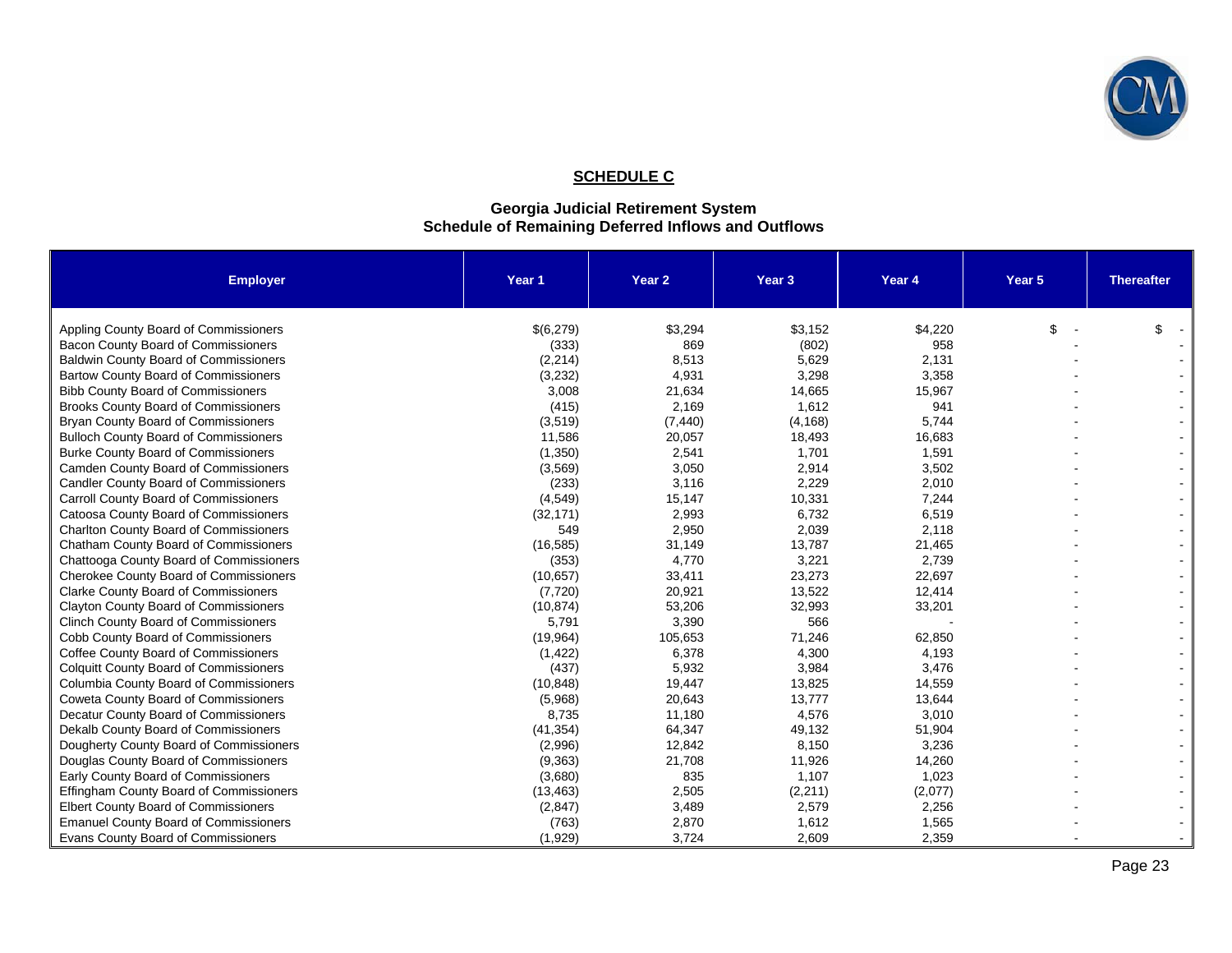

# **SCHEDULE C**

#### **Georgia Judicial Retirement System Schedule of Remaining Deferred Inflows and Outflows**

| <b>Employer</b>                               | Year 1    | Year 2   | Year <sub>3</sub> | Year 4  | Year 5 | <b>Thereafter</b> |
|-----------------------------------------------|-----------|----------|-------------------|---------|--------|-------------------|
| Appling County Board of Commissioners         | \$(6,279) | \$3,294  | \$3,152           | \$4,220 | \$     | \$                |
| Bacon County Board of Commissioners           | (333)     | 869      | (802)             | 958     |        |                   |
| <b>Baldwin County Board of Commissioners</b>  | (2, 214)  | 8,513    | 5,629             | 2,131   |        |                   |
| Bartow County Board of Commissioners          | (3, 232)  | 4,931    | 3,298             | 3,358   |        |                   |
| <b>Bibb County Board of Commissioners</b>     | 3,008     | 21,634   | 14,665            | 15,967  |        |                   |
| <b>Brooks County Board of Commissioners</b>   | (415)     | 2,169    | 1,612             | 941     |        |                   |
| Bryan County Board of Commissioners           | (3,519)   | (7, 440) | (4, 168)          | 5,744   |        |                   |
| <b>Bulloch County Board of Commissioners</b>  | 11,586    | 20,057   | 18,493            | 16,683  |        |                   |
| <b>Burke County Board of Commissioners</b>    | (1,350)   | 2,541    | 1,701             | 1,591   |        |                   |
| Camden County Board of Commissioners          | (3, 569)  | 3,050    | 2,914             | 3,502   |        |                   |
| Candler County Board of Commissioners         | (233)     | 3,116    | 2,229             | 2,010   |        |                   |
| Carroll County Board of Commissioners         | (4, 549)  | 15,147   | 10,331            | 7,244   |        |                   |
| Catoosa County Board of Commissioners         | (32, 171) | 2,993    | 6,732             | 6,519   |        |                   |
| <b>Charlton County Board of Commissioners</b> | 549       | 2,950    | 2,039             | 2,118   |        |                   |
| Chatham County Board of Commissioners         | (16, 585) | 31,149   | 13,787            | 21,465  |        |                   |
| Chattooga County Board of Commissioners       | (353)     | 4,770    | 3,221             | 2,739   |        |                   |
| <b>Cherokee County Board of Commissioners</b> | (10, 657) | 33,411   | 23,273            | 22,697  |        |                   |
| <b>Clarke County Board of Commissioners</b>   | (7, 720)  | 20,921   | 13,522            | 12,414  |        |                   |
| <b>Clayton County Board of Commissioners</b>  | (10, 874) | 53,206   | 32,993            | 33,201  |        |                   |
| <b>Clinch County Board of Commissioners</b>   | 5,791     | 3,390    | 566               |         |        |                   |
| Cobb County Board of Commissioners            | (19, 964) | 105,653  | 71,246            | 62,850  |        |                   |
| Coffee County Board of Commissioners          | (1, 422)  | 6,378    | 4,300             | 4,193   |        |                   |
| <b>Colquitt County Board of Commissioners</b> | (437)     | 5,932    | 3,984             | 3,476   |        |                   |
| Columbia County Board of Commissioners        | (10, 848) | 19,447   | 13,825            | 14,559  |        |                   |
| Coweta County Board of Commissioners          | (5,968)   | 20,643   | 13,777            | 13,644  |        |                   |
| Decatur County Board of Commissioners         | 8,735     | 11,180   | 4,576             | 3,010   |        |                   |
| Dekalb County Board of Commissioners          | (41, 354) | 64,347   | 49,132            | 51,904  |        |                   |
| Dougherty County Board of Commissioners       | (2,996)   | 12,842   | 8,150             | 3,236   |        |                   |
| Douglas County Board of Commissioners         | (9, 363)  | 21,708   | 11,926            | 14,260  |        |                   |
| Early County Board of Commissioners           | (3,680)   | 835      | 1,107             | 1,023   |        |                   |
| Effingham County Board of Commissioners       | (13, 463) | 2,505    | (2, 211)          | (2,077) |        |                   |
| <b>Elbert County Board of Commissioners</b>   | (2, 847)  | 3,489    | 2,579             | 2,256   |        |                   |
| <b>Emanuel County Board of Commissioners</b>  | (763)     | 2,870    | 1,612             | 1,565   |        |                   |
| Evans County Board of Commissioners           | (1,929)   | 3,724    | 2,609             | 2,359   |        |                   |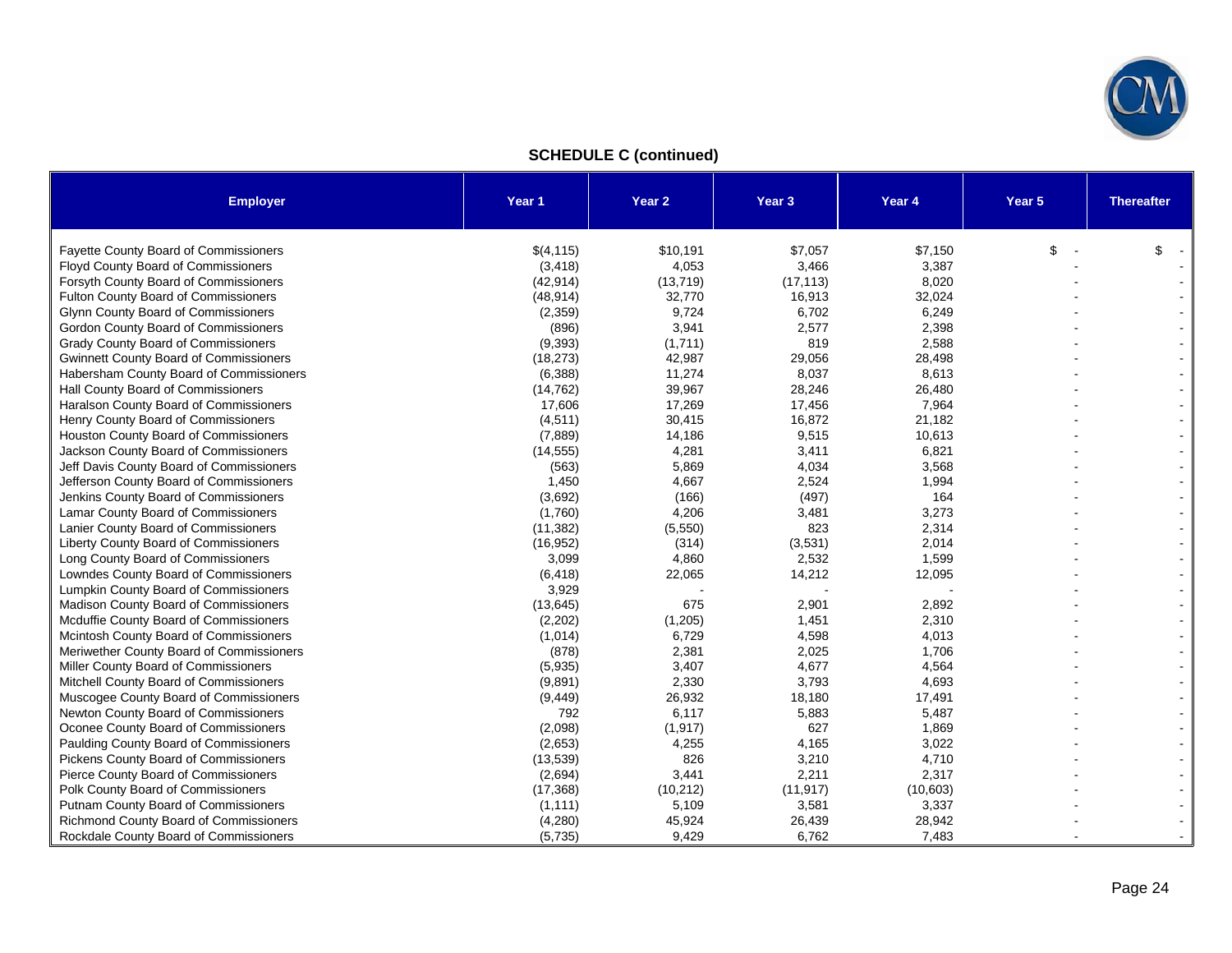

## **SCHEDULE C (continued)**

| <b>Employer</b>                               | Year 1    | Year 2    | Year <sub>3</sub> | Year 4   | Year 5 | <b>Thereafter</b> |
|-----------------------------------------------|-----------|-----------|-------------------|----------|--------|-------------------|
|                                               |           |           |                   |          |        |                   |
| <b>Fayette County Board of Commissioners</b>  | \$(4,115) | \$10,191  | \$7,057           | \$7,150  | \$     | \$                |
| Floyd County Board of Commissioners           | (3, 418)  | 4,053     | 3,466             | 3,387    |        |                   |
| Forsyth County Board of Commissioners         | (42, 914) | (13, 719) | (17, 113)         | 8,020    |        |                   |
| Fulton County Board of Commissioners          | (48, 914) | 32,770    | 16,913            | 32,024   |        |                   |
| <b>Glynn County Board of Commissioners</b>    | (2,359)   | 9,724     | 6,702             | 6,249    |        |                   |
| Gordon County Board of Commissioners          | (896)     | 3,941     | 2,577             | 2,398    |        |                   |
| <b>Grady County Board of Commissioners</b>    | (9, 393)  | (1,711)   | 819               | 2,588    |        |                   |
| <b>Gwinnett County Board of Commissioners</b> | (18, 273) | 42,987    | 29,056            | 28,498   |        |                   |
| Habersham County Board of Commissioners       | (6, 388)  | 11,274    | 8,037             | 8,613    |        |                   |
| Hall County Board of Commissioners            | (14, 762) | 39,967    | 28,246            | 26,480   |        |                   |
| Haralson County Board of Commissioners        | 17,606    | 17,269    | 17,456            | 7,964    |        |                   |
| Henry County Board of Commissioners           | (4,511)   | 30,415    | 16,872            | 21,182   |        |                   |
| Houston County Board of Commissioners         | (7,889)   | 14,186    | 9,515             | 10,613   |        |                   |
| Jackson County Board of Commissioners         | (14, 555) | 4,281     | 3,411             | 6,821    |        |                   |
| Jeff Davis County Board of Commissioners      | (563)     | 5,869     | 4,034             | 3,568    |        |                   |
| Jefferson County Board of Commissioners       | 1,450     | 4,667     | 2,524             | 1,994    |        |                   |
| Jenkins County Board of Commissioners         | (3,692)   | (166)     | (497)             | 164      |        |                   |
| Lamar County Board of Commissioners           | (1,760)   | 4,206     | 3,481             | 3,273    |        |                   |
| Lanier County Board of Commissioners          | (11, 382) | (5,550)   | 823               | 2,314    |        |                   |
| Liberty County Board of Commissioners         | (16, 952) | (314)     | (3,531)           | 2,014    |        |                   |
| Long County Board of Commissioners            | 3,099     | 4,860     | 2,532             | 1,599    |        |                   |
| Lowndes County Board of Commissioners         | (6, 418)  | 22,065    | 14,212            | 12,095   |        |                   |
| Lumpkin County Board of Commissioners         | 3,929     |           |                   |          |        |                   |
| Madison County Board of Commissioners         | (13, 645) | 675       | 2,901             | 2,892    |        |                   |
| Mcduffie County Board of Commissioners        | (2,202)   | (1, 205)  | 1,451             | 2,310    |        |                   |
| Mcintosh County Board of Commissioners        | (1,014)   | 6,729     | 4,598             | 4,013    |        |                   |
| Meriwether County Board of Commissioners      | (878)     | 2,381     | 2,025             | 1,706    |        |                   |
| Miller County Board of Commissioners          | (5,935)   | 3,407     | 4,677             | 4,564    |        |                   |
| Mitchell County Board of Commissioners        | (9,891)   | 2,330     | 3,793             | 4,693    |        |                   |
| Muscogee County Board of Commissioners        | (9, 449)  | 26,932    | 18,180            | 17,491   |        |                   |
| Newton County Board of Commissioners          | 792       | 6,117     | 5,883             | 5,487    |        |                   |
| Oconee County Board of Commissioners          | (2,098)   | (1, 917)  | 627               | 1,869    |        |                   |
| Paulding County Board of Commissioners        | (2,653)   | 4,255     | 4,165             | 3,022    |        |                   |
| Pickens County Board of Commissioners         | (13, 539) | 826       | 3,210             | 4,710    |        |                   |
| Pierce County Board of Commissioners          | (2,694)   | 3,441     | 2,211             | 2,317    |        |                   |
| Polk County Board of Commissioners            | (17, 368) | (10, 212) | (11, 917)         | (10,603) |        |                   |
| Putnam County Board of Commissioners          | (1, 111)  | 5,109     | 3,581             | 3,337    |        |                   |
| Richmond County Board of Commissioners        | (4,280)   | 45,924    | 26,439            | 28,942   |        |                   |
| Rockdale County Board of Commissioners        | (5,735)   | 9,429     | 6,762             | 7,483    |        |                   |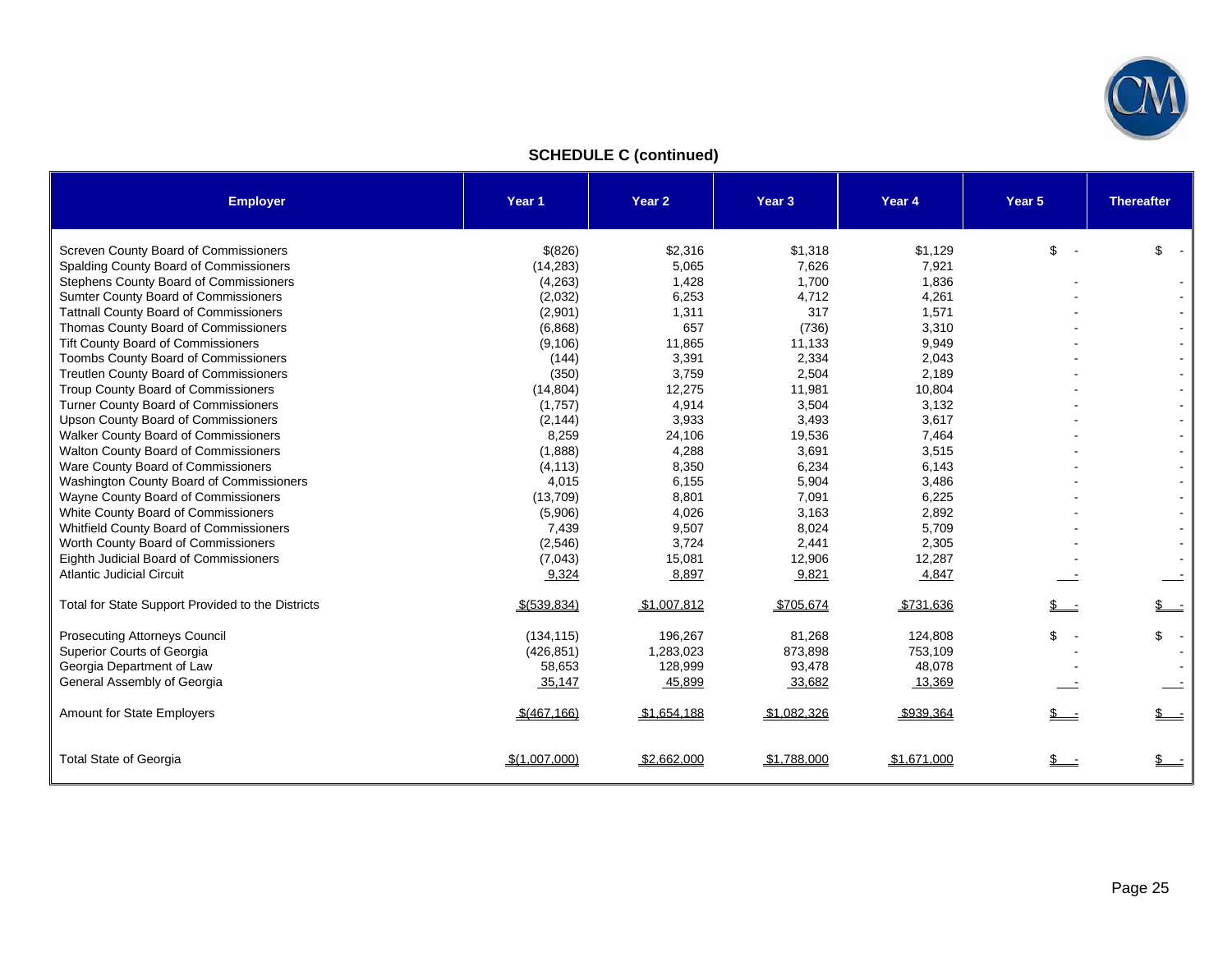

# **SCHEDULE C (continued)**

| <b>Employer</b>                                   | Year 1        | Year <sub>2</sub> | Year <sub>3</sub> | Year <sub>4</sub> | Year 5       | <b>Thereafter</b>    |
|---------------------------------------------------|---------------|-------------------|-------------------|-------------------|--------------|----------------------|
| Screven County Board of Commissioners             | \$(826)       | \$2,316           | \$1,318           | \$1,129           | \$           | \$<br>$\sim$ $\sim$  |
| Spalding County Board of Commissioners            | (14, 283)     | 5,065             | 7,626             | 7,921             |              |                      |
| <b>Stephens County Board of Commissioners</b>     | (4,263)       | 1,428             | 1.700             | 1,836             |              |                      |
| Sumter County Board of Commissioners              | (2,032)       | 6,253             | 4,712             | 4,261             |              |                      |
| <b>Tattnall County Board of Commissioners</b>     | (2,901)       | 1,311             | 317               | 1,571             |              | $\blacksquare$       |
| Thomas County Board of Commissioners              | (6,868)       | 657               | (736)             | 3,310             |              | $\blacksquare$       |
| <b>Tift County Board of Commissioners</b>         | (9, 106)      | 11,865            | 11,133            | 9,949             |              | $\blacksquare$       |
| <b>Toombs County Board of Commissioners</b>       | (144)         | 3,391             | 2,334             | 2,043             |              |                      |
| <b>Treutlen County Board of Commissioners</b>     | (350)         | 3,759             | 2,504             | 2.189             |              |                      |
| Troup County Board of Commissioners               | (14, 804)     | 12,275            | 11,981            | 10,804            |              | $\sim$               |
| <b>Turner County Board of Commissioners</b>       | (1,757)       | 4,914             | 3,504             | 3,132             |              | $\blacksquare$       |
| Upson County Board of Commissioners               | (2, 144)      | 3,933             | 3,493             | 3,617             |              |                      |
| Walker County Board of Commissioners              | 8,259         | 24,106            | 19,536            | 7,464             |              | $\sim$               |
| <b>Walton County Board of Commissioners</b>       | (1,888)       | 4,288             | 3,691             | 3,515             |              | $\blacksquare$       |
| Ware County Board of Commissioners                | (4, 113)      | 8,350             | 6,234             | 6,143             |              | $\blacksquare$       |
| Washington County Board of Commissioners          | 4,015         | 6,155             | 5,904             | 3,486             |              |                      |
| Wayne County Board of Commissioners               | (13,709)      | 8,801             | 7,091             | 6,225             |              | $\sim$               |
| White County Board of Commissioners               | (5,906)       | 4,026             | 3,163             | 2,892             |              | $\sim$               |
| Whitfield County Board of Commissioners           | 7,439         | 9,507             | 8,024             | 5,709             |              | $\blacksquare$       |
| Worth County Board of Commissioners               | (2,546)       | 3,724             | 2,441             | 2,305             |              | $\blacksquare$       |
| Eighth Judicial Board of Commissioners            | (7,043)       | 15,081            | 12,906            | 12,287            |              | $\blacksquare$       |
| <b>Atlantic Judicial Circuit</b>                  | 9,324         | 8,897             | 9,821             | 4,847             |              |                      |
| Total for State Support Provided to the Districts | $$$ (539,834) | \$1,007,812       | \$705,674         | \$731,636         | $$ -$        | $\frac{\epsilon}{2}$ |
| <b>Prosecuting Attorneys Council</b>              | (134, 115)    | 196,267           | 81,268            | 124.808           | \$<br>$\sim$ | $\frac{1}{2}$ -      |
| Superior Courts of Georgia                        | (426, 851)    | 1,283,023         | 873,898           | 753,109           |              | $\sim$               |
| Georgia Department of Law                         | 58,653        | 128,999           | 93,478            | 48,078            |              |                      |
| General Assembly of Georgia                       | 35,147        | 45,899            | 33,682            | 13,369            |              |                      |
| <b>Amount for State Employers</b>                 | \$(467, 166)  | \$1,654,188       | \$1,082,326       | \$939,364         | $s -$        | $$ -$                |
| <b>Total State of Georgia</b>                     | \$(1,007,000) | \$2,662,000       | \$1,788,000       | \$1,671,000       | $$ -$        | $s -$                |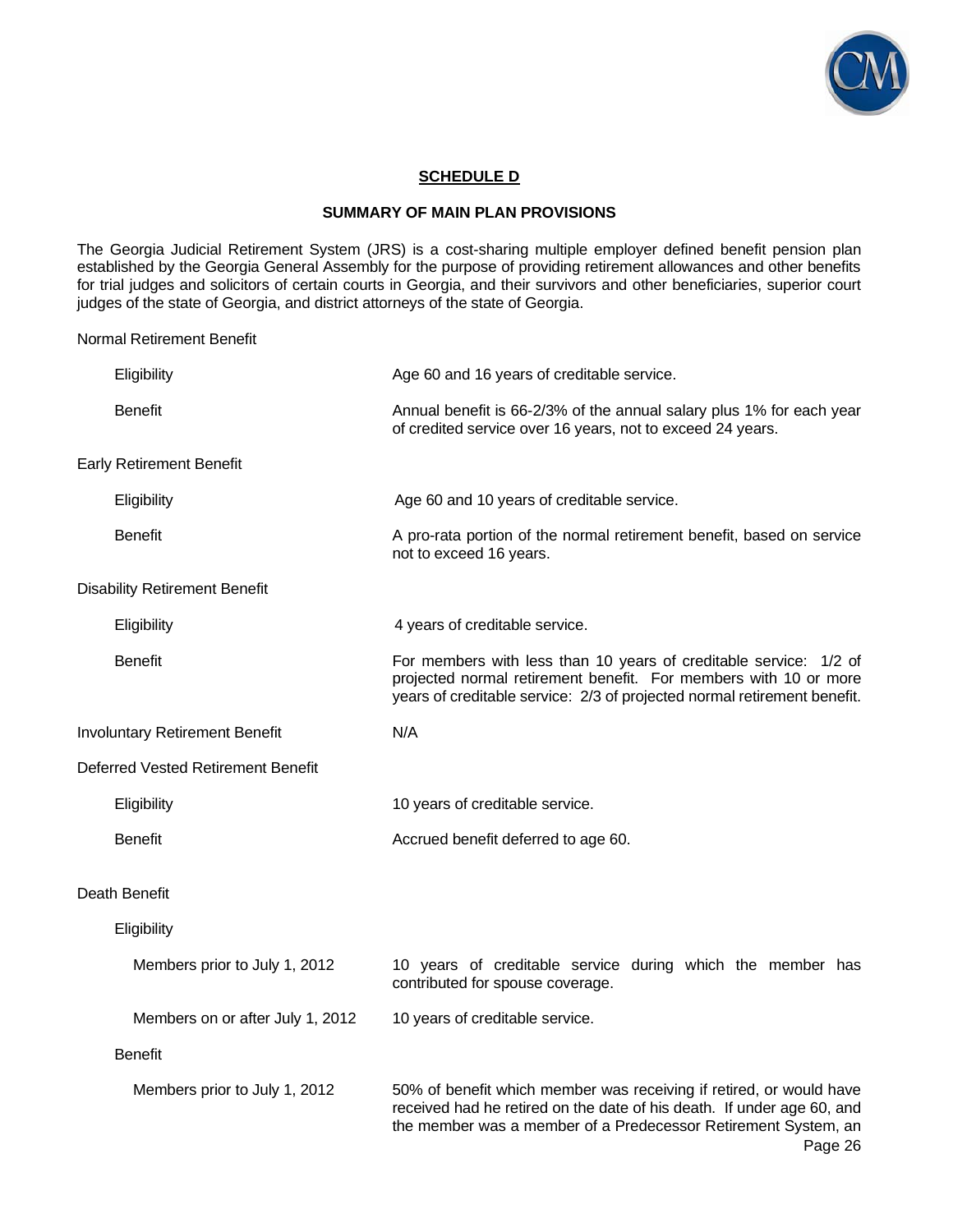

## **SCHEDULE D**

#### **SUMMARY OF MAIN PLAN PROVISIONS**

The Georgia Judicial Retirement System (JRS) is a cost-sharing multiple employer defined benefit pension plan established by the Georgia General Assembly for the purpose of providing retirement allowances and other benefits for trial judges and solicitors of certain courts in Georgia, and their survivors and other beneficiaries, superior court judges of the state of Georgia, and district attorneys of the state of Georgia.

Normal Retirement Benefit

| Eligibility                               | Age 60 and 16 years of creditable service.                                                                                                                                                                                 |
|-------------------------------------------|----------------------------------------------------------------------------------------------------------------------------------------------------------------------------------------------------------------------------|
| <b>Benefit</b>                            | Annual benefit is 66-2/3% of the annual salary plus 1% for each year<br>of credited service over 16 years, not to exceed 24 years.                                                                                         |
| <b>Early Retirement Benefit</b>           |                                                                                                                                                                                                                            |
| Eligibility                               | Age 60 and 10 years of creditable service.                                                                                                                                                                                 |
| <b>Benefit</b>                            | A pro-rata portion of the normal retirement benefit, based on service<br>not to exceed 16 years.                                                                                                                           |
| <b>Disability Retirement Benefit</b>      |                                                                                                                                                                                                                            |
| Eligibility                               | 4 years of creditable service.                                                                                                                                                                                             |
| <b>Benefit</b>                            | For members with less than 10 years of creditable service: 1/2 of<br>projected normal retirement benefit. For members with 10 or more<br>years of creditable service: 2/3 of projected normal retirement benefit.          |
| <b>Involuntary Retirement Benefit</b>     | N/A                                                                                                                                                                                                                        |
| <b>Deferred Vested Retirement Benefit</b> |                                                                                                                                                                                                                            |
| Eligibility                               | 10 years of creditable service.                                                                                                                                                                                            |
| <b>Benefit</b>                            | Accrued benefit deferred to age 60.                                                                                                                                                                                        |
| Death Benefit                             |                                                                                                                                                                                                                            |
| Eligibility                               |                                                                                                                                                                                                                            |
| Members prior to July 1, 2012             | 10 years of creditable service during which the member has<br>contributed for spouse coverage.                                                                                                                             |
| Members on or after July 1, 2012          | 10 years of creditable service.                                                                                                                                                                                            |
| <b>Benefit</b>                            |                                                                                                                                                                                                                            |
| Members prior to July 1, 2012             | 50% of benefit which member was receiving if retired, or would have<br>received had he retired on the date of his death. If under age 60, and<br>the member was a member of a Predecessor Retirement System, an<br>Page 26 |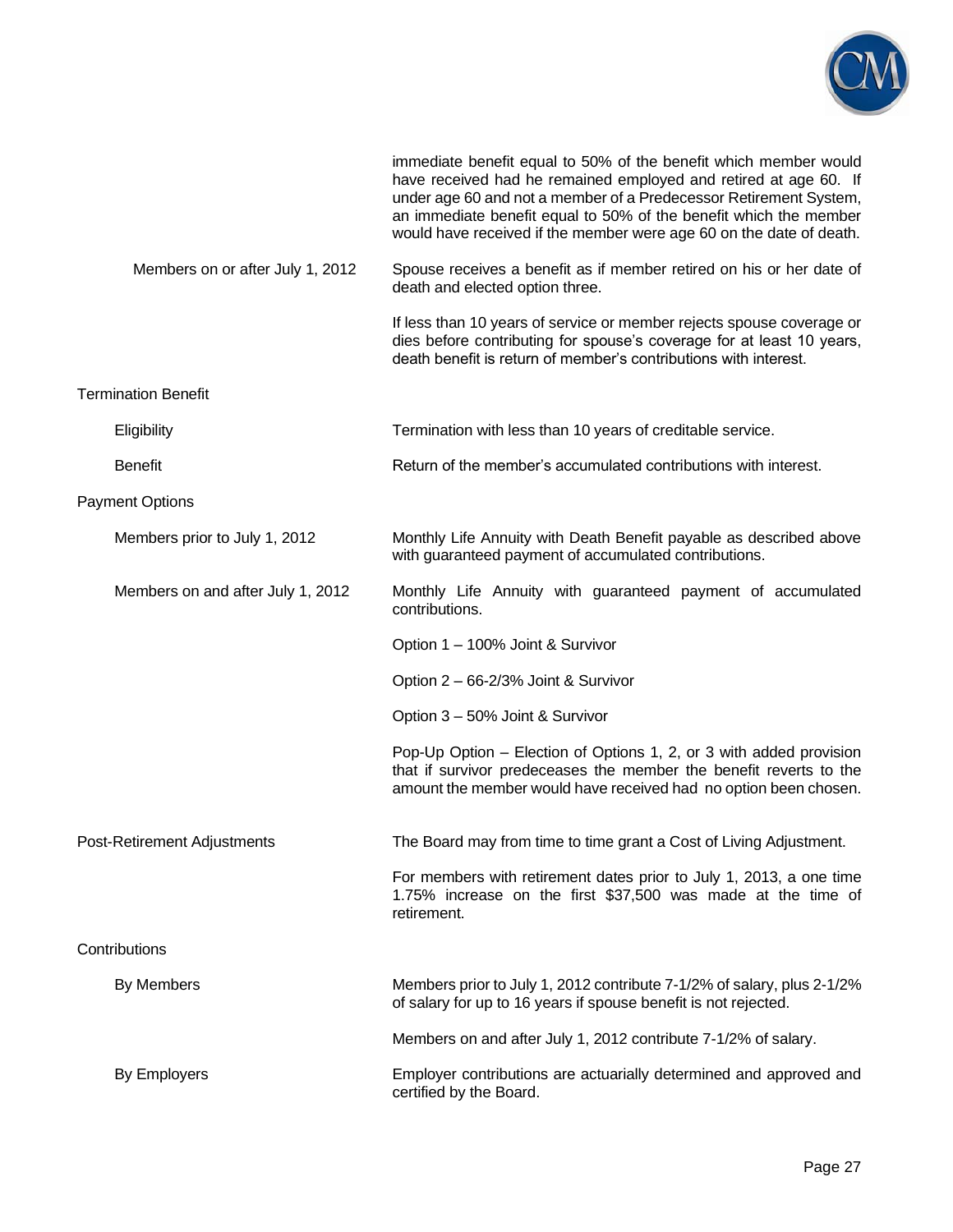

|                                   | immediate benefit equal to 50% of the benefit which member would<br>have received had he remained employed and retired at age 60. If<br>under age 60 and not a member of a Predecessor Retirement System,<br>an immediate benefit equal to 50% of the benefit which the member<br>would have received if the member were age 60 on the date of death. |
|-----------------------------------|-------------------------------------------------------------------------------------------------------------------------------------------------------------------------------------------------------------------------------------------------------------------------------------------------------------------------------------------------------|
| Members on or after July 1, 2012  | Spouse receives a benefit as if member retired on his or her date of<br>death and elected option three.                                                                                                                                                                                                                                               |
|                                   | If less than 10 years of service or member rejects spouse coverage or<br>dies before contributing for spouse's coverage for at least 10 years,<br>death benefit is return of member's contributions with interest.                                                                                                                                    |
| <b>Termination Benefit</b>        |                                                                                                                                                                                                                                                                                                                                                       |
| Eligibility                       | Termination with less than 10 years of creditable service.                                                                                                                                                                                                                                                                                            |
| <b>Benefit</b>                    | Return of the member's accumulated contributions with interest.                                                                                                                                                                                                                                                                                       |
| <b>Payment Options</b>            |                                                                                                                                                                                                                                                                                                                                                       |
| Members prior to July 1, 2012     | Monthly Life Annuity with Death Benefit payable as described above<br>with guaranteed payment of accumulated contributions.                                                                                                                                                                                                                           |
| Members on and after July 1, 2012 | Monthly Life Annuity with guaranteed payment of accumulated<br>contributions.                                                                                                                                                                                                                                                                         |
|                                   | Option 1 – 100% Joint & Survivor                                                                                                                                                                                                                                                                                                                      |
|                                   | Option 2 - 66-2/3% Joint & Survivor                                                                                                                                                                                                                                                                                                                   |
|                                   | Option 3 - 50% Joint & Survivor                                                                                                                                                                                                                                                                                                                       |
|                                   | Pop-Up Option – Election of Options 1, 2, or 3 with added provision<br>that if survivor predeceases the member the benefit reverts to the<br>amount the member would have received had no option been chosen.                                                                                                                                         |
| Post-Retirement Adjustments       | The Board may from time to time grant a Cost of Living Adjustment.                                                                                                                                                                                                                                                                                    |
|                                   | For members with retirement dates prior to July 1, 2013, a one time<br>1.75% increase on the first \$37,500 was made at the time of<br>retirement.                                                                                                                                                                                                    |
| Contributions                     |                                                                                                                                                                                                                                                                                                                                                       |
| By Members                        | Members prior to July 1, 2012 contribute 7-1/2% of salary, plus 2-1/2%<br>of salary for up to 16 years if spouse benefit is not rejected.                                                                                                                                                                                                             |
|                                   | Members on and after July 1, 2012 contribute 7-1/2% of salary.                                                                                                                                                                                                                                                                                        |
| By Employers                      | Employer contributions are actuarially determined and approved and<br>certified by the Board.                                                                                                                                                                                                                                                         |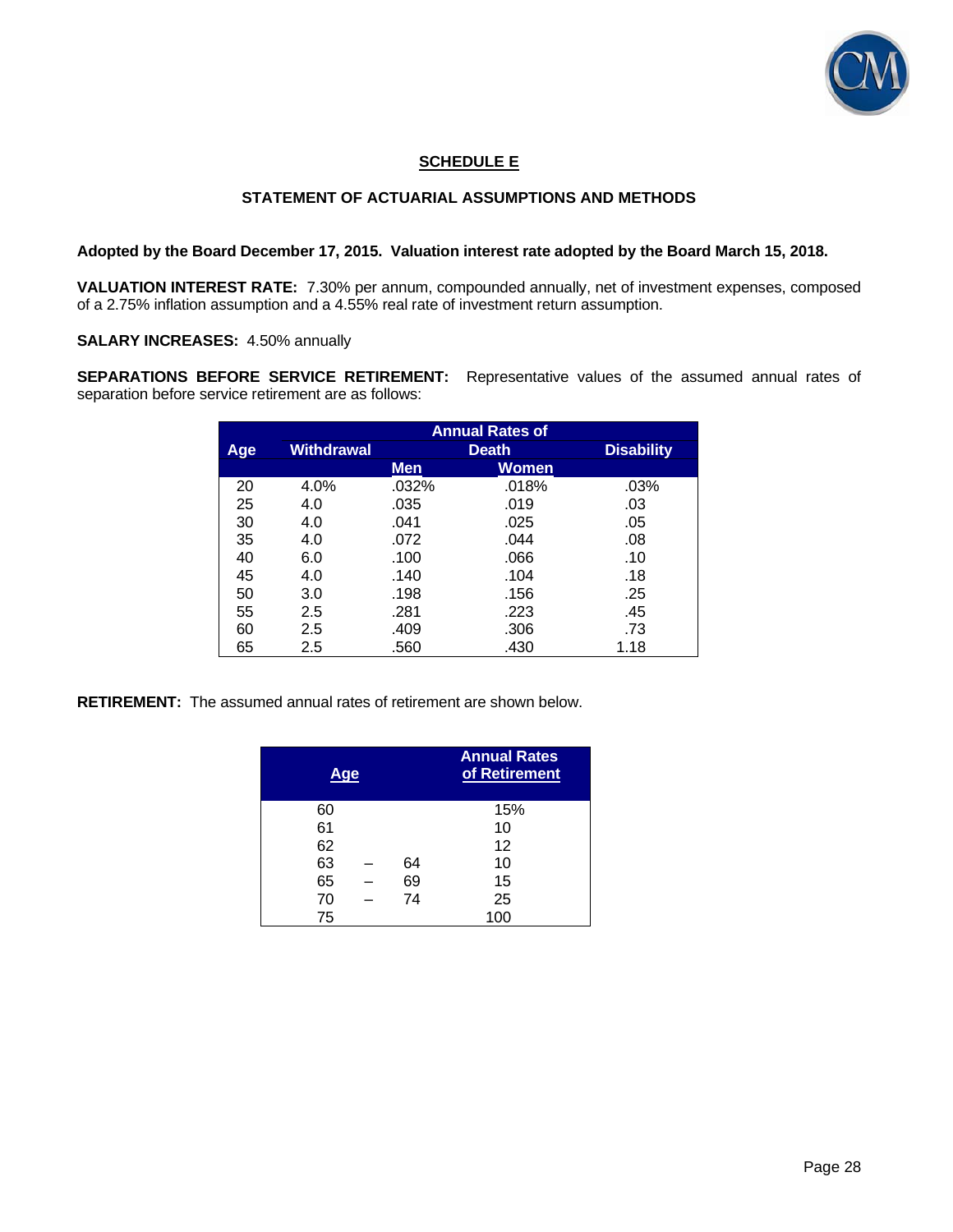

## **SCHEDULE E**

## **STATEMENT OF ACTUARIAL ASSUMPTIONS AND METHODS**

### **Adopted by the Board December 17, 2015. Valuation interest rate adopted by the Board March 15, 2018.**

**VALUATION INTEREST RATE:** 7.30% per annum, compounded annually, net of investment expenses, composed of a 2.75% inflation assumption and a 4.55% real rate of investment return assumption.

**SALARY INCREASES:** 4.50% annually

**SEPARATIONS BEFORE SERVICE RETIREMENT:** Representative values of the assumed annual rates of separation before service retirement are as follows:

|     | <b>Annual Rates of</b> |            |              |                   |  |  |  |  |
|-----|------------------------|------------|--------------|-------------------|--|--|--|--|
| Age | Withdrawal             |            | <b>Death</b> | <b>Disability</b> |  |  |  |  |
|     |                        | <b>Men</b> | Women        |                   |  |  |  |  |
| 20  | 4.0%                   | .032%      | .018%        | .03%              |  |  |  |  |
| 25  | 4.0                    | .035       | .019         | .03               |  |  |  |  |
| 30  | 4.0                    | .041       | .025         | .05               |  |  |  |  |
| 35  | 4.0                    | .072       | .044         | .08               |  |  |  |  |
| 40  | 6.0                    | .100       | .066         | .10               |  |  |  |  |
| 45  | 4.0                    | .140       | .104         | .18               |  |  |  |  |
| 50  | 3.0                    | .198       | .156         | .25               |  |  |  |  |
| 55  | 2.5                    | .281       | .223         | .45               |  |  |  |  |
| 60  | 2.5                    | .409       | .306         | .73               |  |  |  |  |
| 65  | 2.5                    | .560       | .430         | 1.18              |  |  |  |  |

**RETIREMENT:** The assumed annual rates of retirement are shown below.

| Age |  | <b>Annual Rates</b><br>of Retirement |     |
|-----|--|--------------------------------------|-----|
| 60  |  |                                      | 15% |
| 61  |  |                                      | 10  |
| 62  |  |                                      | 12  |
| 63  |  | 64                                   | 10  |
| 65  |  | 69                                   | 15  |
| 70  |  | 74                                   | 25  |
| 75  |  |                                      | 100 |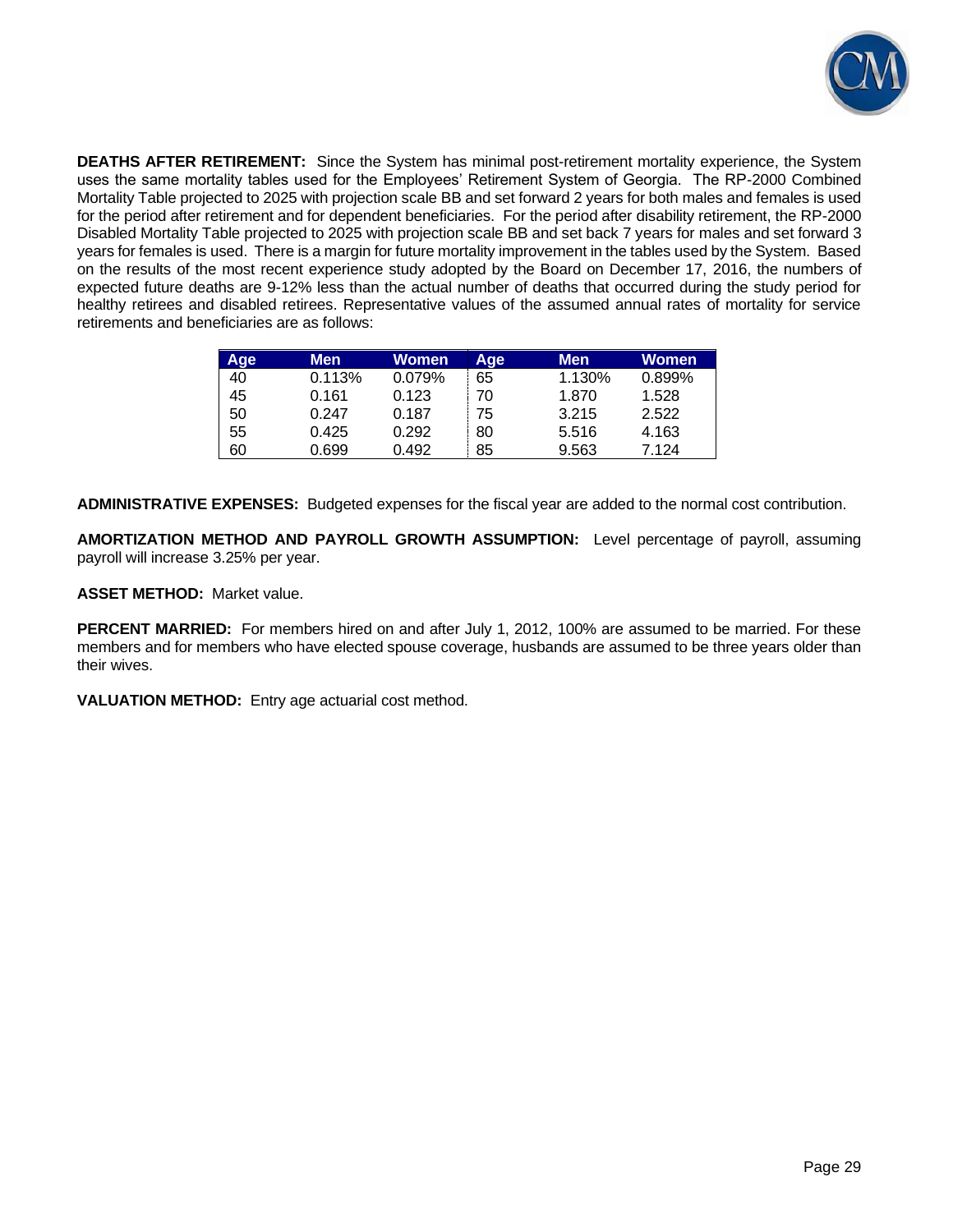

**DEATHS AFTER RETIREMENT:** Since the System has minimal post-retirement mortality experience, the System uses the same mortality tables used for the Employees' Retirement System of Georgia. The RP-2000 Combined Mortality Table projected to 2025 with projection scale BB and set forward 2 years for both males and females is used for the period after retirement and for dependent beneficiaries. For the period after disability retirement, the RP-2000 Disabled Mortality Table projected to 2025 with projection scale BB and set back 7 years for males and set forward 3 years for females is used. There is a margin for future mortality improvement in the tables used by the System. Based on the results of the most recent experience study adopted by the Board on December 17, 2016, the numbers of expected future deaths are 9-12% less than the actual number of deaths that occurred during the study period for healthy retirees and disabled retirees. Representative values of the assumed annual rates of mortality for service retirements and beneficiaries are as follows:

| <b>Age</b> | Men    | <b>Women</b> | <b>Age</b> | <b>Men</b> | Women  |
|------------|--------|--------------|------------|------------|--------|
| 40         | 0.113% | 0.079%       | 65         | 1.130%     | 0.899% |
| 45         | 0.161  | 0.123        | 70         | 1.870      | 1.528  |
| 50         | 0.247  | 0.187        | 75         | 3.215      | 2.522  |
| 55         | 0.425  | 0.292        | 80         | 5.516      | 4.163  |
| 60         | 0.699  | 0.492        | 85         | 9.563      | 7.124  |

**ADMINISTRATIVE EXPENSES:** Budgeted expenses for the fiscal year are added to the normal cost contribution.

**AMORTIZATION METHOD AND PAYROLL GROWTH ASSUMPTION:** Level percentage of payroll, assuming payroll will increase 3.25% per year.

**ASSET METHOD:** Market value.

**PERCENT MARRIED:** For members hired on and after July 1, 2012, 100% are assumed to be married. For these members and for members who have elected spouse coverage, husbands are assumed to be three years older than their wives.

**VALUATION METHOD:** Entry age actuarial cost method.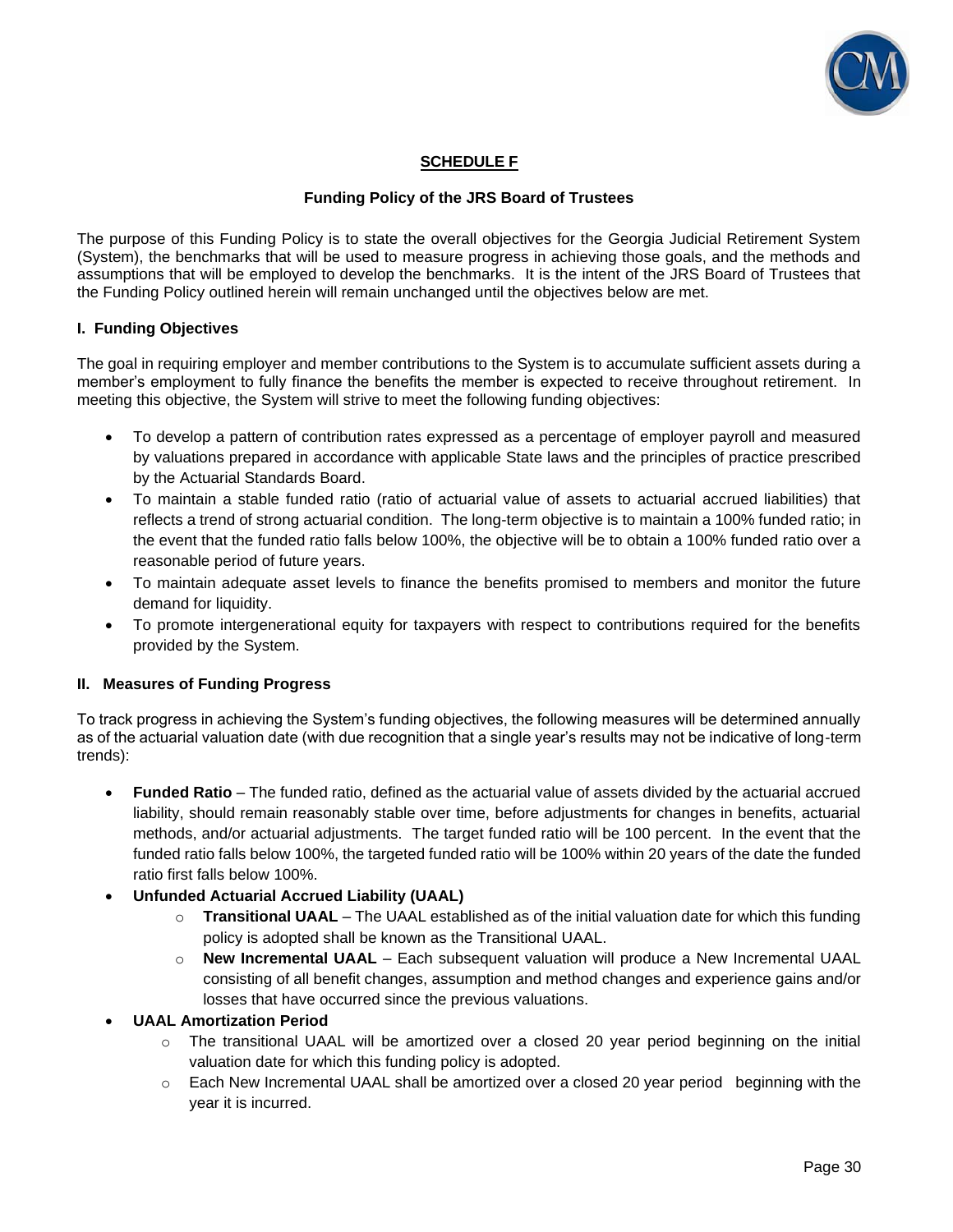

## **SCHEDULE F**

## **Funding Policy of the JRS Board of Trustees**

The purpose of this Funding Policy is to state the overall objectives for the Georgia Judicial Retirement System (System), the benchmarks that will be used to measure progress in achieving those goals, and the methods and assumptions that will be employed to develop the benchmarks. It is the intent of the JRS Board of Trustees that the Funding Policy outlined herein will remain unchanged until the objectives below are met.

### **I. Funding Objectives**

The goal in requiring employer and member contributions to the System is to accumulate sufficient assets during a member's employment to fully finance the benefits the member is expected to receive throughout retirement. In meeting this objective, the System will strive to meet the following funding objectives:

- To develop a pattern of contribution rates expressed as a percentage of employer payroll and measured by valuations prepared in accordance with applicable State laws and the principles of practice prescribed by the Actuarial Standards Board.
- To maintain a stable funded ratio (ratio of actuarial value of assets to actuarial accrued liabilities) that reflects a trend of strong actuarial condition. The long-term objective is to maintain a 100% funded ratio; in the event that the funded ratio falls below 100%, the objective will be to obtain a 100% funded ratio over a reasonable period of future years.
- To maintain adequate asset levels to finance the benefits promised to members and monitor the future demand for liquidity.
- To promote intergenerational equity for taxpayers with respect to contributions required for the benefits provided by the System.

### **II. Measures of Funding Progress**

To track progress in achieving the System's funding objectives, the following measures will be determined annually as of the actuarial valuation date (with due recognition that a single year's results may not be indicative of long-term trends):

- **Funded Ratio** The funded ratio, defined as the actuarial value of assets divided by the actuarial accrued liability, should remain reasonably stable over time, before adjustments for changes in benefits, actuarial methods, and/or actuarial adjustments. The target funded ratio will be 100 percent. In the event that the funded ratio falls below 100%, the targeted funded ratio will be 100% within 20 years of the date the funded ratio first falls below 100%.
- **Unfunded Actuarial Accrued Liability (UAAL)**
	- o **Transitional UAAL** The UAAL established as of the initial valuation date for which this funding policy is adopted shall be known as the Transitional UAAL.
	- o **New Incremental UAAL** Each subsequent valuation will produce a New Incremental UAAL consisting of all benefit changes, assumption and method changes and experience gains and/or losses that have occurred since the previous valuations.

### • **UAAL Amortization Period**

- $\circ$  The transitional UAAL will be amortized over a closed 20 year period beginning on the initial valuation date for which this funding policy is adopted.
- $\circ$  Each New Incremental UAAL shall be amortized over a closed 20 year period beginning with the year it is incurred.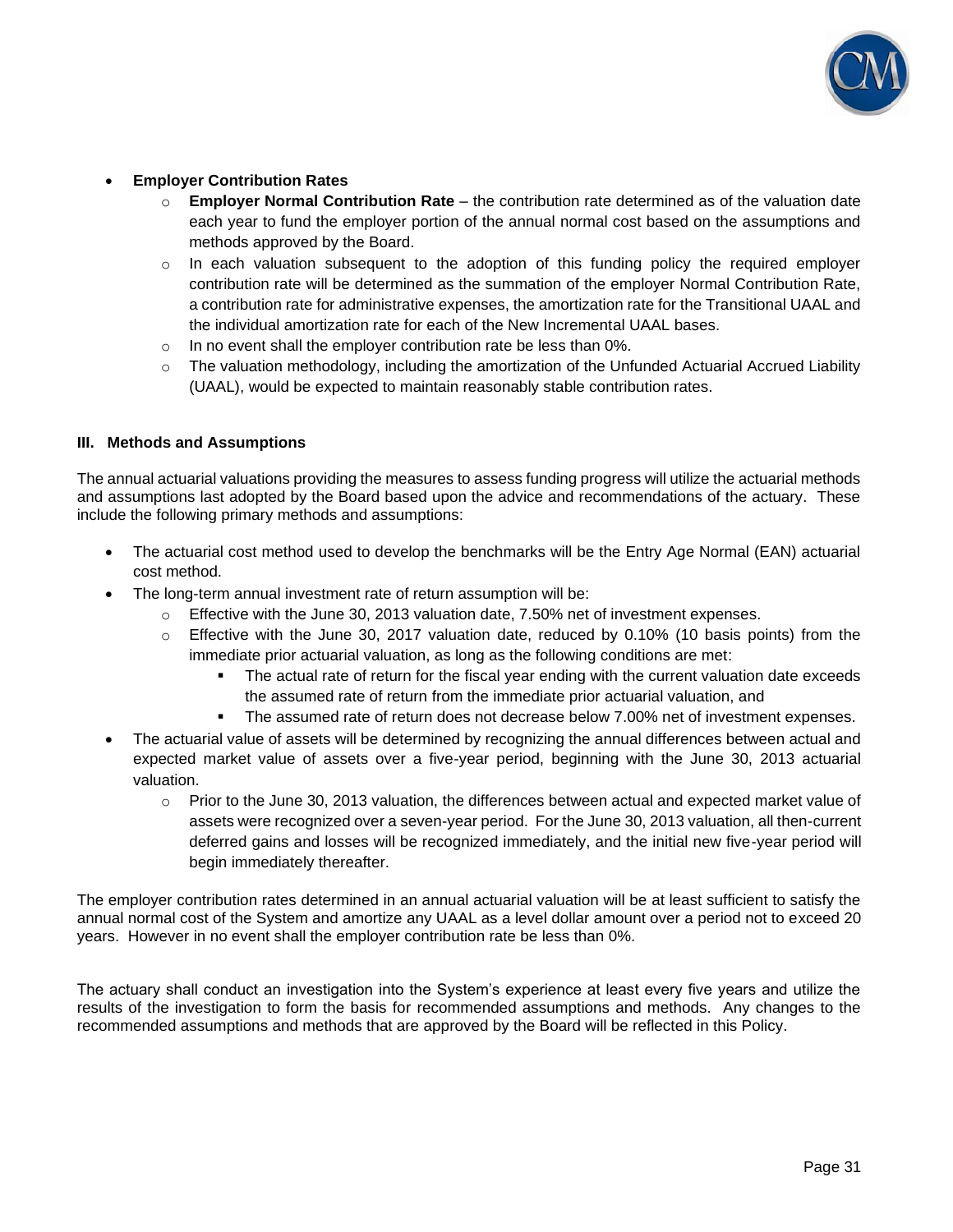

## • **Employer Contribution Rates**

- o **Employer Normal Contribution Rate**  the contribution rate determined as of the valuation date each year to fund the employer portion of the annual normal cost based on the assumptions and methods approved by the Board.
- $\circ$  In each valuation subsequent to the adoption of this funding policy the required employer contribution rate will be determined as the summation of the employer Normal Contribution Rate, a contribution rate for administrative expenses, the amortization rate for the Transitional UAAL and the individual amortization rate for each of the New Incremental UAAL bases.
- $\circ$  In no event shall the employer contribution rate be less than 0%.
- $\circ$  The valuation methodology, including the amortization of the Unfunded Actuarial Accrued Liability (UAAL), would be expected to maintain reasonably stable contribution rates.

### **III. Methods and Assumptions**

The annual actuarial valuations providing the measures to assess funding progress will utilize the actuarial methods and assumptions last adopted by the Board based upon the advice and recommendations of the actuary. These include the following primary methods and assumptions:

- The actuarial cost method used to develop the benchmarks will be the Entry Age Normal (EAN) actuarial cost method.
- The long-term annual investment rate of return assumption will be:
	- o Effective with the June 30, 2013 valuation date, 7.50% net of investment expenses.
	- $\circ$  Effective with the June 30, 2017 valuation date, reduced by 0.10% (10 basis points) from the immediate prior actuarial valuation, as long as the following conditions are met:
		- **•** The actual rate of return for the fiscal year ending with the current valuation date exceeds the assumed rate of return from the immediate prior actuarial valuation, and
		- The assumed rate of return does not decrease below 7.00% net of investment expenses.
- The actuarial value of assets will be determined by recognizing the annual differences between actual and expected market value of assets over a five-year period, beginning with the June 30, 2013 actuarial valuation.
	- $\circ$  Prior to the June 30, 2013 valuation, the differences between actual and expected market value of assets were recognized over a seven-year period. For the June 30, 2013 valuation, all then-current deferred gains and losses will be recognized immediately, and the initial new five-year period will begin immediately thereafter.

The employer contribution rates determined in an annual actuarial valuation will be at least sufficient to satisfy the annual normal cost of the System and amortize any UAAL as a level dollar amount over a period not to exceed 20 years. However in no event shall the employer contribution rate be less than 0%.

The actuary shall conduct an investigation into the System's experience at least every five years and utilize the results of the investigation to form the basis for recommended assumptions and methods. Any changes to the recommended assumptions and methods that are approved by the Board will be reflected in this Policy.